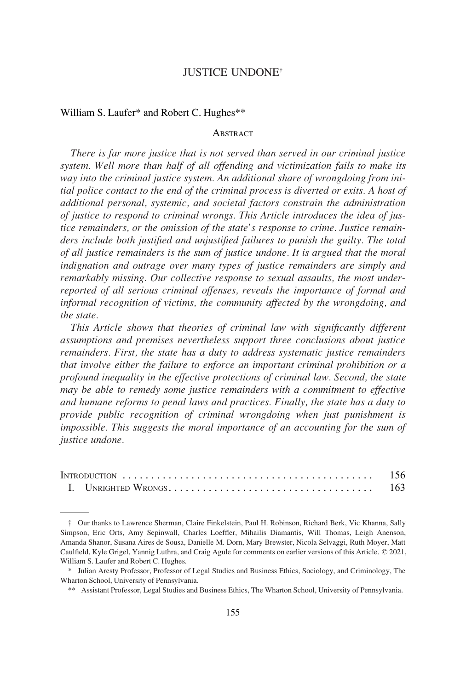# JUSTICE UNDONE†

### William S. Laufer\* and Robert C. Hughes\*\*

### **ABSTRACT**

*There is far more justice that is not served than served in our criminal justice system. Well more than half of all offending and victimization fails to make its way into the criminal justice system. An additional share of wrongdoing from initial police contact to the end of the criminal process is diverted or exits. A host of additional personal, systemic, and societal factors constrain the administration of justice to respond to criminal wrongs. This Article introduces the idea of justice remainders, or the omission of the state's response to crime. Justice remainders include both justified and unjustified failures to punish the guilty. The total of all justice remainders is the sum of justice undone. It is argued that the moral indignation and outrage over many types of justice remainders are simply and remarkably missing. Our collective response to sexual assaults, the most underreported of all serious criminal offenses, reveals the importance of formal and informal recognition of victims, the community affected by the wrongdoing, and the state.* 

*This Article shows that theories of criminal law with significantly different assumptions and premises nevertheless support three conclusions about justice remainders. First, the state has a duty to address systematic justice remainders that involve either the failure to enforce an important criminal prohibition or a profound inequality in the effective protections of criminal law. Second, the state may be able to remedy some justice remainders with a commitment to effective and humane reforms to penal laws and practices. Finally, the state has a duty to provide public recognition of criminal wrongdoing when just punishment is impossible. This suggests the moral importance of an accounting for the sum of justice undone.* 

<sup>†</sup> Our thanks to Lawrence Sherman, Claire Finkelstein, Paul H. Robinson, Richard Berk, Vic Khanna, Sally Simpson, Eric Orts, Amy Sepinwall, Charles Loeffler, Mihailis Diamantis, Will Thomas, Leigh Anenson, Amanda Shanor, Susana Aires de Sousa, Danielle M. Dorn, Mary Brewster, Nicola Selvaggi, Ruth Moyer, Matt Caulfield, Kyle Grigel, Yannig Luthra, and Craig Agule for comments on earlier versions of this Article. © 2021, William S. Laufer and Robert C. Hughes.

<sup>\*</sup> Julian Aresty Professor, Professor of Legal Studies and Business Ethics, Sociology, and Criminology, The Wharton School, University of Pennsylvania.

<sup>\*\*</sup> Assistant Professor, Legal Studies and Business Ethics, The Wharton School, University of Pennsylvania.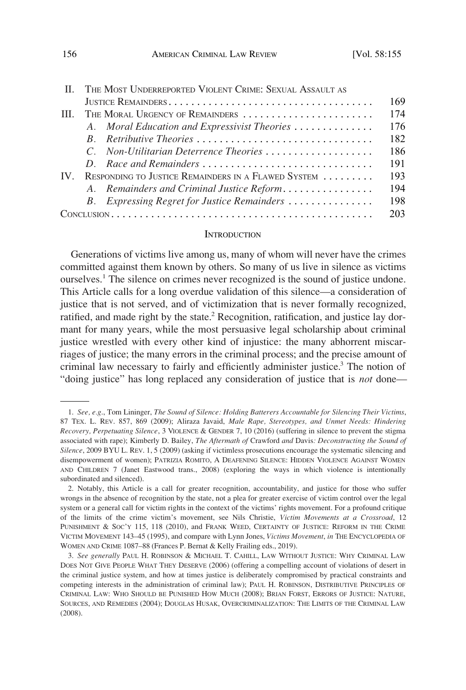<span id="page-1-0"></span>

| $\mathbf{H}$ |                                 | THE MOST UNDERREPORTED VIOLENT CRIME: SEXUAL ASSAULT AS |     |
|--------------|---------------------------------|---------------------------------------------------------|-----|
|              |                                 |                                                         | 169 |
| HH.          | THE MORAL URGENCY OF REMAINDERS |                                                         | 174 |
|              |                                 | A. Moral Education and Expressivist Theories            | 176 |
|              |                                 | B. Retributive Theories                                 | 182 |
|              |                                 | C. Non-Utilitarian Deterrence Theories                  | 186 |
|              |                                 | D. Race and Remainders                                  | 191 |
| IV           |                                 | RESPONDING TO JUSTICE REMAINDERS IN A FLAWED SYSTEM     | 193 |
|              |                                 | A. Remainders and Criminal Justice Reform               | 194 |
|              |                                 | B. Expressing Regret for Justice Remainders             | 198 |
|              |                                 |                                                         | 203 |

### **INTRODUCTION**

Generations of victims live among us, many of whom will never have the crimes committed against them known by others. So many of us live in silence as victims ourselves.1 The silence on crimes never recognized is the sound of justice undone. This Article calls for a long overdue validation of this silence—a consideration of justice that is not served, and of victimization that is never formally recognized, ratified, and made right by the state.<sup>2</sup> Recognition, ratification, and justice lay dormant for many years, while the most persuasive legal scholarship about criminal justice wrestled with every other kind of injustice: the many abhorrent miscarriages of justice; the many errors in the criminal process; and the precise amount of criminal law necessary to fairly and efficiently administer justice.3 The notion of "doing justice" has long replaced any consideration of justice that is *not* done—

<sup>1.</sup> *See, e.g*., Tom Lininger, *The Sound of Silence: Holding Batterers Accountable for Silencing Their Victims*, 87 TEX. L. REV. 857, 869 (2009); Aliraza Javaid, *Male Rape, Stereotypes, and Unmet Needs: Hindering Recovery, Perpetuating Silence*, 3 VIOLENCE & GENDER 7, 10 (2016) (suffering in silence to prevent the stigma associated with rape); Kimberly D. Bailey, *The Aftermath of* Crawford *and* Davis*: Deconstructing the Sound of Silence*, 2009 BYU L. REV. 1, 5 (2009) (asking if victimless prosecutions encourage the systematic silencing and disempowerment of women); PATRIZIA ROMITO, A DEAFENING SILENCE: HIDDEN VIOLENCE AGAINST WOMEN AND CHILDREN 7 (Janet Eastwood trans., 2008) (exploring the ways in which violence is intentionally subordinated and silenced).

<sup>2.</sup> Notably, this Article is a call for greater recognition, accountability, and justice for those who suffer wrongs in the absence of recognition by the state, not a plea for greater exercise of victim control over the legal system or a general call for victim rights in the context of the victims' rights movement. For a profound critique of the limits of the crime victim's movement, see Nils Christie, *Victim Movements at a Crossroad*, 12 PUNISHMENT & SOC'Y 115, 118 (2010), and FRANK WEED, CERTAINTY OF JUSTICE: REFORM IN THE CRIME VICTIM MOVEMENT 143–45 (1995), and compare with Lynn Jones, *Victims Movement*, *in* THE ENCYCLOPEDIA OF WOMEN AND CRIME 1087–88 (Frances P. Bernat & Kelly Frailing eds., 2019).

<sup>3.</sup> *See generally* PAUL H. ROBINSON & MICHAEL T. CAHILL, LAW WITHOUT JUSTICE: WHY CRIMINAL LAW DOES NOT GIVE PEOPLE WHAT THEY DESERVE (2006) (offering a compelling account of violations of desert in the criminal justice system, and how at times justice is deliberately compromised by practical constraints and competing interests in the administration of criminal law); PAUL H. ROBINSON, DISTRIBUTIVE PRINCIPLES OF CRIMINAL LAW: WHO SHOULD BE PUNISHED HOW MUCH (2008); BRIAN FORST, ERRORS OF JUSTICE: NATURE, SOURCES, AND REMEDIES (2004); DOUGLAS HUSAK, OVERCRIMINALIZATION: THE LIMITS OF THE CRIMINAL LAW (2008).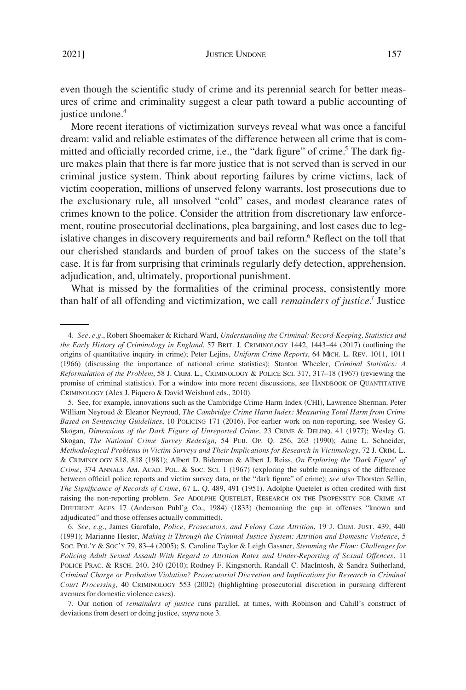even though the scientific study of crime and its perennial search for better measures of crime and criminality suggest a clear path toward a public accounting of justice undone.<sup>4</sup>

More recent iterations of victimization surveys reveal what was once a fanciful dream: valid and reliable estimates of the difference between all crime that is committed and officially recorded crime, i.e., the "dark figure" of crime.<sup>5</sup> The dark figure makes plain that there is far more justice that is not served than is served in our criminal justice system. Think about reporting failures by crime victims, lack of victim cooperation, millions of unserved felony warrants, lost prosecutions due to the exclusionary rule, all unsolved "cold" cases, and modest clearance rates of crimes known to the police. Consider the attrition from discretionary law enforcement, routine prosecutorial declinations, plea bargaining, and lost cases due to legislative changes in discovery requirements and bail reform.<sup>6</sup> Reflect on the toll that our cherished standards and burden of proof takes on the success of the state's case. It is far from surprising that criminals regularly defy detection, apprehension, adjudication, and, ultimately, proportional punishment.

What is missed by the formalities of the criminal process, consistently more than half of all offending and victimization, we call *remainders of justice*. 7 Justice

<sup>4.</sup> *See, e.g*., Robert Shoemaker & Richard Ward, *Understanding the Criminal: Record-Keeping, Statistics and the Early History of Criminology in England*, 57 BRIT. J. CRIMINOLOGY 1442, 1443–44 (2017) (outlining the origins of quantitative inquiry in crime); Peter Lejins, *Uniform Crime Reports*, 64 MICH. L. REV. 1011, 1011 (1966) (discussing the importance of national crime statistics); Stanton Wheeler, *Criminal Statistics: A Reformulation of the Problem*, 58 J. CRIM. L., CRIMINOLOGY & POLICE SCI. 317, 317–18 (1967) (reviewing the promise of criminal statistics). For a window into more recent discussions, see HANDBOOK OF QUANTITATIVE CRIMINOLOGY (Alex J. Piquero & David Weisburd eds., 2010).

<sup>5.</sup> See, for example, innovations such as the Cambridge Crime Harm Index (CHI), Lawrence Sherman, Peter William Neyroud & Eleanor Neyroud, *The Cambridge Crime Harm Index: Measuring Total Harm from Crime Based on Sentencing Guidelines*, 10 POLICING 171 (2016). For earlier work on non-reporting, see Wesley G. Skogan, *Dimensions of the Dark Figure of Unreported Crime*, 23 CRIME & DELINQ. 41 (1977); Wesley G. Skogan, *The National Crime Survey Redesign*, 54 PUB. OP. Q. 256, 263 (1990); Anne L. Schneider, *Methodological Problems in Victim Surveys and Their Implications for Research in Victimology*, 72 J. CRIM. L. & CRIMINOLOGY 818, 818 (1981); Albert D. Biderman & Albert J. Reiss, *On Exploring the 'Dark Figure' of Crime*, 374 ANNALS AM. ACAD. POL. & SOC. SCI. 1 (1967) (exploring the subtle meanings of the difference between official police reports and victim survey data, or the "dark figure" of crime); *see also* Thorsten Sellin, *The Significance of Records of Crime*, 67 L. Q. 489, 491 (1951). Adolphe Quetelet is often credited with first raising the non-reporting problem. *See* ADOLPHE QUETELET, RESEARCH ON THE PROPENSITY FOR CRIME AT DIFFERENT AGES 17 (Anderson Publ'g Co., 1984) (1833) (bemoaning the gap in offenses "known and adjudicated" and those offenses actually committed).

<sup>6.</sup> *See, e.g*., James Garofalo, *Police, Prosecutors, and Felony Case Attrition*, 19 J. CRIM. JUST. 439, 440 (1991); Marianne Hester, *Making it Through the Criminal Justice System: Attrition and Domestic Violence*, 5 SOC. POL'Y & SOC'Y 79, 83–4 (2005); S. Caroline Taylor & Leigh Gassner, *Stemming the Flow: Challenges for Policing Adult Sexual Assault With Regard to Attrition Rates and Under-Reporting of Sexual Offences*, 11 POLICE PRAC. & RSCH. 240, 240 (2010); Rodney F. Kingsnorth, Randall C. MacIntosh, & Sandra Sutherland, *Criminal Charge or Probation Violation? Prosecutorial Discretion and Implications for Research in Criminal Court Processing*, 40 CRIMINOLOGY 553 (2002) (highlighting prosecutorial discretion in pursuing different avenues for domestic violence cases).

<sup>7.</sup> Our notion of *remainders of justice* runs parallel, at times, with Robinson and Cahill's construct of deviations from desert or doing justice, *supra* note 3.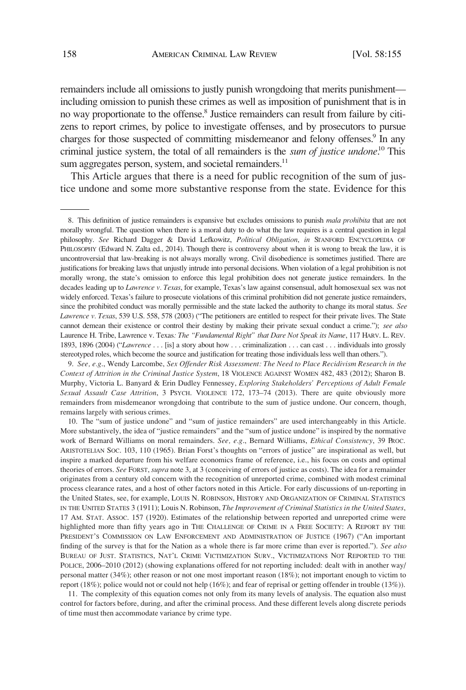remainders include all omissions to justly punish wrongdoing that merits punishment including omission to punish these crimes as well as imposition of punishment that is in no way proportionate to the offense.<sup>8</sup> Justice remainders can result from failure by citizens to report crimes, by police to investigate offenses, and by prosecutors to pursue charges for those suspected of committing misdemeanor and felony offenses.<sup>9</sup> In any criminal justice system, the total of all remainders is the *sum of justice undone*.<sup>10</sup> This sum aggregates person, system, and societal remainders.<sup>11</sup>

This Article argues that there is a need for public recognition of the sum of justice undone and some more substantive response from the state. Evidence for this

9. *See, e.g*., Wendy Larcombe, *Sex Offender Risk Assessment: The Need to Place Recidivism Research in the Context of Attrition in the Criminal Justice System*, 18 VIOLENCE AGAINST WOMEN 482, 483 (2012); Sharon B. Murphy, Victoria L. Banyard & Erin Dudley Fennessey, *Exploring Stakeholders' Perceptions of Adult Female Sexual Assault Case Attrition*, 3 PSYCH. VIOLENCE 172, 173–74 (2013). There are quite obviously more remainders from misdemeanor wrongdoing that contribute to the sum of justice undone. Our concern, though, remains largely with serious crimes.

10. The "sum of justice undone" and "sum of justice remainders" are used interchangeably in this Article. More substantively, the idea of "justice remainders" and the "sum of justice undone" is inspired by the normative work of Bernard Williams on moral remainders. *See, e.g*., Bernard Williams, *Ethical Consistency*, 39 PROC. ARISTOTELIAN SOC. 103, 110 (1965). Brian Forst's thoughts on "errors of justice" are inspirational as well, but inspire a marked departure from his welfare economics frame of reference, i.e., his focus on costs and optimal theories of errors. *See* FORST, *supra* note 3, at 3 (conceiving of errors of justice as costs). The idea for a remainder originates from a century old concern with the recognition of unreported crime, combined with modest criminal process clearance rates, and a host of other factors noted in this Article. For early discussions of un-reporting in the United States, see, for example, LOUIS N. ROBINSON, HISTORY AND ORGANIZATION OF CRIMINAL STATISTICS IN THE UNITED STATES 3 (1911); Louis N. Robinson, *The Improvement of Criminal Statistics in the United States*, 17 AM. STAT. ASSOC. 157 (1920). Estimates of the relationship between reported and unreported crime were highlighted more than fifty years ago in THE CHALLENGE OF CRIME IN A FREE SOCIETY: A REPORT BY THE PRESIDENT'S COMMISSION ON LAW ENFORCEMENT AND ADMINISTRATION OF JUSTICE (1967) ("An important finding of the survey is that for the Nation as a whole there is far more crime than ever is reported."). *See also*  BUREAU OF JUST. STATISTICS, NAT'L CRIME VICTIMIZATION SURV., VICTIMIZATIONS NOT REPORTED TO THE POLICE, 2006–2010 (2012) (showing explanations offered for not reporting included: dealt with in another way/ personal matter (34%); other reason or not one most important reason (18%); not important enough to victim to report (18%); police would not or could not help (16%); and fear of reprisal or getting offender in trouble (13%)).

11. The complexity of this equation comes not only from its many levels of analysis. The equation also must control for factors before, during, and after the criminal process. And these different levels along discrete periods of time must then accommodate variance by crime type.

<sup>8.</sup> This definition of justice remainders is expansive but excludes omissions to punish *mala prohibita* that are not morally wrongful. The question when there is a moral duty to do what the law requires is a central question in legal philosophy. *See* Richard Dagger & David Lefkowitz, *Political Obligation*, *in* STANFORD ENCYCLOPEDIA OF PHILOSOPHY (Edward N. Zalta ed., 2014). Though there is controversy about when it is wrong to break the law, it is uncontroversial that law-breaking is not always morally wrong. Civil disobedience is sometimes justified. There are justifications for breaking laws that unjustly intrude into personal decisions. When violation of a legal prohibition is not morally wrong, the state's omission to enforce this legal prohibition does not generate justice remainders. In the decades leading up to *Lawrence v. Texas*, for example, Texas's law against consensual, adult homosexual sex was not widely enforced. Texas's failure to prosecute violations of this criminal prohibition did not generate justice remainders, since the prohibited conduct was morally permissible and the state lacked the authority to change its moral status. *See Lawrence v. Texas*, 539 U.S. 558, 578 (2003) ("The petitioners are entitled to respect for their private lives. The State cannot demean their existence or control their destiny by making their private sexual conduct a crime."); *see also*  Laurence H. Tribe, Lawrence v. Texas*: The "Fundamental Right" that Dare Not Speak its Name*, 117 HARV. L. REV. 1893, 1896 (2004) ("*Lawrence* . . . [is] a story about how . . . criminalization . . . can cast . . . individuals into grossly stereotyped roles, which become the source and justification for treating those individuals less well than others.").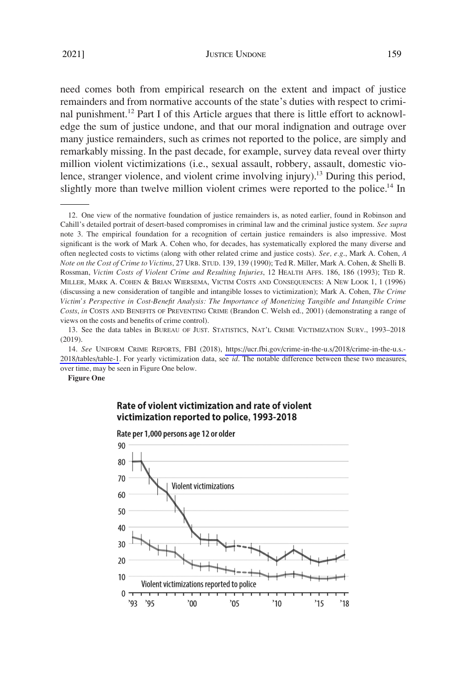need comes both from empirical research on the extent and impact of justice remainders and from normative accounts of the state's duties with respect to criminal punishment.<sup>12</sup> Part I of this Article argues that there is little effort to acknowledge the sum of justice undone, and that our moral indignation and outrage over many justice remainders, such as crimes not reported to the police, are simply and remarkably missing. In the past decade, for example, survey data reveal over thirty million violent victimizations (i.e., sexual assault, robbery, assault, domestic violence, stranger violence, and violent crime involving injury).<sup>13</sup> During this period, slightly more than twelve million violent crimes were reported to the police.<sup>14</sup> In

14. See UNIFORM CRIME REPORTS, FBI (2018), https://ucr.fbi.gov/crime-in-the-u.s/2018/crime-in-the-u.s.-[2018/tables/table-1](https://ucr.fbi.gov/crime-in-the-u.s/2018/crime-in-the-u.s.-2018/tables/table-1). For yearly victimization data, see *id*. The notable difference between these two measures, over time, may be seen in Figure One below.

**Figure One** 

# Rate of violent victimization and rate of violent victimization reported to police, 1993-2018



Rate per 1,000 persons age 12 or older

<sup>12.</sup> One view of the normative foundation of justice remainders is, as noted earlier, found in Robinson and Cahill's detailed portrait of desert-based compromises in criminal law and the criminal justice system. *See supra*  note 3. The empirical foundation for a recognition of certain justice remainders is also impressive. Most significant is the work of Mark A. Cohen who, for decades, has systematically explored the many diverse and often neglected costs to victims (along with other related crime and justice costs). *See, e.g*., Mark A. Cohen, *A Note on the Cost of Crime to Victims*, 27 URB. STUD. 139, 139 (1990); Ted R. Miller, Mark A. Cohen, & Shelli B. Rossman, *Victim Costs of Violent Crime and Resulting Injuries*, 12 HEALTH AFFS. 186, 186 (1993); TED R. MILLER, MARK A. COHEN & BRIAN WIERSEMA, VICTIM COSTS AND CONSEQUENCES: A NEW LOOK 1, 1 (1996) (discussing a new consideration of tangible and intangible losses to victimization); Mark A. Cohen, *The Crime Victim's Perspective in Cost-Benefit Analysis: The Importance of Monetizing Tangible and Intangible Crime Costs*, *in* COSTS AND BENEFITS OF PREVENTING CRIME (Brandon C. Welsh ed., 2001) (demonstrating a range of views on the costs and benefits of crime control).

<sup>13.</sup> See the data tables in BUREAU OF JUST. STATISTICS, NAT'L CRIME VICTIMIZATION SURV., 1993–2018 (2019).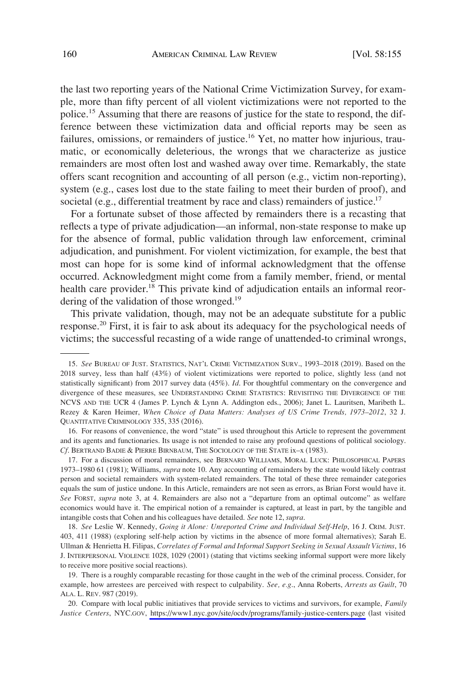the last two reporting years of the National Crime Victimization Survey, for example, more than fifty percent of all violent victimizations were not reported to the police.15 Assuming that there are reasons of justice for the state to respond, the difference between these victimization data and official reports may be seen as failures, omissions, or remainders of justice.<sup>16</sup> Yet, no matter how injurious, traumatic, or economically deleterious, the wrongs that we characterize as justice remainders are most often lost and washed away over time. Remarkably, the state offers scant recognition and accounting of all person (e.g., victim non-reporting), system (e.g., cases lost due to the state failing to meet their burden of proof), and societal (e.g., differential treatment by race and class) remainders of justice.<sup>17</sup>

For a fortunate subset of those affected by remainders there is a recasting that reflects a type of private adjudication—an informal, non-state response to make up for the absence of formal, public validation through law enforcement, criminal adjudication, and punishment. For violent victimization, for example, the best that most can hope for is some kind of informal acknowledgment that the offense occurred. Acknowledgment might come from a family member, friend, or mental health care provider.<sup>18</sup> This private kind of adjudication entails an informal reordering of the validation of those wronged.<sup>19</sup>

This private validation, though, may not be an adequate substitute for a public response.<sup>20</sup> First, it is fair to ask about its adequacy for the psychological needs of victims; the successful recasting of a wide range of unattended-to criminal wrongs,

<sup>15.</sup> *See* BUREAU OF JUST. STATISTICS, NAT'L CRIME VICTIMIZATION SURV., 1993–2018 (2019). Based on the 2018 survey, less than half (43%) of violent victimizations were reported to police, slightly less (and not statistically significant) from 2017 survey data (45%). *Id*. For thoughtful commentary on the convergence and divergence of these measures, see UNDERSTANDING CRIME STATISTICS: REVISITING THE DIVERGENCE OF THE NCVS AND THE UCR 4 (James P. Lynch & Lynn A. Addington eds., 2006); Janet L. Lauritsen, Maribeth L. Rezey & Karen Heimer, *When Choice of Data Matters: Analyses of US Crime Trends, 1973–2012*, 32 J. QUANTITATIVE CRIMINOLOGY 335, 335 (2016).

<sup>16.</sup> For reasons of convenience, the word "state" is used throughout this Article to represent the government and its agents and functionaries. Its usage is not intended to raise any profound questions of political sociology. *Cf*. BERTRAND BADIE & PIERRE BIRNBAUM, THE SOCIOLOGY OF THE STATE ix–x (1983).

<sup>17.</sup> For a discussion of moral remainders, see BERNARD WILLIAMS, MORAL LUCK: PHILOSOPHICAL PAPERS 1973–1980 61 (1981); Williams, *supra* note 10. Any accounting of remainders by the state would likely contrast person and societal remainders with system-related remainders. The total of these three remainder categories equals the sum of justice undone. In this Article, remainders are not seen as errors, as Brian Forst would have it. *See* FORST, *supra* note 3, at 4. Remainders are also not a "departure from an optimal outcome" as welfare economics would have it. The empirical notion of a remainder is captured, at least in part, by the tangible and intangible costs that Cohen and his colleagues have detailed. *See* note 12, *supra*.

<sup>18.</sup> *See* Leslie W. Kennedy, *Going it Alone: Unreported Crime and Individual Self-Help*, 16 J. CRIM. JUST. 403, 411 (1988) (exploring self-help action by victims in the absence of more formal alternatives); Sarah E. Ullman & Henrietta H. Filipas, *Correlates of Formal and Informal Support Seeking in Sexual Assault Victims*, 16 J. INTERPERSONAL VIOLENCE 1028, 1029 (2001) (stating that victims seeking informal support were more likely to receive more positive social reactions).

<sup>19.</sup> There is a roughly comparable recasting for those caught in the web of the criminal process. Consider, for example, how arrestees are perceived with respect to culpability. *See, e.g*., Anna Roberts, *Arrests as Guilt*, 70 ALA. L. REV. 987 (2019).

<sup>20.</sup> Compare with local public initiatives that provide services to victims and survivors, for example, *Family Justice Centers*, NYC.GOV, <https://www1.nyc.gov/site/ocdv/programs/family-justice-centers.page>(last visited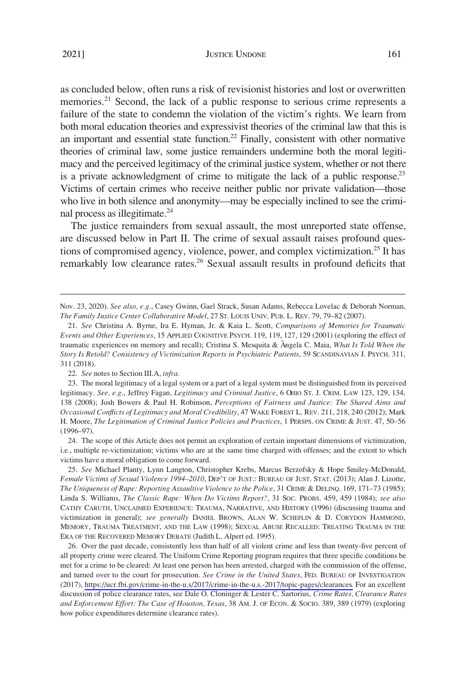as concluded below, often runs a risk of revisionist histories and lost or overwritten memories.<sup>21</sup> Second, the lack of a public response to serious crime represents a failure of the state to condemn the violation of the victim's rights. We learn from both moral education theories and expressivist theories of the criminal law that this is an important and essential state function.<sup>22</sup> Finally, consistent with other normative theories of criminal law, some justice remainders undermine both the moral legitimacy and the perceived legitimacy of the criminal justice system, whether or not there is a private acknowledgment of crime to mitigate the lack of a public response.<sup>23</sup> Victims of certain crimes who receive neither public nor private validation—those who live in both silence and anonymity—may be especially inclined to see the criminal process as illegitimate.<sup>24</sup>

The justice remainders from sexual assault, the most unreported state offense, are discussed below in Part II. The crime of sexual assault raises profound questions of compromised agency, violence, power, and complex victimization.<sup>25</sup> It has remarkably low clearance rates.<sup>26</sup> Sexual assault results in profound deficits that

24. The scope of this Article does not permit an exploration of certain important dimensions of victimization, i.e., multiple re-victimization; victims who are at the same time charged with offenses; and the extent to which victims have a moral obligation to come forward.

25. *See* Michael Planty, Lynn Langton, Christopher Krebs, Marcus Berzofsky & Hope Smiley-McDonald, *Female Victims of Sexual Violence 1994–2010*, DEP'T OF JUST.: BUREAU OF JUST. STAT. (2013); Alan J. Lizotte, *The Uniqueness of Rape: Reporting Assaultive Violence to the Police*, 31 CRIME & DELINQ. 169, 171–73 (1985); Linda S. Williams, *The Classic Rape: When Do Victims Report?*, 31 SOC. PROBS. 459, 459 (1984); *see also*  CATHY CARUTH, UNCLAIMED EXPERIENCE: TRAUMA, NARRATIVE, AND HISTORY (1996) (discussing trauma and victimization in general); *see generally* DANIEL BROWN, ALAN W. SCHEFLIN & D. CORYDON HAMMOND, MEMORY, TRAUMA TREATMENT, AND THE LAW (1998); SEXUAL ABUSE RECALLED: TREATING TRAUMA IN THE ERA OF THE RECOVERED MEMORY DEBATE (Judith L. Alpert ed. 1995).

26. Over the past decade, consistently less than half of all violent crime and less than twenty-five percent of all property crime were cleared. The Uniform Crime Reporting program requires that three specific conditions be met for a crime to be cleared: At least one person has been arrested, charged with the commission of the offense, and turned over to the court for prosecution. *See Crime in the United States*, FED. BUREAU OF INVESTIGATION (2017), [https://ucr.fbi.gov/crime-in-the-u.s/2017/crime-in-the-u.s.-2017/topic-pages/clearances.](https://ucr.fbi.gov/crime-in-the-u.s/2017/crime-in-the-u.s.-2017/topic-pages/clearances) For an excellent discussion of police clearance rates, see Dale O. Cloninger & Lester C. Sartorius, *Crime Rates, Clearance Rates and Enforcement Effort: The Case of Houston, Texas*, 38 AM. J. OF ECON. & SOCIO. 389, 389 (1979) (exploring how police expenditures determine clearance rates).

Nov. 23, 2020). *See also, e.g*., Casey Gwinn, Gael Strack, Susan Adams, Rebecca Lovelac & Deborah Norman, *The Family Justice Center Collaborative Model*, 27 ST. LOUIS UNIV. PUB. L. REV. 79, 79–82 (2007).

<sup>21.</sup> *See* Christina A. Byrne, Ira E. Hyman, Jr. & Kaia L. Scott, *Comparisons of Memories for Traumatic Events and Other Experiences*, 15 APPLIED COGNITIVE PSYCH. 119, 119, 127, 129 (2001) (exploring the effect of traumatic experiences on memory and recall); Cristina S. Mesquita & Angela C. Maia, *What Is Told When the Story Is Retold? Consistency of Victimization Reports in Psychiatric Patients*, 59 SCANDINAVIAN J. PSYCH. 311, 311 (2018).

<sup>22.</sup> *See* notes to Section III.A, *infra*.

<sup>23.</sup> The moral legitimacy of a legal system or a part of a legal system must be distinguished from its perceived legitimacy. *See, e.g*., Jeffrey Fagan, *Legitimacy and Criminal Justice*, 6 OHIO ST. J. CRIM. LAW 123, 129, 134, 138 (2008); Josh Bowers & Paul H. Robinson, *Perceptions of Fairness and Justice: The Shared Aims and Occasional Conflicts of Legitimacy and Moral Credibility*, 47 WAKE FOREST L. REV. 211, 218, 240 (2012); Mark H. Moore, *The Legitimation of Criminal Justice Policies and Practices*, 1 PERSPS. ON CRIME & JUST. 47, 50–56 (1996–97).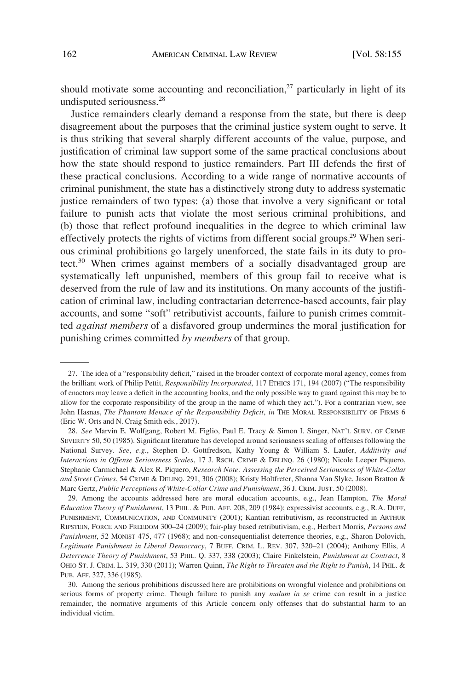should motivate some accounting and reconciliation, $27$  particularly in light of its undisputed seriousness.<sup>28</sup>

Justice remainders clearly demand a response from the state, but there is deep disagreement about the purposes that the criminal justice system ought to serve. It is thus striking that several sharply different accounts of the value, purpose, and justification of criminal law support some of the same practical conclusions about how the state should respond to justice remainders. Part III defends the first of these practical conclusions. According to a wide range of normative accounts of criminal punishment, the state has a distinctively strong duty to address systematic justice remainders of two types: (a) those that involve a very significant or total failure to punish acts that violate the most serious criminal prohibitions, and (b) those that reflect profound inequalities in the degree to which criminal law effectively protects the rights of victims from different social groups.<sup>29</sup> When serious criminal prohibitions go largely unenforced, the state fails in its duty to protect.30 When crimes against members of a socially disadvantaged group are systematically left unpunished, members of this group fail to receive what is deserved from the rule of law and its institutions. On many accounts of the justification of criminal law, including contractarian deterrence-based accounts, fair play accounts, and some "soft" retributivist accounts, failure to punish crimes committed *against members* of a disfavored group undermines the moral justification for punishing crimes committed *by members* of that group.

<sup>27.</sup> The idea of a "responsibility deficit," raised in the broader context of corporate moral agency, comes from the brilliant work of Philip Pettit, *Responsibility Incorporated*, 117 ETHICS 171, 194 (2007) ("The responsibility of enactors may leave a deficit in the accounting books, and the only possible way to guard against this may be to allow for the corporate responsibility of the group in the name of which they act."). For a contrarian view, see John Hasnas, *The Phantom Menace of the Responsibility Deficit*, *in* THE MORAL RESPONSIBILITY OF FIRMS 6 (Eric W. Orts and N. Craig Smith eds., 2017).

<sup>28.</sup> *See* Marvin E. Wolfgang, Robert M. Figlio, Paul E. Tracy & Simon I. Singer, NAT'L SURV. OF CRIME SEVERITY 50, 50 (1985). Significant literature has developed around seriousness scaling of offenses following the National Survey. *See, e.g*., Stephen D. Gottfredson, Kathy Young & William S. Laufer, *Additivity and Interactions in Offense Seriousness Scales*, 17 J. RSCH. CRIME & DELINQ. 26 (1980); Nicole Leeper Piquero, Stephanie Carmichael & Alex R. Piquero, *Research Note: Assessing the Perceived Seriousness of White-Collar and Street Crimes*, 54 CRIME & DELINQ. 291, 306 (2008); Kristy Holtfreter, Shanna Van Slyke, Jason Bratton & Marc Gertz, *Public Perceptions of White-Collar Crime and Punishment*, 36 J. CRIM. JUST. 50 (2008).

<sup>29.</sup> Among the accounts addressed here are moral education accounts, e.g., Jean Hampton, *The Moral Education Theory of Punishment*, 13 PHIL. & PUB. AFF. 208, 209 (1984); expressivist accounts, e.g., R.A. DUFF, PUNISHMENT, COMMUNICATION, AND COMMUNITY (2001); Kantian retributivism, as reconstructed in ARTHUR RIPSTEIN, FORCE AND FREEDOM 300–24 (2009); fair-play based retributivism, e.g., Herbert Morris, *Persons and Punishment*, 52 MONIST 475, 477 (1968); and non-consequentialist deterrence theories, e.g., Sharon Dolovich, *Legitimate Punishment in Liberal Democracy*, 7 BUFF. CRIM. L. REV. 307, 320–21 (2004); Anthony Ellis, *A Deterrence Theory of Punishment*, 53 PHIL. Q. 337, 338 (2003); Claire Finkelstein, *Punishment as Contract*, 8 OHIO ST. J. CRIM. L. 319, 330 (2011); Warren Quinn, *The Right to Threaten and the Right to Punish*, 14 PHIL. & PUB. AFF. 327, 336 (1985).

<sup>30.</sup> Among the serious prohibitions discussed here are prohibitions on wrongful violence and prohibitions on serious forms of property crime. Though failure to punish any *malum in se* crime can result in a justice remainder, the normative arguments of this Article concern only offenses that do substantial harm to an individual victim.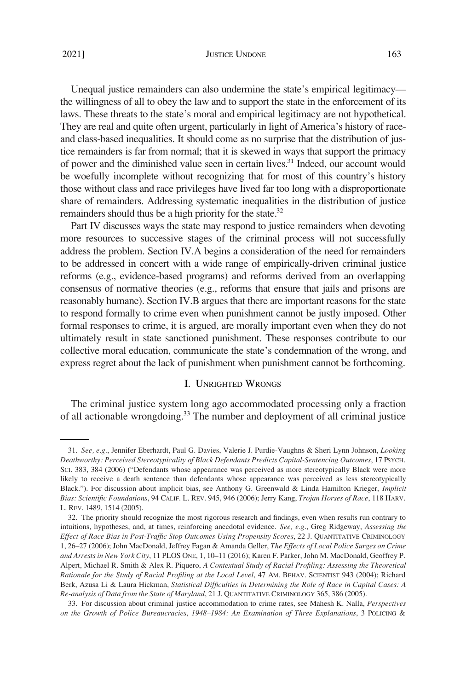### JUSTICE UNDONE 163

<span id="page-8-0"></span>Unequal justice remainders can also undermine the state's empirical legitimacy the willingness of all to obey the law and to support the state in the enforcement of its laws. These threats to the state's moral and empirical legitimacy are not hypothetical. They are real and quite often urgent, particularly in light of America's history of raceand class-based inequalities. It should come as no surprise that the distribution of justice remainders is far from normal; that it is skewed in ways that support the primacy of power and the diminished value seen in certain lives.<sup>31</sup> Indeed, our account would be woefully incomplete without recognizing that for most of this country's history those without class and race privileges have lived far too long with a disproportionate share of remainders. Addressing systematic inequalities in the distribution of justice remainders should thus be a high priority for the state.<sup>32</sup>

Part IV discusses ways the state may respond to justice remainders when devoting more resources to successive stages of the criminal process will not successfully address the problem. Section IV.A begins a consideration of the need for remainders to be addressed in concert with a wide range of empirically-driven criminal justice reforms (e.g., evidence-based programs) and reforms derived from an overlapping consensus of normative theories (e.g., reforms that ensure that jails and prisons are reasonably humane). Section IV.B argues that there are important reasons for the state to respond formally to crime even when punishment cannot be justly imposed. Other formal responses to crime, it is argued, are morally important even when they do not ultimately result in state sanctioned punishment. These responses contribute to our collective moral education, communicate the state's condemnation of the wrong, and express regret about the lack of punishment when punishment cannot be forthcoming.

## I. UNRIGHTED WRONGS

The criminal justice system long ago accommodated processing only a fraction of all actionable wrongdoing.<sup>33</sup> The number and deployment of all criminal justice

<sup>31.</sup> *See, e.g*., Jennifer Eberhardt, Paul G. Davies, Valerie J. Purdie-Vaughns & Sheri Lynn Johnson, *Looking Deathworthy: Perceived Stereotypicality of Black Defendants Predicts Capital-Sentencing Outcomes*, 17 PSYCH. SCI. 383, 384 (2006) ("Defendants whose appearance was perceived as more stereotypically Black were more likely to receive a death sentence than defendants whose appearance was perceived as less stereotypically Black."). For discussion about implicit bias, see Anthony G. Greenwald & Linda Hamilton Krieger, *Implicit Bias: Scientific Foundations*, 94 CALIF. L. REV. 945, 946 (2006); Jerry Kang, *Trojan Horses of Race*, 118 HARV. L. REV. 1489, 1514 (2005).

<sup>32.</sup> The priority should recognize the most rigorous research and findings, even when results run contrary to intuitions, hypotheses, and, at times, reinforcing anecdotal evidence. *See, e.g*., Greg Ridgeway, *Assessing the Effect of Race Bias in Post-Traffic Stop Outcomes Using Propensity Scores*, 22 J. QUANTITATIVE CRIMINOLOGY 1, 26–27 (2006); John MacDonald, Jeffrey Fagan & Amanda Geller, *The Effects of Local Police Surges on Crime and Arrests in New York City*, 11 PLOS ONE, 1, 10–11 (2016); Karen F. Parker, John M. MacDonald, Geoffrey P. Alpert, Michael R. Smith & Alex R. Piquero, *A Contextual Study of Racial Profiling: Assessing the Theoretical Rationale for the Study of Racial Profiling at the Local Level*, 47 AM. BEHAV. SCIENTIST 943 (2004); Richard Berk, Azusa Li & Laura Hickman, *Statistical Difficulties in Determining the Role of Race in Capital Cases: A Re-analysis of Data from the State of Maryland*, 21 J. QUANTITATIVE CRIMINOLOGY 365, 386 (2005).

<sup>33.</sup> For discussion about criminal justice accommodation to crime rates, see Mahesh K. Nalla, *Perspectives on the Growth of Police Bureaucracies, 1948–1984: An Examination of Three Explanations*, 3 POLICING &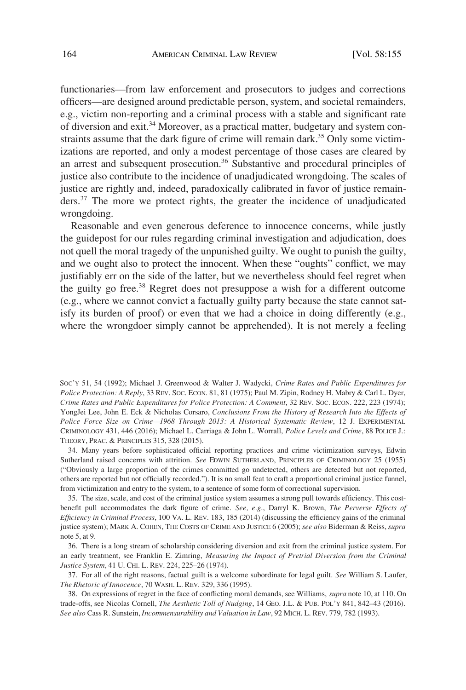functionaries—from law enforcement and prosecutors to judges and corrections officers—are designed around predictable person, system, and societal remainders, e.g., victim non-reporting and a criminal process with a stable and significant rate of diversion and exit.<sup>34</sup> Moreover, as a practical matter, budgetary and system constraints assume that the dark figure of crime will remain dark.<sup>35</sup> Only some victimizations are reported, and only a modest percentage of those cases are cleared by an arrest and subsequent prosecution.<sup>36</sup> Substantive and procedural principles of justice also contribute to the incidence of unadjudicated wrongdoing. The scales of justice are rightly and, indeed, paradoxically calibrated in favor of justice remainders.37 The more we protect rights, the greater the incidence of unadjudicated wrongdoing.

Reasonable and even generous deference to innocence concerns, while justly the guidepost for our rules regarding criminal investigation and adjudication, does not quell the moral tragedy of the unpunished guilty. We ought to punish the guilty, and we ought also to protect the innocent. When these "oughts" conflict, we may justifiably err on the side of the latter, but we nevertheless should feel regret when the guilty go free.<sup>38</sup> Regret does not presuppose a wish for a different outcome (e.g., where we cannot convict a factually guilty party because the state cannot satisfy its burden of proof) or even that we had a choice in doing differently (e.g., where the wrongdoer simply cannot be apprehended). It is not merely a feeling

SOC'Y 51, 54 (1992); Michael J. Greenwood & Walter J. Wadycki, *Crime Rates and Public Expenditures for Police Protection: A Reply*, 33 REV. SOC. ECON. 81, 81 (1975); Paul M. Zipin, Rodney H. Mabry & Carl L. Dyer, *Crime Rates and Public Expenditures for Police Protection: A Comment*, 32 REV. SOC. ECON. 222, 223 (1974); YongJei Lee, John E. Eck & Nicholas Corsaro, *Conclusions From the History of Research Into the Effects of Police Force Size on Crime—1968 Through 2013: A Historical Systematic Review*, 12 J. EXPERIMENTAL CRIMINOLOGY 431, 446 (2016); Michael L. Carriaga & John L. Worrall, *Police Levels and Crime*, 88 POLICE J.: THEORY, PRAC. & PRINCIPLES 315, 328 (2015).

<sup>34.</sup> Many years before sophisticated official reporting practices and crime victimization surveys, Edwin Sutherland raised concerns with attrition. *See* EDWIN SUTHERLAND, PRINCIPLES OF CRIMINOLOGY 25 (1955) ("Obviously a large proportion of the crimes committed go undetected, others are detected but not reported, others are reported but not officially recorded."). It is no small feat to craft a proportional criminal justice funnel, from victimization and entry to the system, to a sentence of some form of correctional supervision.

<sup>35.</sup> The size, scale, and cost of the criminal justice system assumes a strong pull towards efficiency. This costbenefit pull accommodates the dark figure of crime. *See, e.g*., Darryl K. Brown, *The Perverse Effects of Efficiency in Criminal Process*, 100 VA. L. REV. 183, 185 (2014) (discussing the efficiency gains of the criminal justice system); MARK A. COHEN, THE COSTS OF CRIME AND JUSTICE 6 (2005); *see also* Biderman & Reiss, *supra*  note 5, at 9.

<sup>36.</sup> There is a long stream of scholarship considering diversion and exit from the criminal justice system. For an early treatment, see Franklin E. Zimring, *Measuring the Impact of Pretrial Diversion from the Criminal Justice System*, 41 U. CHI. L. REV. 224, 225–26 (1974).

<sup>37.</sup> For all of the right reasons, factual guilt is a welcome subordinate for legal guilt. *See* William S. Laufer, *The Rhetoric of Innocence*, 70 WASH. L. REV. 329, 336 (1995).

<sup>38.</sup> On expressions of regret in the face of conflicting moral demands, see Williams, *supra* note 10, at 110. On trade-offs, see Nicolas Cornell, *The Aesthetic Toll of Nudging*, 14 GEO. J.L. & PUB. POL'Y 841, 842–43 (2016). *See also* Cass R. Sunstein, *Incommensurability and Valuation in Law*, 92 MICH. L. REV. 779, 782 (1993).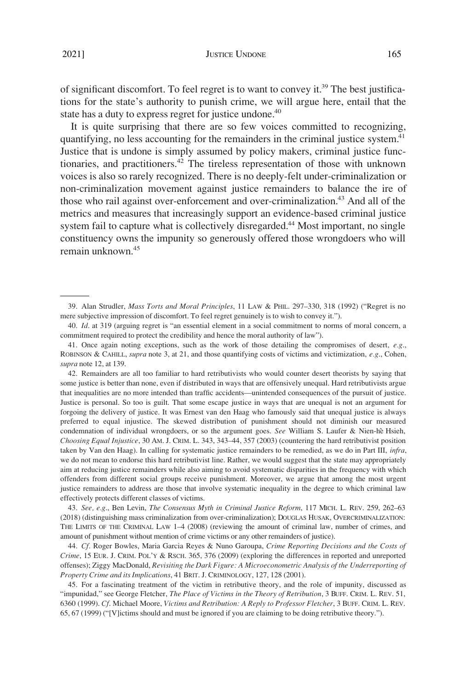JUSTICE UNDONE 165

of significant discomfort. To feel regret is to want to convey it.<sup>39</sup> The best justifications for the state's authority to punish crime, we will argue here, entail that the state has a duty to express regret for justice undone.<sup>40</sup>

It is quite surprising that there are so few voices committed to recognizing, quantifying, no less accounting for the remainders in the criminal justice system.<sup>41</sup> Justice that is undone is simply assumed by policy makers, criminal justice functionaries, and practitioners.42 The tireless representation of those with unknown voices is also so rarely recognized. There is no deeply-felt under-criminalization or non-criminalization movement against justice remainders to balance the ire of those who rail against over-enforcement and over-criminalization.<sup>43</sup> And all of the metrics and measures that increasingly support an evidence-based criminal justice system fail to capture what is collectively disregarded.<sup>44</sup> Most important, no single constituency owns the impunity so generously offered those wrongdoers who will remain unknown.45

42. Remainders are all too familiar to hard retributivists who would counter desert theorists by saying that some justice is better than none, even if distributed in ways that are offensively unequal. Hard retributivists argue that inequalities are no more intended than traffic accidents—unintended consequences of the pursuit of justice. Justice is personal. So too is guilt. That some escape justice in ways that are unequal is not an argument for forgoing the delivery of justice. It was Ernest van den Haag who famously said that unequal justice is always preferred to equal injustice. The skewed distribution of punishment should not diminish our measured condemnation of individual wrongdoers, or so the argument goes. *See* William S. Laufer & Nien-hê Hsieh, *Choosing Equal Injustice*, 30 AM. J. CRIM. L. 343, 343–44, 357 (2003) (countering the hard retributivist position taken by Van den Haag). In calling for systematic justice remainders to be remedied, as we do in Part III, *infra*, we do not mean to endorse this hard retributivist line. Rather, we would suggest that the state may appropriately aim at reducing justice remainders while also aiming to avoid systematic disparities in the frequency with which offenders from different social groups receive punishment. Moreover, we argue that among the most urgent justice remainders to address are those that involve systematic inequality in the degree to which criminal law effectively protects different classes of victims.

43. *See, e.g*., Ben Levin, *The Consensus Myth in Criminal Justice Reform*, 117 MICH. L. REV. 259, 262–63 (2018) (distinguishing mass criminalization from over-criminalization); DOUGLAS HUSAK, OVERCRIMINALIZATION: THE LIMITS OF THE CRIMINAL LAW 1–4 (2008) (reviewing the amount of criminal law, number of crimes, and amount of punishment without mention of crime victims or any other remainders of justice).

44. *Cf*. Roger Bowles, Maria Garcia Reyes & Nuno Garoupa, *Crime Reporting Decisions and the Costs of Crime*, 15 EUR. J. CRIM. POL'Y & RSCH. 365, 376 (2009) (exploring the differences in reported and unreported offenses); Ziggy MacDonald, *Revisiting the Dark Figure: A Microeconometric Analysis of the Underreporting of Property Crime and its Implications*, 41 BRIT. J. CRIMINOLOGY, 127, 128 (2001).

45. For a fascinating treatment of the victim in retributive theory, and the role of impunity, discussed as "impunidad," see George Fletcher, *The Place of Victims in the Theory of Retribution*, 3 BUFF. CRIM. L. REV. 51, 6360 (1999). *Cf*. Michael Moore, *Victims and Retribution: A Reply to Professor Fletcher*, 3 BUFF. CRIM. L. REV. 65, 67 (1999) ("[V]ictims should and must be ignored if you are claiming to be doing retributive theory.").

<sup>39.</sup> Alan Strudler, *Mass Torts and Moral Principles*, 11 LAW & PHIL. 297–330, 318 (1992) ("Regret is no mere subjective impression of discomfort. To feel regret genuinely is to wish to convey it.").

<sup>40.</sup> *Id*. at 319 (arguing regret is "an essential element in a social commitment to norms of moral concern, a commitment required to protect the credibility and hence the moral authority of law").

<sup>41.</sup> Once again noting exceptions, such as the work of those detailing the compromises of desert, *e.g*., ROBINSON & CAHILL, *supra* note 3, at 21, and those quantifying costs of victims and victimization, *e.g*., Cohen, *supra* note 12, at 139.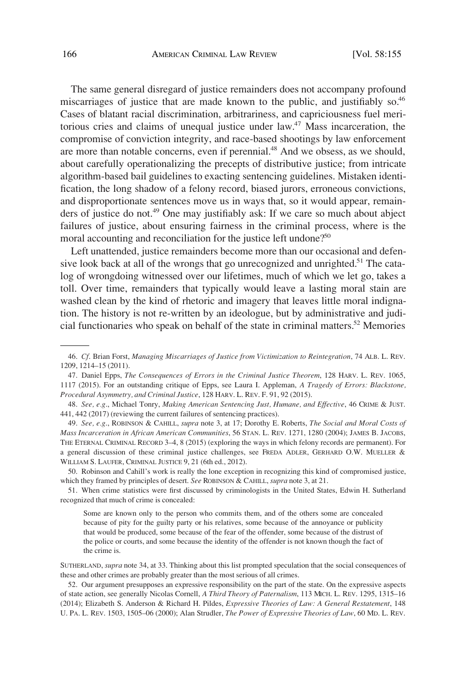The same general disregard of justice remainders does not accompany profound miscarriages of justice that are made known to the public, and justifiably so.<sup>46</sup> Cases of blatant racial discrimination, arbitrariness, and capriciousness fuel meritorious cries and claims of unequal justice under law.47 Mass incarceration, the compromise of conviction integrity, and race-based shootings by law enforcement are more than notable concerns, even if perennial.<sup>48</sup> And we obsess, as we should, about carefully operationalizing the precepts of distributive justice; from intricate algorithm-based bail guidelines to exacting sentencing guidelines. Mistaken identification, the long shadow of a felony record, biased jurors, erroneous convictions, and disproportionate sentences move us in ways that, so it would appear, remainders of justice do not.<sup>49</sup> One may justifiably ask: If we care so much about abject failures of justice, about ensuring fairness in the criminal process, where is the moral accounting and reconciliation for the justice left undone?<sup>50</sup>

Left unattended, justice remainders become more than our occasional and defensive look back at all of the wrongs that go unrecognized and unrighted.<sup>51</sup> The catalog of wrongdoing witnessed over our lifetimes, much of which we let go, takes a toll. Over time, remainders that typically would leave a lasting moral stain are washed clean by the kind of rhetoric and imagery that leaves little moral indignation. The history is not re-written by an ideologue, but by administrative and judicial functionaries who speak on behalf of the state in criminal matters.52 Memories

<sup>46.</sup> *Cf*. Brian Forst, *Managing Miscarriages of Justice from Victimization to Reintegration*, 74 ALB. L. REV. 1209, 1214–15 (2011).

<sup>47.</sup> Daniel Epps, *The Consequences of Errors in the Criminal Justice Theorem*, 128 HARV. L. REV. 1065, 1117 (2015). For an outstanding critique of Epps, see Laura I. Appleman, *A Tragedy of Errors: Blackstone, Procedural Asymmetry, and Criminal Justice*, 128 HARV. L. REV. F. 91, 92 (2015).

<sup>48.</sup> *See, e.g*., Michael Tonry, *Making American Sentencing Just, Humane, and Effective*, 46 CRIME & JUST. 441, 442 (2017) (reviewing the current failures of sentencing practices).

<sup>49.</sup> *See, e.g*., ROBINSON & CAHILL, *supra* note 3, at 17; Dorothy E. Roberts, *The Social and Moral Costs of Mass Incarceration in African American Communities*, 56 STAN. L. REV. 1271, 1280 (2004); JAMES B. JACOBS, THE ETERNAL CRIMINAL RECORD 3–4, 8 (2015) (exploring the ways in which felony records are permanent). For a general discussion of these criminal justice challenges, see FREDA ADLER, GERHARD O.W. MUELLER & WILLIAM S. LAUFER, CRIMINAL JUSTICE 9, 21 (6th ed., 2012).

<sup>50.</sup> Robinson and Cahill's work is really the lone exception in recognizing this kind of compromised justice, which they framed by principles of desert. *See* ROBINSON & CAHILL, *supra* note 3, at 21.

<sup>51.</sup> When crime statistics were first discussed by criminologists in the United States, Edwin H. Sutherland recognized that much of crime is concealed:

Some are known only to the person who commits them, and of the others some are concealed because of pity for the guilty party or his relatives, some because of the annoyance or publicity that would be produced, some because of the fear of the offender, some because of the distrust of the police or courts, and some because the identity of the offender is not known though the fact of the crime is.

SUTHERLAND, *supra* note 34, at 33. Thinking about this list prompted speculation that the social consequences of these and other crimes are probably greater than the most serious of all crimes.

<sup>52.</sup> Our argument presupposes an expressive responsibility on the part of the state. On the expressive aspects of state action, see generally Nicolas Cornell, *A Third Theory of Paternalism*, 113 MICH. L. REV. 1295, 1315–16 (2014); Elizabeth S. Anderson & Richard H. Pildes, *Expressive Theories of Law: A General Restatement*, 148 U. PA. L. REV. 1503, 1505–06 (2000); Alan Strudler, *The Power of Expressive Theories of Law*, 60 MD. L. REV.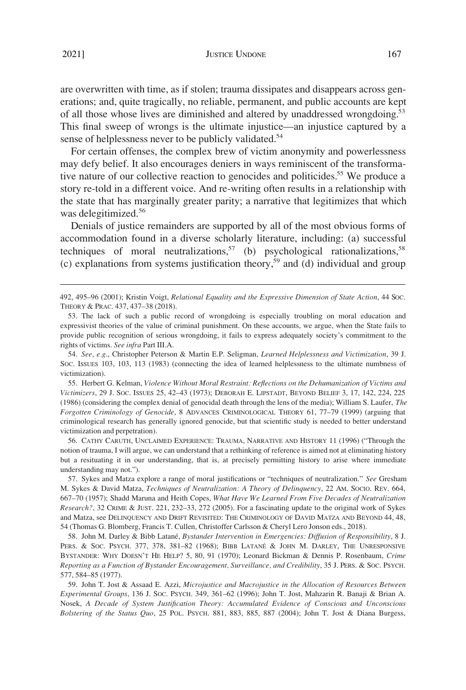2021]

are overwritten with time, as if stolen; trauma dissipates and disappears across generations; and, quite tragically, no reliable, permanent, and public accounts are kept of all those whose lives are diminished and altered by unaddressed wrongdoing.<sup>53</sup> This final sweep of wrongs is the ultimate injustice—an injustice captured by a sense of helplessness never to be publicly validated.<sup>54</sup>

For certain offenses, the complex brew of victim anonymity and powerlessness may defy belief. It also encourages deniers in ways reminiscent of the transformative nature of our collective reaction to genocides and politicides.<sup>55</sup> We produce a story re-told in a different voice. And re-writing often results in a relationship with the state that has marginally greater parity; a narrative that legitimizes that which was delegitimized.<sup>56</sup>

Denials of justice remainders are supported by all of the most obvious forms of accommodation found in a diverse scholarly literature, including: (a) successful techniques of moral neutralizations,<sup>57</sup> (b) psychological rationalizations,<sup>58</sup> (c) explanations from systems justification theory,<sup>59</sup> and (d) individual and group

54. *See, e.g*., Christopher Peterson & Martin E.P. Seligman, *Learned Helplessness and Victimization*, 39 J. SOC. ISSUES 103, 103, 113 (1983) (connecting the idea of learned helplessness to the ultimate numbness of victimization).

55. Herbert G. Kelman, *Violence Without Moral Restraint: Reflections on the Dehumanization of Victims and Victimizers*, 29 J. SOC. ISSUES 25, 42–43 (1973); DEBORAH E. LIPSTADT, BEYOND BELIEF 3, 17, 142, 224, 225 (1986) (considering the complex denial of genocidal death through the lens of the media); William S. Laufer, *The Forgotten Criminology of Genocide*, 8 ADVANCES CRIMINOLOGICAL THEORY 61, 77–79 (1999) (arguing that criminological research has generally ignored genocide, but that scientific study is needed to better understand victimization and perpetration).

56. CATHY CARUTH, UNCLAIMED EXPERIENCE: TRAUMA, NARRATIVE AND HISTORY 11 (1996) ("Through the notion of trauma, I will argue, we can understand that a rethinking of reference is aimed not at eliminating history but a resituating it in our understanding, that is, at precisely permitting history to arise where immediate understanding may not.").

57. Sykes and Matza explore a range of moral justifications or "techniques of neutralization." *See* Gresham M. Sykes & David Matza, *Techniques of Neutralization: A Theory of Delinquency*, 22 AM. SOCIO. REV. 664, 667–70 (1957); Shadd Maruna and Heith Copes, *What Have We Learned From Five Decades of Neutralization Research?*, 32 CRIME & JUST. 221, 232–33, 272 (2005). For a fascinating update to the original work of Sykes and Matza, see DELINQUENCY AND DRIFT REVISITED: THE CRIMINOLOGY OF DAVID MATZA AND BEYOND 44, 48, 54 (Thomas G. Blomberg, Francis T. Cullen, Christoffer Carlsson & Cheryl Lero Jonson eds., 2018).

58. John M. Darley & Bibb Latane´, *Bystander Intervention in Emergencies: Diffusion of Responsibility*, 8 J. PERS. & SOC. PSYCH. 377, 378, 381-82 (1968); BIBB LATANÉ & JOHN M. DARLEY, THE UNRESPONSIVE BYSTANDER: WHY DOESN'T HE HELP? 5, 80, 91 (1970); Leonard Bickman & Dennis P. Rosenbaum, *Crime Reporting as a Function of Bystander Encouragement, Surveillance, and Credibility*, 35 J. PERS. & SOC. PSYCH. 577, 584–85 (1977).

59. John T. Jost & Assaad E. Azzi, *Microjustice and Macrojustice in the Allocation of Resources Between Experimental Groups*, 136 J. SOC. PSYCH. 349, 361–62 (1996); John T. Jost, Mahzarin R. Banaji & Brian A. Nosek, *A Decade of System Justification Theory: Accumulated Evidence of Conscious and Unconscious Bolstering of the Status Quo*, 25 POL. PSYCH. 881, 883, 885, 887 (2004); John T. Jost & Diana Burgess,

<sup>492, 495–96 (2001);</sup> Kristin Voigt, *Relational Equality and the Expressive Dimension of State Action*, 44 SOC. THEORY & PRAC. 437, 437–38 (2018).

<sup>53.</sup> The lack of such a public record of wrongdoing is especially troubling on moral education and expressivist theories of the value of criminal punishment. On these accounts, we argue, when the State fails to provide public recognition of serious wrongdoing, it fails to express adequately society's commitment to the rights of victims. *See infra* Part III.A.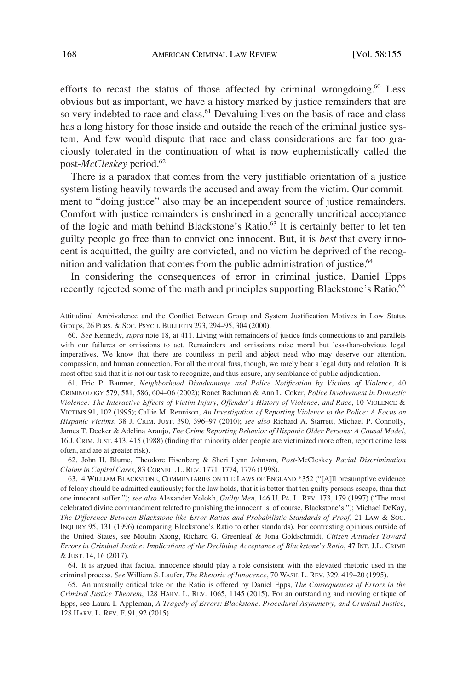efforts to recast the status of those affected by criminal wrongdoing.<sup>60</sup> Less obvious but as important, we have a history marked by justice remainders that are so very indebted to race and class.<sup>61</sup> Devaluing lives on the basis of race and class has a long history for those inside and outside the reach of the criminal justice system. And few would dispute that race and class considerations are far too graciously tolerated in the continuation of what is now euphemistically called the post-*McCleskey* period.62

There is a paradox that comes from the very justifiable orientation of a justice system listing heavily towards the accused and away from the victim. Our commitment to "doing justice" also may be an independent source of justice remainders. Comfort with justice remainders is enshrined in a generally uncritical acceptance of the logic and math behind Blackstone's Ratio.<sup>63</sup> It is certainly better to let ten guilty people go free than to convict one innocent. But, it is *best* that every innocent is acquitted, the guilty are convicted, and no victim be deprived of the recognition and validation that comes from the public administration of justice.<sup>64</sup>

In considering the consequences of error in criminal justice, Daniel Epps recently rejected some of the math and principles supporting Blackstone's Ratio.<sup>65</sup>

61. Eric P. Baumer, *Neighborhood Disadvantage and Police Notification by Victims of Violence*, 40 CRIMINOLOGY 579, 581, 586, 604–06 (2002); Ronet Bachman & Ann L. Coker, *Police Involvement in Domestic Violence: The Interactive Effects of Victim Injury, Offender's History of Violence, and Race*, 10 VIOLENCE & VICTIMS 91, 102 (1995); Callie M. Rennison, *An Investigation of Reporting Violence to the Police: A Focus on Hispanic Victims*, 38 J. CRIM. JUST. 390, 396–97 (2010); *see also* Richard A. Starrett, Michael P. Connolly, James T. Decker & Adelina Araujo, *The Crime Reporting Behavior of Hispanic Older Persons: A Causal Model*, 16 J. CRIM. JUST. 413, 415 (1988) (finding that minority older people are victimized more often, report crime less often, and are at greater risk).

62. John H. Blume, Theodore Eisenberg & Sheri Lynn Johnson, *Post-*McCleskey *Racial Discrimination Claims in Capital Cases*, 83 CORNELL L. REV. 1771, 1774, 1776 (1998).

63. 4 WILLIAM BLACKSTONE, COMMENTARIES ON THE LAWS OF ENGLAND \*352 ("[A]ll presumptive evidence of felony should be admitted cautiously; for the law holds, that it is better that ten guilty persons escape, than that one innocent suffer."); *see also* Alexander Volokh, *Guilty Men*, 146 U. PA. L. REV. 173, 179 (1997) ("The most celebrated divine commandment related to punishing the innocent is, of course, Blackstone's."); Michael DeKay, *The Difference Between Blackstone-like Error Ratios and Probabilistic Standards of Proof*, 21 LAW & SOC. INQUIRY 95, 131 (1996) (comparing Blackstone's Ratio to other standards). For contrasting opinions outside of the United States, see Moulin Xiong, Richard G. Greenleaf & Jona Goldschmidt, *Citizen Attitudes Toward Errors in Criminal Justice: Implications of the Declining Acceptance of Blackstone's Ratio*, 47 INT. J.L. CRIME & JUST. 14, 16 (2017).

64. It is argued that factual innocence should play a role consistent with the elevated rhetoric used in the criminal process. *See* William S. Laufer, *The Rhetoric of Innocence*, 70 WASH. L. REV. 329, 419–20 (1995).

65. An unusually critical take on the Ratio is offered by Daniel Epps, *The Consequences of Errors in the Criminal Justice Theorem*, 128 HARV. L. REV. 1065, 1145 (2015). For an outstanding and moving critique of Epps, see Laura I. Appleman, *A Tragedy of Errors: Blackstone, Procedural Asymmetry, and Criminal Justice*, 128 HARV. L. REV. F. 91, 92 (2015).

Attitudinal Ambivalence and the Conflict Between Group and System Justification Motives in Low Status Groups, 26 PERS. & SOC. PSYCH. BULLETIN 293, 294–95, 304 (2000).

<sup>60.</sup> *See* Kennedy, *supra* note 18, at 411. Living with remainders of justice finds connections to and parallels with our failures or omissions to act. Remainders and omissions raise moral but less-than-obvious legal imperatives. We know that there are countless in peril and abject need who may deserve our attention, compassion, and human connection. For all the moral fuss, though, we rarely bear a legal duty and relation. It is most often said that it is not our task to recognize, and thus ensure, any semblance of public adjudication.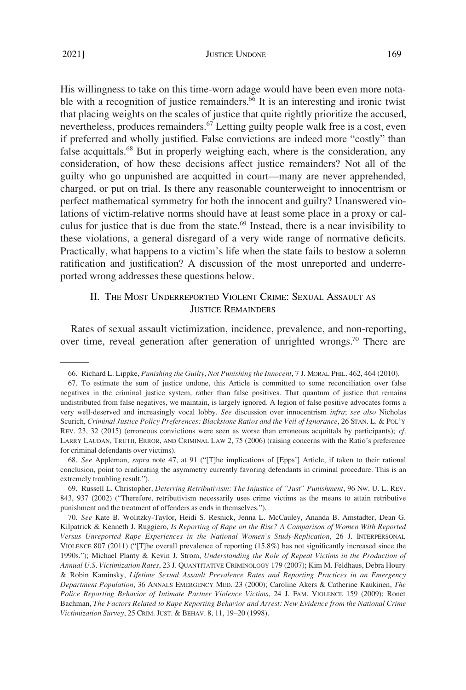### JUSTICE UNDONE 169

<span id="page-14-0"></span>His willingness to take on this time-worn adage would have been even more notable with a recognition of justice remainders. $66$  It is an interesting and ironic twist that placing weights on the scales of justice that quite rightly prioritize the accused, nevertheless, produces remainders.<sup>67</sup> Letting guilty people walk free is a cost, even if preferred and wholly justified. False convictions are indeed more "costly" than false acquittals.<sup>68</sup> But in properly weighing each, where is the consideration, any consideration, of how these decisions affect justice remainders? Not all of the guilty who go unpunished are acquitted in court—many are never apprehended, charged, or put on trial. Is there any reasonable counterweight to innocentrism or perfect mathematical symmetry for both the innocent and guilty? Unanswered violations of victim-relative norms should have at least some place in a proxy or calculus for justice that is due from the state.<sup>69</sup> Instead, there is a near invisibility to these violations, a general disregard of a very wide range of normative deficits. Practically, what happens to a victim's life when the state fails to bestow a solemn ratification and justification? A discussion of the most unreported and underreported wrong addresses these questions below.

# II. THE MOST UNDERREPORTED VIOLENT CRIME: SEXUAL ASSAULT AS JUSTICE REMAINDERS

Rates of sexual assault victimization, incidence, prevalence, and non-reporting, over time, reveal generation after generation of unrighted wrongs.<sup>70</sup> There are

<sup>66.</sup> Richard L. Lippke, *Punishing the Guilty, Not Punishing the Innocent*, 7 J. MORAL PHIL. 462, 464 (2010).

<sup>67.</sup> To estimate the sum of justice undone, this Article is committed to some reconciliation over false negatives in the criminal justice system, rather than false positives. That quantum of justice that remains undistributed from false negatives, we maintain, is largely ignored. A legion of false positive advocates forms a very well-deserved and increasingly vocal lobby. *See* discussion over innocentrism *infra*; *see also* Nicholas Scurich, *Criminal Justice Policy Preferences: Blackstone Ratios and the Veil of Ignorance*, 26 STAN. L. & POL'Y REV. 23, 32 (2015) (erroneous convictions were seen as worse than erroneous acquittals by participants); *cf*. LARRY LAUDAN, TRUTH, ERROR, AND CRIMINAL LAW 2, 75 (2006) (raising concerns with the Ratio's preference for criminal defendants over victims).

<sup>68.</sup> *See* Appleman, *supra* note 47, at 91 ("[T]he implications of [Epps'] Article, if taken to their rational conclusion, point to eradicating the asymmetry currently favoring defendants in criminal procedure. This is an extremely troubling result.").

<sup>69.</sup> Russell L. Christopher, *Deterring Retributivism: The Injustice of "Just" Punishment*, 96 NW. U. L. REV. 843, 937 (2002) ("Therefore, retributivism necessarily uses crime victims as the means to attain retributive punishment and the treatment of offenders as ends in themselves.").

<sup>70.</sup> *See* Kate B. Wolitzky-Taylor, Heidi S. Resnick, Jenna L. McCauley, Ananda B. Amstadter, Dean G. Kilpatrick & Kenneth J. Ruggiero, *Is Reporting of Rape on the Rise? A Comparison of Women With Reported Versus Unreported Rape Experiences in the National Women's Study-Replication*, 26 J. INTERPERSONAL VIOLENCE 807 (2011) ("[T]he overall prevalence of reporting (15.8%) has not significantly increased since the 1990s."); Michael Planty & Kevin J. Strom, *Understanding the Role of Repeat Victims in the Production of Annual U.S. Victimization Rates*, 23 J. QUANTITATIVE CRIMINOLOGY 179 (2007); Kim M. Feldhaus, Debra Houry & Robin Kaminsky, *Lifetime Sexual Assault Prevalence Rates and Reporting Practices in an Emergency Department Population*, 36 ANNALS EMERGENCY MED. 23 (2000); Caroline Akers & Catherine Kaukinen, *The Police Reporting Behavior of Intimate Partner Violence Victims*, 24 J. FAM. VIOLENCE 159 (2009); Ronet Bachman, *The Factors Related to Rape Reporting Behavior and Arrest: New Evidence from the National Crime Victimization Survey*, 25 CRIM. JUST. & BEHAV. 8, 11, 19–20 (1998).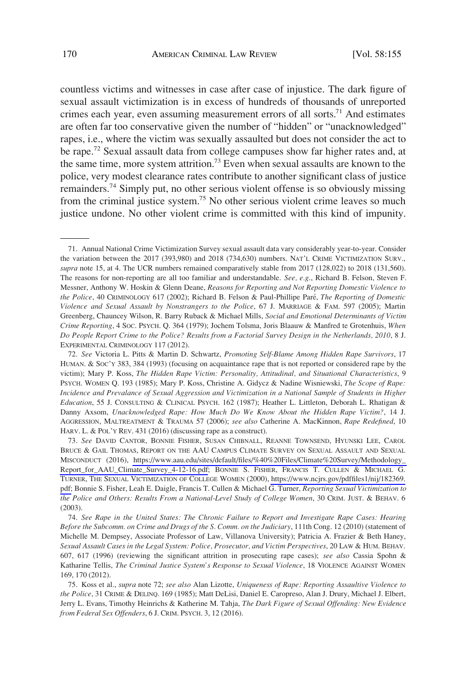countless victims and witnesses in case after case of injustice. The dark figure of sexual assault victimization is in excess of hundreds of thousands of unreported crimes each year, even assuming measurement errors of all sorts.<sup>71</sup> And estimates are often far too conservative given the number of "hidden" or "unacknowledged" rapes, i.e., where the victim was sexually assaulted but does not consider the act to be rape.72 Sexual assault data from college campuses show far higher rates and, at the same time, more system attrition.<sup>73</sup> Even when sexual assaults are known to the police, very modest clearance rates contribute to another significant class of justice remainders.74 Simply put, no other serious violent offense is so obviously missing from the criminal justice system.<sup>75</sup> No other serious violent crime leaves so much justice undone. No other violent crime is committed with this kind of impunity.

<sup>71.</sup> Annual National Crime Victimization Survey sexual assault data vary considerably year-to-year. Consider the variation between the 2017 (393,980) and 2018 (734,630) numbers. NAT'L CRIME VICTIMIZATION SURV., *supra* note 15, at 4. The UCR numbers remained comparatively stable from 2017 (128,022) to 2018 (131,560). The reasons for non-reporting are all too familiar and understandable. *See, e.g*., Richard B. Felson, Steven F. Messner, Anthony W. Hoskin & Glenn Deane, *Reasons for Reporting and Not Reporting Domestic Violence to the Police*, 40 CRIMINOLOGY 617 (2002); Richard B. Felson & Paul-Phillipe Pare´, *The Reporting of Domestic Violence and Sexual Assault by Nonstrangers to the Police*, 67 J. MARRIAGE & FAM. 597 (2005); Martin Greenberg, Chauncey Wilson, R. Barry Ruback & Michael Mills, *Social and Emotional Determinants of Victim Crime Reporting*, 4 SOC. PSYCH. Q. 364 (1979); Jochem Tolsma, Joris Blaauw & Manfred te Grotenhuis, *When Do People Report Crime to the Police? Results from a Factorial Survey Design in the Netherlands, 2010*, 8 J. EXPERIMENTAL CRIMINOLOGY 117 (2012).

<sup>72.</sup> *See* Victoria L. Pitts & Martin D. Schwartz, *Promoting Self-Blame Among Hidden Rape Survivors*, 17 HUMAN. & SOC'Y 383, 384 (1993) (focusing on acquaintance rape that is not reported or considered rape by the victim); Mary P. Koss, *The Hidden Rape Victim: Personality, Attitudinal, and Situational Characteristics*, 9 PSYCH. WOMEN Q. 193 (1985); Mary P. Koss, Christine A. Gidycz & Nadine Wisniewski, *The Scope of Rape: Incidence and Prevalance of Sexual Aggression and Victimization in a National Sample of Students in Higher Education*, 55 J. CONSULTING & CLINICAL PSYCH. 162 (1987); Heather L. Littleton, Deborah L. Rhatigan & Danny Axsom, *Unacknowledged Rape: How Much Do We Know About the Hidden Rape Victim?*, 14 J. AGGRESSION, MALTREATMENT & TRAUMA 57 (2006); *see also* Catherine A. MacKinnon, *Rape Redefined*, 10 HARV. L. & POL'Y REV. 431 (2016) (discussing rape as a construct).

*See* DAVID CANTOR, BONNIE FISHER, SUSAN CHIBNALL, REANNE TOWNSEND, HYUNSKI LEE, CAROL 73. BRUCE & GAIL THOMAS, REPORT ON THE AAU CAMPUS CLIMATE SURVEY ON SEXUAL ASSAULT AND SEXUAL MISCONDUCT (2016), [https://www.aau.edu/sites/default/files/%40%20Files/Climate%20Survey/Methodology\\_](https://www.aau.edu/sites/default/files/%40%20Files/Climate%20Survey/Methodology_Report_for_AAU_Climate_Survey_4-12-16.pdf)  [Report\\_for\\_AAU\\_Climate\\_Survey\\_4-12-16.pdf](https://www.aau.edu/sites/default/files/%40%20Files/Climate%20Survey/Methodology_Report_for_AAU_Climate_Survey_4-12-16.pdf); BONNIE S. FISHER, FRANCIS T. CULLEN & MICHAEL G. TURNER, THE SEXUAL VICTIMIZATION OF COLLEGE WOMEN (2000), [https://www.ncjrs.gov/pdffiles1/nij/182369.](https://www.ncjrs.gov/pdffiles1/nij/182369.pdf) [pdf;](https://www.ncjrs.gov/pdffiles1/nij/182369.pdf) Bonnie S. Fisher, Leah E. Daigle, Francis T. Cullen & Michael G. Turner, *Reporting Sexual Victimization to the Police and Others: Results From a National-Level Study of College Women*, 30 CRIM. JUST. & BEHAV. 6 (2003).

<sup>74.</sup> *See Rape in the United States: The Chronic Failure to Report and Investigate Rape Cases: Hearing Before the Subcomm. on Crime and Drugs of the S. Comm. on the Judiciary*, 111th Cong. 12 (2010) (statement of Michelle M. Dempsey, Associate Professor of Law, Villanova University); Patricia A. Frazier & Beth Haney, *Sexual Assault Cases in the Legal System: Police, Prosecutor, and Victim Perspectives*, 20 LAW & HUM. BEHAV. 607, 617 (1996) (reviewing the significant attrition in prosecuting rape cases); *see also* Cassia Spohn & Katharine Tellis, *The Criminal Justice System's Response to Sexual Violence*, 18 VIOLENCE AGAINST WOMEN 169, 170 (2012).

<sup>75.</sup> Koss et al., *supra* note 72; *see also* Alan Lizotte, *Uniqueness of Rape: Reporting Assaultive Violence to the Police*, 31 CRIME & DELINQ. 169 (1985); Matt DeLisi, Daniel E. Caropreso, Alan J. Drury, Michael J. Elbert, Jerry L. Evans, Timothy Heinrichs & Katherine M. Tahja, *The Dark Figure of Sexual Offending: New Evidence from Federal Sex Offenders*, 6 J. CRIM. PSYCH. 3, 12 (2016).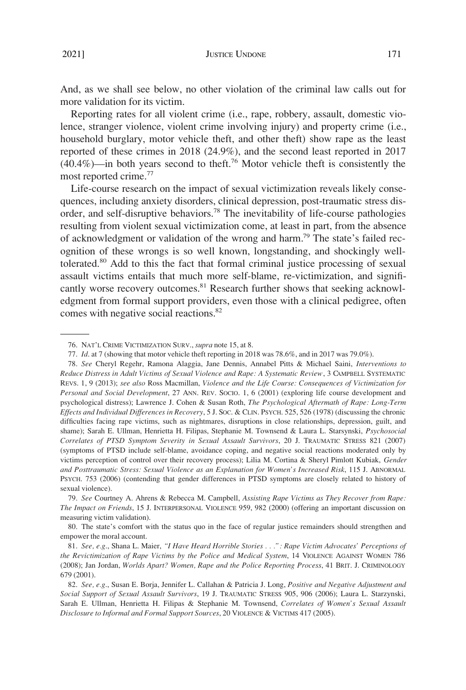And, as we shall see below, no other violation of the criminal law calls out for more validation for its victim.

Reporting rates for all violent crime (i.e., rape, robbery, assault, domestic violence, stranger violence, violent crime involving injury) and property crime (i.e., household burglary, motor vehicle theft, and other theft) show rape as the least reported of these crimes in 2018 (24.9%), and the second least reported in 2017  $(40.4\%)$ —in both years second to theft.<sup>76</sup> Motor vehicle theft is consistently the most reported crime.<sup>77</sup>

Life-course research on the impact of sexual victimization reveals likely consequences, including anxiety disorders, clinical depression, post-traumatic stress disorder, and self-disruptive behaviors.78 The inevitability of life-course pathologies resulting from violent sexual victimization come, at least in part, from the absence of acknowledgment or validation of the wrong and harm.<sup>79</sup> The state's failed recognition of these wrongs is so well known, longstanding, and shockingly welltolerated.80 Add to this the fact that formal criminal justice processing of sexual assault victims entails that much more self-blame, re-victimization, and significantly worse recovery outcomes.<sup>81</sup> Research further shows that seeking acknowledgment from formal support providers, even those with a clinical pedigree, often comes with negative social reactions.82

<sup>76.</sup> NAT'L CRIME VICTIMIZATION SURV., *supra* note 15, at 8.

<sup>77.</sup> *Id*. at 7 (showing that motor vehicle theft reporting in 2018 was 78.6%, and in 2017 was 79.0%).

<sup>78.</sup> *See* Cheryl Regehr, Ramona Alaggia, Jane Dennis, Annabel Pitts & Michael Saini, *Interventions to Reduce Distress in Adult Victims of Sexual Violence and Rape: A Systematic Review*, 3 CAMPBELL SYSTEMATIC REVS. 1, 9 (2013); *see also* Ross Macmillan, *Violence and the Life Course: Consequences of Victimization for Personal and Social Development*, 27 ANN. REV. SOCIO. 1, 6 (2001) (exploring life course development and psychological distress); Lawrence J. Cohen & Susan Roth, *The Psychological Aftermath of Rape: Long-Term Effects and Individual Differences in Recovery*, 5 J. SOC. & CLIN. PSYCH. 525, 526 (1978) (discussing the chronic difficulties facing rape victims, such as nightmares, disruptions in close relationships, depression, guilt, and shame); Sarah E. Ullman, Henrietta H. Filipas, Stephanie M. Townsend & Laura L. Starsynski, *Psychosocial Correlates of PTSD Symptom Severity in Sexual Assault Survivors*, 20 J. TRAUMATIC STRESS 821 (2007) (symptoms of PTSD include self-blame, avoidance coping, and negative social reactions moderated only by victims perception of control over their recovery process); Lilia M. Cortina & Sheryl Pimlott Kubiak, *Gender and Posttraumatic Stress: Sexual Violence as an Explanation for Women's Increased Risk*, 115 J. ABNORMAL PSYCH. 753 (2006) (contending that gender differences in PTSD symptoms are closely related to history of sexual violence).

<sup>79.</sup> *See* Courtney A. Ahrens & Rebecca M. Campbell, *Assisting Rape Victims as They Recover from Rape: The Impact on Friends*, 15 J. INTERPERSONAL VIOLENCE 959, 982 (2000) (offering an important discussion on measuring victim validation).

<sup>80.</sup> The state's comfort with the status quo in the face of regular justice remainders should strengthen and empower the moral account.

<sup>81.</sup> *See, e.g*., Shana L. Maier, *"I Have Heard Horrible Stories . . .": Rape Victim Advocates' Perceptions of the Revictimization of Rape Victims by the Police and Medical System*, 14 VIOLENCE AGAINST WOMEN 786 (2008); Jan Jordan, *Worlds Apart? Women, Rape and the Police Reporting Process*, 41 BRIT. J. CRIMINOLOGY 679 (2001).

<sup>82.</sup> *See, e.g*., Susan E. Borja, Jennifer L. Callahan & Patricia J. Long, *Positive and Negative Adjustment and Social Support of Sexual Assault Survivors*, 19 J. TRAUMATIC STRESS 905, 906 (2006); Laura L. Starzynski, Sarah E. Ullman, Henrietta H. Filipas & Stephanie M. Townsend, *Correlates of Women's Sexual Assault Disclosure to Informal and Formal Support Sources*, 20 VIOLENCE & VICTIMS 417 (2005).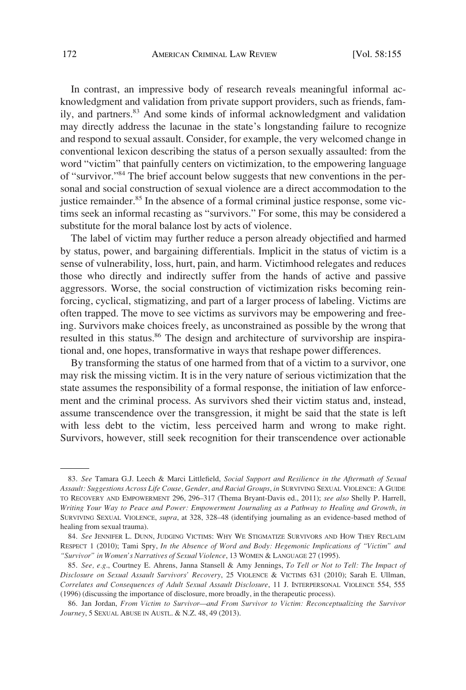In contrast, an impressive body of research reveals meaningful informal acknowledgment and validation from private support providers, such as friends, family, and partners.83 And some kinds of informal acknowledgment and validation may directly address the lacunae in the state's longstanding failure to recognize and respond to sexual assault. Consider, for example, the very welcomed change in conventional lexicon describing the status of a person sexually assaulted: from the word "victim" that painfully centers on victimization, to the empowering language of "survivor."84 The brief account below suggests that new conventions in the personal and social construction of sexual violence are a direct accommodation to the justice remainder.<sup>85</sup> In the absence of a formal criminal justice response, some victims seek an informal recasting as "survivors." For some, this may be considered a substitute for the moral balance lost by acts of violence.

The label of victim may further reduce a person already objectified and harmed by status, power, and bargaining differentials. Implicit in the status of victim is a sense of vulnerability, loss, hurt, pain, and harm. Victimhood relegates and reduces those who directly and indirectly suffer from the hands of active and passive aggressors. Worse, the social construction of victimization risks becoming reinforcing, cyclical, stigmatizing, and part of a larger process of labeling. Victims are often trapped. The move to see victims as survivors may be empowering and freeing. Survivors make choices freely, as unconstrained as possible by the wrong that resulted in this status.<sup>86</sup> The design and architecture of survivorship are inspirational and, one hopes, transformative in ways that reshape power differences.

By transforming the status of one harmed from that of a victim to a survivor, one may risk the missing victim. It is in the very nature of serious victimization that the state assumes the responsibility of a formal response, the initiation of law enforcement and the criminal process. As survivors shed their victim status and, instead, assume transcendence over the transgression, it might be said that the state is left with less debt to the victim, less perceived harm and wrong to make right. Survivors, however, still seek recognition for their transcendence over actionable

<sup>83.</sup> *See* Tamara G.J. Leech & Marci Littlefield, *Social Support and Resilience in the Aftermath of Sexual Assault: Suggestions Across Life Couse, Gender, and Racial Groups*, *in* SURVIVING SEXUAL VIOLENCE: A GUIDE TO RECOVERY AND EMPOWERMENT 296, 296–317 (Thema Bryant-Davis ed., 2011); *see also* Shelly P. Harrell, *Writing Your Way to Peace and Power: Empowerment Journaling as a Pathway to Healing and Growth*, *in*  SURVIVING SEXUAL VIOLENCE, *supra*, at 328, 328–48 (identifying journaling as an evidence-based method of healing from sexual trauma).

<sup>84.</sup> *See* JENNIFER L. DUNN, JUDGING VICTIMS: WHY WE STIGMATIZE SURVIVORS AND HOW THEY RECLAIM RESPECT 1 (2010); Tami Spry, *In the Absence of Word and Body: Hegemonic Implications of "Victim" and "Survivor" in Women's Narratives of Sexual Violence*, 13 WOMEN & LANGUAGE 27 (1995).

<sup>85.</sup> *See, e.g*., Courtney E. Ahrens, Janna Stansell & Amy Jennings, *To Tell or Not to Tell: The Impact of Disclosure on Sexual Assault Survivors' Recovery*, 25 VIOLENCE & VICTIMS 631 (2010); Sarah E. Ullman, *Correlates and Consequences of Adult Sexual Assault Disclosure*, 11 J. INTERPERSONAL VIOLENCE 554, 555 (1996) (discussing the importance of disclosure, more broadly, in the therapeutic process).

<sup>86.</sup> Jan Jordan, *From Victim to Survivor—and From Survivor to Victim: Reconceptualizing the Survivor Journey*, 5 SEXUAL ABUSE IN AUSTL. & N.Z. 48, 49 (2013).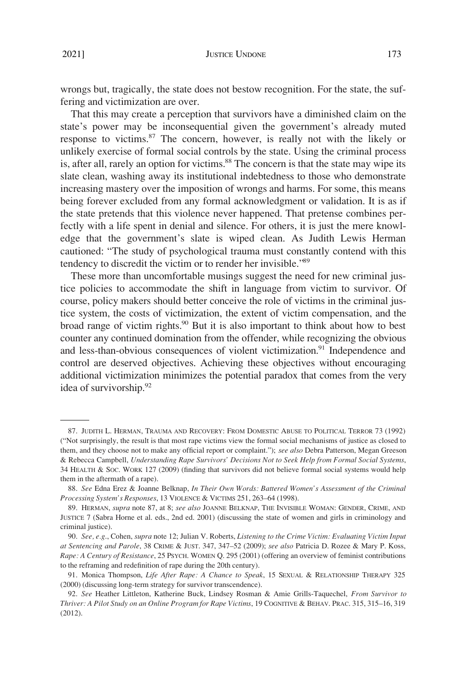wrongs but, tragically, the state does not bestow recognition. For the state, the suffering and victimization are over.

That this may create a perception that survivors have a diminished claim on the state's power may be inconsequential given the government's already muted response to victims.<sup>87</sup> The concern, however, is really not with the likely or unlikely exercise of formal social controls by the state. Using the criminal process is, after all, rarely an option for victims.<sup>88</sup> The concern is that the state may wipe its slate clean, washing away its institutional indebtedness to those who demonstrate increasing mastery over the imposition of wrongs and harms. For some, this means being forever excluded from any formal acknowledgment or validation. It is as if the state pretends that this violence never happened. That pretense combines perfectly with a life spent in denial and silence. For others, it is just the mere knowledge that the government's slate is wiped clean. As Judith Lewis Herman cautioned: "The study of psychological trauma must constantly contend with this tendency to discredit the victim or to render her invisible."89

These more than uncomfortable musings suggest the need for new criminal justice policies to accommodate the shift in language from victim to survivor. Of course, policy makers should better conceive the role of victims in the criminal justice system, the costs of victimization, the extent of victim compensation, and the broad range of victim rights.<sup>90</sup> But it is also important to think about how to best counter any continued domination from the offender, while recognizing the obvious and less-than-obvious consequences of violent victimization.<sup>91</sup> Independence and control are deserved objectives. Achieving these objectives without encouraging additional victimization minimizes the potential paradox that comes from the very idea of survivorship.<sup>92</sup>

<sup>87.</sup> JUDITH L. HERMAN, TRAUMA AND RECOVERY: FROM DOMESTIC ABUSE TO POLITICAL TERROR 73 (1992) ("Not surprisingly, the result is that most rape victims view the formal social mechanisms of justice as closed to them, and they choose not to make any official report or complaint."); *see also* Debra Patterson, Megan Greeson & Rebecca Campbell, *Understanding Rape Survivors' Decisions Not to Seek Help from Formal Social Systems*, 34 HEALTH & SOC. WORK 127 (2009) (finding that survivors did not believe formal social systems would help them in the aftermath of a rape).

<sup>88.</sup> *See* Edna Erez & Joanne Belknap, *In Their Own Words: Battered Women's Assessment of the Criminal Processing System's Responses*, 13 VIOLENCE & VICTIMS 251, 263–64 (1998).

<sup>89.</sup> HERMAN, *supra* note 87, at 8; *see also* JOANNE BELKNAP, THE INVISIBLE WOMAN: GENDER, CRIME, AND JUSTICE 7 (Sabra Horne et al. eds., 2nd ed. 2001) (discussing the state of women and girls in criminology and criminal justice).

<sup>90.</sup> *See, e.g*., Cohen, *supra* note 12; Julian V. Roberts, *Listening to the Crime Victim: Evaluating Victim Input at Sentencing and Parole*, 38 CRIME & JUST. 347, 347–52 (2009); *see also* Patricia D. Rozee & Mary P. Koss, *Rape: A Century of Resistance*, 25 PSYCH. WOMEN Q. 295 (2001) (offering an overview of feminist contributions to the reframing and redefinition of rape during the 20th century).

<sup>91.</sup> Monica Thompson, *Life After Rape: A Chance to Speak*, 15 SEXUAL & RELATIONSHIP THERAPY 325 (2000) (discussing long-term strategy for survivor transcendence).

<sup>92.</sup> *See* Heather Littleton, Katherine Buck, Lindsey Rosman & Amie Grills-Taquechel, *From Survivor to Thriver: A Pilot Study on an Online Program for Rape Victims*, 19 COGNITIVE & BEHAV. PRAC. 315, 315–16, 319 (2012).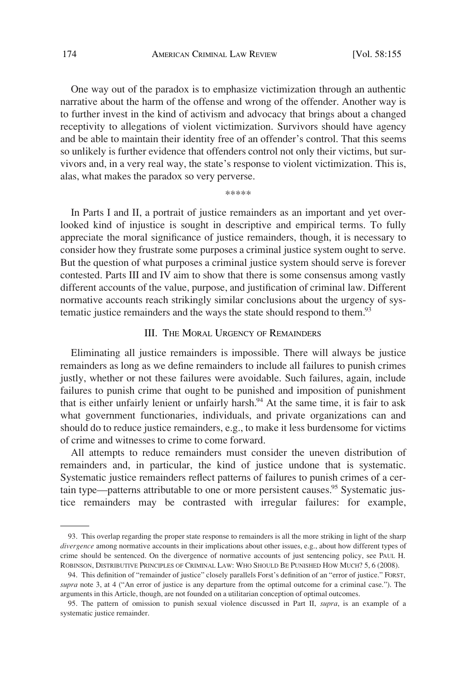<span id="page-19-0"></span>One way out of the paradox is to emphasize victimization through an authentic narrative about the harm of the offense and wrong of the offender. Another way is to further invest in the kind of activism and advocacy that brings about a changed receptivity to allegations of violent victimization. Survivors should have agency and be able to maintain their identity free of an offender's control. That this seems so unlikely is further evidence that offenders control not only their victims, but survivors and, in a very real way, the state's response to violent victimization. This is, alas, what makes the paradox so very perverse.

\*\*\*\*\*

In Parts I and II, a portrait of justice remainders as an important and yet overlooked kind of injustice is sought in descriptive and empirical terms. To fully appreciate the moral significance of justice remainders, though, it is necessary to consider how they frustrate some purposes a criminal justice system ought to serve. But the question of what purposes a criminal justice system should serve is forever contested. Parts III and IV aim to show that there is some consensus among vastly different accounts of the value, purpose, and justification of criminal law. Different normative accounts reach strikingly similar conclusions about the urgency of systematic justice remainders and the ways the state should respond to them.<sup>93</sup>

# III. THE MORAL URGENCY OF REMAINDERS

Eliminating all justice remainders is impossible. There will always be justice remainders as long as we define remainders to include all failures to punish crimes justly, whether or not these failures were avoidable. Such failures, again, include failures to punish crime that ought to be punished and imposition of punishment that is either unfairly lenient or unfairly harsh.<sup>94</sup> At the same time, it is fair to ask what government functionaries, individuals, and private organizations can and should do to reduce justice remainders, e.g., to make it less burdensome for victims of crime and witnesses to crime to come forward.

All attempts to reduce remainders must consider the uneven distribution of remainders and, in particular, the kind of justice undone that is systematic. Systematic justice remainders reflect patterns of failures to punish crimes of a certain type—patterns attributable to one or more persistent causes.<sup>95</sup> Systematic justice remainders may be contrasted with irregular failures: for example,

<sup>93.</sup> This overlap regarding the proper state response to remainders is all the more striking in light of the sharp *divergence* among normative accounts in their implications about other issues, e.g., about how different types of crime should be sentenced. On the divergence of normative accounts of just sentencing policy, see PAUL H. ROBINSON, DISTRIBUTIVE PRINCIPLES OF CRIMINAL LAW: WHO SHOULD BE PUNISHED HOW MUCH? 5, 6 (2008).

<sup>94.</sup> This definition of "remainder of justice" closely parallels Forst's definition of an "error of justice." FORST, *supra* note 3, at 4 ("An error of justice is any departure from the optimal outcome for a criminal case."). The arguments in this Article, though, are not founded on a utilitarian conception of optimal outcomes.

<sup>95.</sup> The pattern of omission to punish sexual violence discussed in Part II, *supra*, is an example of a systematic justice remainder.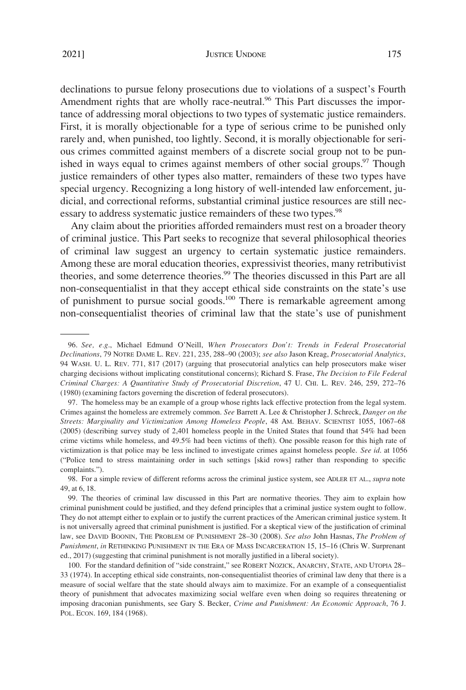declinations to pursue felony prosecutions due to violations of a suspect's Fourth Amendment rights that are wholly race-neutral.<sup>96</sup> This Part discusses the importance of addressing moral objections to two types of systematic justice remainders. First, it is morally objectionable for a type of serious crime to be punished only rarely and, when punished, too lightly. Second, it is morally objectionable for serious crimes committed against members of a discrete social group not to be punished in ways equal to crimes against members of other social groups.<sup>97</sup> Though justice remainders of other types also matter, remainders of these two types have special urgency. Recognizing a long history of well-intended law enforcement, judicial, and correctional reforms, substantial criminal justice resources are still necessary to address systematic justice remainders of these two types.<sup>98</sup>

Any claim about the priorities afforded remainders must rest on a broader theory of criminal justice. This Part seeks to recognize that several philosophical theories of criminal law suggest an urgency to certain systematic justice remainders. Among these are moral education theories, expressivist theories, many retributivist theories, and some deterrence theories.99 The theories discussed in this Part are all non-consequentialist in that they accept ethical side constraints on the state's use of punishment to pursue social goods.<sup>100</sup> There is remarkable agreement among non-consequentialist theories of criminal law that the state's use of punishment

<sup>96.</sup> *See, e.g*., Michael Edmund O'Neill, *When Prosecutors Don't: Trends in Federal Prosecutorial Declinations*, 79 NOTRE DAME L. REV. 221, 235, 288–90 (2003); *see also* Jason Kreag, *Prosecutorial Analytics*, 94 WASH. U. L. REV. 771, 817 (2017) (arguing that prosecutorial analytics can help prosecutors make wiser charging decisions without implicating constitutional concerns); Richard S. Frase, *The Decision to File Federal Criminal Charges: A Quantitative Study of Prosecutorial Discretion*, 47 U. CHI. L. REV. 246, 259, 272–76 (1980) (examining factors governing the discretion of federal prosecutors).

<sup>97.</sup> The homeless may be an example of a group whose rights lack effective protection from the legal system. Crimes against the homeless are extremely common. *See* Barrett A. Lee & Christopher J. Schreck, *Danger on the Streets: Marginality and Victimization Among Homeless People*, 48 AM. BEHAV. SCIENTIST 1055, 1067–68 (2005) (describing survey study of 2,401 homeless people in the United States that found that 54% had been crime victims while homeless, and 49.5% had been victims of theft). One possible reason for this high rate of victimization is that police may be less inclined to investigate crimes against homeless people. *See id*. at 1056 ("Police tend to stress maintaining order in such settings [skid rows] rather than responding to specific complaints.").

<sup>98.</sup> For a simple review of different reforms across the criminal justice system, see ADLER ET AL., *supra* note 49, at 6, 18.

<sup>99.</sup> The theories of criminal law discussed in this Part are normative theories. They aim to explain how criminal punishment could be justified, and they defend principles that a criminal justice system ought to follow. They do not attempt either to explain or to justify the current practices of the American criminal justice system. It is not universally agreed that criminal punishment is justified. For a skeptical view of the justification of criminal law, see DAVID BOONIN, THE PROBLEM OF PUNISHMENT 28–30 (2008). *See also* John Hasnas, *The Problem of Punishment*, *in* RETHINKING PUNISHMENT IN THE ERA OF MASS INCARCERATION 15, 15–16 (Chris W. Surprenant ed., 2017) (suggesting that criminal punishment is not morally justified in a liberal society).

<sup>100.</sup> For the standard definition of "side constraint," see ROBERT NOZICK, ANARCHY, STATE, AND UTOPIA 28– 33 (1974). In accepting ethical side constraints, non-consequentialist theories of criminal law deny that there is a measure of social welfare that the state should always aim to maximize. For an example of a consequentialist theory of punishment that advocates maximizing social welfare even when doing so requires threatening or imposing draconian punishments, see Gary S. Becker, *Crime and Punishment: An Economic Approach*, 76 J. POL. ECON. 169, 184 (1968).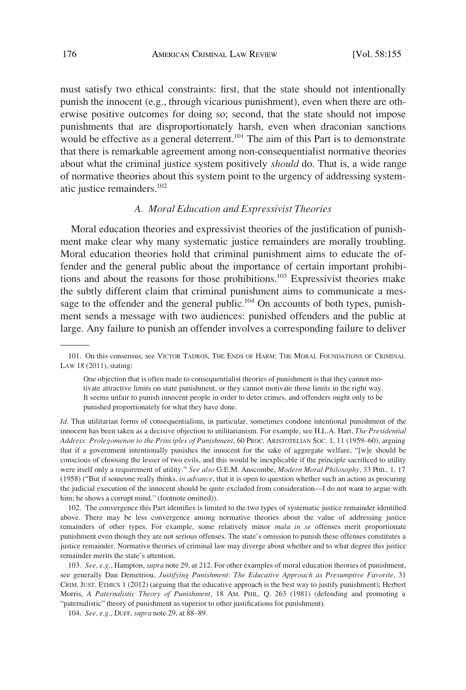<span id="page-21-0"></span>must satisfy two ethical constraints: first, that the state should not intentionally punish the innocent (e.g., through vicarious punishment), even when there are otherwise positive outcomes for doing so; second, that the state should not impose punishments that are disproportionately harsh, even when draconian sanctions would be effective as a general deterrent.<sup>101</sup> The aim of this Part is to demonstrate that there is remarkable agreement among non-consequentialist normative theories about what the criminal justice system positively *should* do. That is, a wide range of normative theories about this system point to the urgency of addressing systematic justice remainders.102

## *A. Moral Education and Expressivist Theories*

Moral education theories and expressivist theories of the justification of punishment make clear why many systematic justice remainders are morally troubling. Moral education theories hold that criminal punishment aims to educate the offender and the general public about the importance of certain important prohibitions and about the reasons for those prohibitions.<sup>103</sup> Expressivist theories make the subtly different claim that criminal punishment aims to communicate a message to the offender and the general public. $104$  On accounts of both types, punishment sends a message with two audiences: punished offenders and the public at large. Any failure to punish an offender involves a corresponding failure to deliver

*Id*. That utilitarian forms of consequentialism, in particular, sometimes condone intentional punishment of the innocent has been taken as a decisive objection to utilitarianism. For example, see H.L.A. Hart, *The Presidential Address: Prolegomenon to the Principles of Punishment*, 60 PROC. ARISTOTELIAN SOC. 1, 11 (1959–60), arguing that if a government intentionally punishes the innocent for the sake of aggregate welfare, "[w]e should be conscious of choosing the lesser of two evils, and this would be inexplicable if the principle sacrificed to utility were itself only a requirement of utility." *See also* G.E.M. Anscombe, *Modern Moral Philosophy*, 33 PHIL. 1, 17 (1958) ("But if someone really thinks, *in advance*, that it is open to question whether such an action as procuring the judicial execution of the innocent should be quite excluded from consideration—I do not want to argue with him; he shows a corrupt mind." (footnote omitted)).

102. The convergence this Part identifies is limited to the two types of systematic justice remainder identified above. There may be less convergence among normative theories about the value of addressing justice remainders of other types. For example, some relatively minor *mala in se* offenses merit proportionate punishment even though they are not serious offenses. The state's omission to punish these offenses constitutes a justice remainder. Normative theories of criminal law may diverge about whether and to what degree this justice remainder merits the state's attention.

103. *See, e.g*., Hampton, *supra* note 29, at 212. For other examples of moral education theories of punishment, see generally Dan Demetriou, *Justifying Punishment: The Educative Approach as Presumptive Favorite*, 31 CRIM. JUST. ETHICS 1 (2012) (arguing that the educative approach is the best way to justify punishment); Herbert Morris, *A Paternalistic Theory of Punishment*, 18 AM. PHIL. Q. 263 (1981) (defending and promoting a "paternalistic" theory of punishment as superior to other justifications for punishment).

104. *See, e.g*., DUFF, *supra* note 29, at 88–89.

<sup>101.</sup> On this consensus, see VICTOR TADROS, THE ENDS OF HARM: THE MORAL FOUNDATIONS OF CRIMINAL LAW 18 (2011), stating:

One objection that is often made to consequentialist theories of punishment is that they cannot motivate attractive limits on state punishment, or they cannot motivate those limits in the right way. It seems unfair to punish innocent people in order to deter crimes, and offenders ought only to be punished proportionately for what they have done.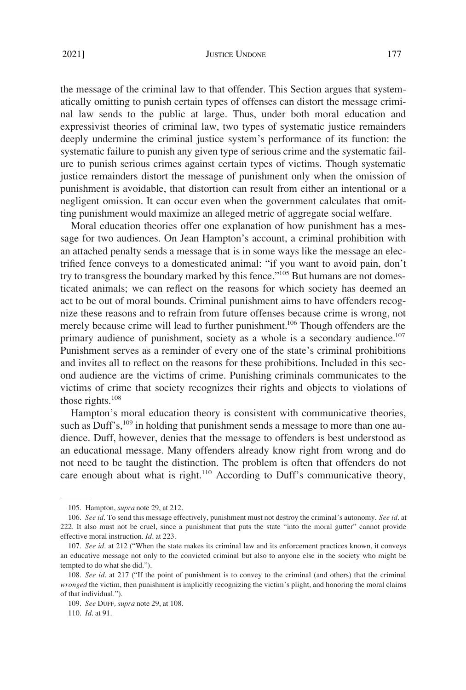the message of the criminal law to that offender. This Section argues that systematically omitting to punish certain types of offenses can distort the message criminal law sends to the public at large. Thus, under both moral education and expressivist theories of criminal law, two types of systematic justice remainders deeply undermine the criminal justice system's performance of its function: the systematic failure to punish any given type of serious crime and the systematic failure to punish serious crimes against certain types of victims. Though systematic justice remainders distort the message of punishment only when the omission of punishment is avoidable, that distortion can result from either an intentional or a negligent omission. It can occur even when the government calculates that omitting punishment would maximize an alleged metric of aggregate social welfare.

Moral education theories offer one explanation of how punishment has a message for two audiences. On Jean Hampton's account, a criminal prohibition with an attached penalty sends a message that is in some ways like the message an electrified fence conveys to a domesticated animal: "if you want to avoid pain, don't try to transgress the boundary marked by this fence."<sup>105</sup> But humans are not domesticated animals; we can reflect on the reasons for which society has deemed an act to be out of moral bounds. Criminal punishment aims to have offenders recognize these reasons and to refrain from future offenses because crime is wrong, not merely because crime will lead to further punishment.<sup>106</sup> Though offenders are the primary audience of punishment, society as a whole is a secondary audience.<sup>107</sup> Punishment serves as a reminder of every one of the state's criminal prohibitions and invites all to reflect on the reasons for these prohibitions. Included in this second audience are the victims of crime. Punishing criminals communicates to the victims of crime that society recognizes their rights and objects to violations of those rights. $108$ 

Hampton's moral education theory is consistent with communicative theories, such as Duff's, $109$  in holding that punishment sends a message to more than one audience. Duff, however, denies that the message to offenders is best understood as an educational message. Many offenders already know right from wrong and do not need to be taught the distinction. The problem is often that offenders do not care enough about what is right.<sup>110</sup> According to Duff's communicative theory,

<sup>105.</sup> Hampton, *supra* note 29, at 212.

<sup>106.</sup> *See id*. To send this message effectively, punishment must not destroy the criminal's autonomy. *See id*. at 222. It also must not be cruel, since a punishment that puts the state "into the moral gutter" cannot provide effective moral instruction. *Id*. at 223.

<sup>107.</sup> *See id*. at 212 ("When the state makes its criminal law and its enforcement practices known, it conveys an educative message not only to the convicted criminal but also to anyone else in the society who might be tempted to do what she did.").

<sup>108.</sup> *See id*. at 217 ("If the point of punishment is to convey to the criminal (and others) that the criminal *wronged* the victim, then punishment is implicitly recognizing the victim's plight, and honoring the moral claims of that individual.").

<sup>109.</sup> *See* DUFF*, supra* note 29, at 108.

<sup>110.</sup> *Id*. at 91.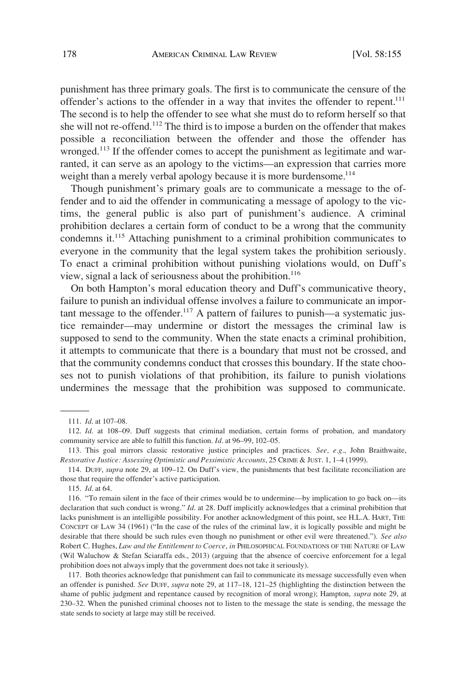punishment has three primary goals. The first is to communicate the censure of the offender's actions to the offender in a way that invites the offender to repent.<sup>111</sup> The second is to help the offender to see what she must do to reform herself so that she will not re-offend.<sup>112</sup> The third is to impose a burden on the offender that makes possible a reconciliation between the offender and those the offender has wronged.<sup>113</sup> If the offender comes to accept the punishment as legitimate and warranted, it can serve as an apology to the victims—an expression that carries more weight than a merely verbal apology because it is more burdensome.<sup>114</sup>

Though punishment's primary goals are to communicate a message to the offender and to aid the offender in communicating a message of apology to the victims, the general public is also part of punishment's audience. A criminal prohibition declares a certain form of conduct to be a wrong that the community condemns it.115 Attaching punishment to a criminal prohibition communicates to everyone in the community that the legal system takes the prohibition seriously. To enact a criminal prohibition without punishing violations would, on Duff's view, signal a lack of seriousness about the prohibition.<sup>116</sup>

On both Hampton's moral education theory and Duff's communicative theory, failure to punish an individual offense involves a failure to communicate an important message to the offender.<sup>117</sup> A pattern of failures to punish—a systematic justice remainder—may undermine or distort the messages the criminal law is supposed to send to the community. When the state enacts a criminal prohibition, it attempts to communicate that there is a boundary that must not be crossed, and that the community condemns conduct that crosses this boundary. If the state chooses not to punish violations of that prohibition, its failure to punish violations undermines the message that the prohibition was supposed to communicate.

117. Both theories acknowledge that punishment can fail to communicate its message successfully even when an offender is punished. *See* DUFF, *supra* note 29, at 117–18, 121–25 (highlighting the distinction between the shame of public judgment and repentance caused by recognition of moral wrong); Hampton, *supra* note 29, at 230–32. When the punished criminal chooses not to listen to the message the state is sending, the message the state sends to society at large may still be received.

<sup>111.</sup> *Id*. at 107–08.

<sup>112.</sup> *Id*. at 108–09. Duff suggests that criminal mediation, certain forms of probation, and mandatory community service are able to fulfill this function. *Id*. at 96–99, 102–05.

<sup>113.</sup> This goal mirrors classic restorative justice principles and practices. *See, e.g*., John Braithwaite, *Restorative Justice: Assessing Optimistic and Pessimistic Accounts*, 25 CRIME & JUST. 1, 1–4 (1999).

<sup>114.</sup> DUFF, *supra* note 29, at 109–12. On Duff's view, the punishments that best facilitate reconciliation are those that require the offender's active participation.

<sup>115.</sup> *Id*. at 64.

<sup>116. &</sup>quot;To remain silent in the face of their crimes would be to undermine—by implication to go back on—its declaration that such conduct is wrong." *Id*. at 28. Duff implicitly acknowledges that a criminal prohibition that lacks punishment is an intelligible possibility. For another acknowledgment of this point, see H.L.A. HART, THE CONCEPT OF LAW 34 (1961) ("In the case of the rules of the criminal law, it is logically possible and might be desirable that there should be such rules even though no punishment or other evil were threatened."). *See also*  Robert C. Hughes, *Law and the Entitlement to Coerce*, *in* PHILOSOPHICAL FOUNDATIONS OF THE NATURE OF LAW (Wil Waluchow & Stefan Sciaraffa eds., 2013) (arguing that the absence of coercive enforcement for a legal prohibition does not always imply that the government does not take it seriously).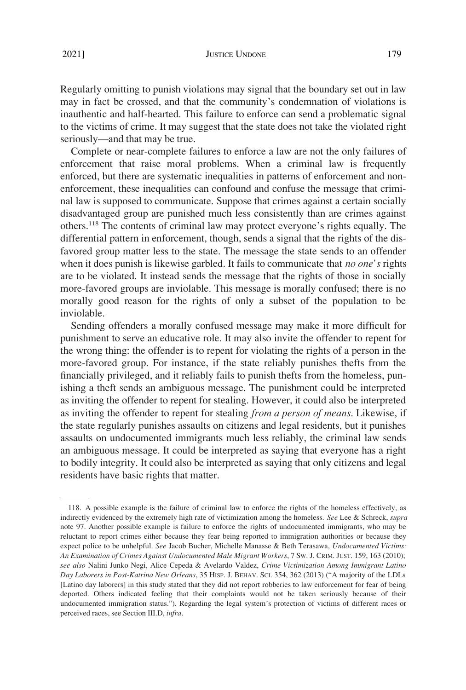Regularly omitting to punish violations may signal that the boundary set out in law may in fact be crossed, and that the community's condemnation of violations is inauthentic and half-hearted. This failure to enforce can send a problematic signal to the victims of crime. It may suggest that the state does not take the violated right seriously—and that may be true.

Complete or near-complete failures to enforce a law are not the only failures of enforcement that raise moral problems. When a criminal law is frequently enforced, but there are systematic inequalities in patterns of enforcement and nonenforcement, these inequalities can confound and confuse the message that criminal law is supposed to communicate. Suppose that crimes against a certain socially disadvantaged group are punished much less consistently than are crimes against others.118 The contents of criminal law may protect everyone's rights equally. The differential pattern in enforcement, though, sends a signal that the rights of the disfavored group matter less to the state. The message the state sends to an offender when it does punish is likewise garbled. It fails to communicate that *no one's* rights are to be violated. It instead sends the message that the rights of those in socially more-favored groups are inviolable. This message is morally confused; there is no morally good reason for the rights of only a subset of the population to be inviolable.

Sending offenders a morally confused message may make it more difficult for punishment to serve an educative role. It may also invite the offender to repent for the wrong thing: the offender is to repent for violating the rights of a person in the more-favored group. For instance, if the state reliably punishes thefts from the financially privileged, and it reliably fails to punish thefts from the homeless, punishing a theft sends an ambiguous message. The punishment could be interpreted as inviting the offender to repent for stealing. However, it could also be interpreted as inviting the offender to repent for stealing *from a person of means*. Likewise, if the state regularly punishes assaults on citizens and legal residents, but it punishes assaults on undocumented immigrants much less reliably, the criminal law sends an ambiguous message. It could be interpreted as saying that everyone has a right to bodily integrity. It could also be interpreted as saying that only citizens and legal residents have basic rights that matter.

<sup>118.</sup> A possible example is the failure of criminal law to enforce the rights of the homeless effectively, as indirectly evidenced by the extremely high rate of victimization among the homeless. *See* Lee & Schreck, *supra*  note 97. Another possible example is failure to enforce the rights of undocumented immigrants, who may be reluctant to report crimes either because they fear being reported to immigration authorities or because they expect police to be unhelpful. *See* Jacob Bucher, Michelle Manasse & Beth Terasawa, *Undocumented Victims: An Examination of Crimes Against Undocumented Male Migrant Workers*, 7 SW. J. CRIM. JUST. 159, 163 (2010); *see also* Nalini Junko Negi, Alice Cepeda & Avelardo Valdez, *Crime Victimization Among Immigrant Latino Day Laborers in Post-Katrina New Orleans*, 35 HISP. J. BEHAV. SCI. 354, 362 (2013) ("A majority of the LDLs [Latino day laborers] in this study stated that they did not report robberies to law enforcement for fear of being deported. Others indicated feeling that their complaints would not be taken seriously because of their undocumented immigration status."). Regarding the legal system's protection of victims of different races or perceived races, see Section III.D, *infra*.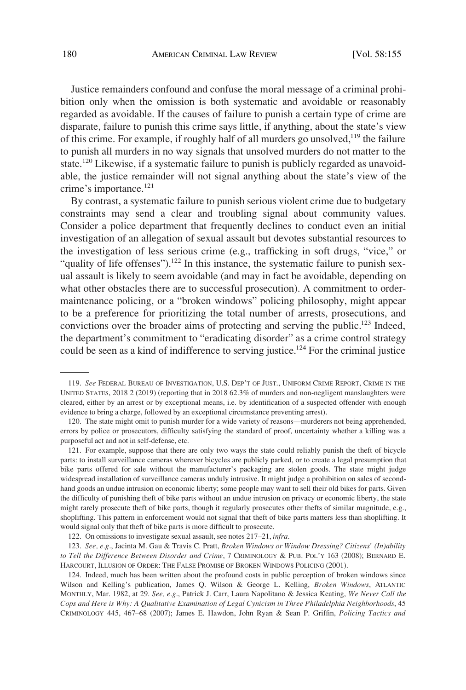Justice remainders confound and confuse the moral message of a criminal prohibition only when the omission is both systematic and avoidable or reasonably regarded as avoidable. If the causes of failure to punish a certain type of crime are disparate, failure to punish this crime says little, if anything, about the state's view of this crime. For example, if roughly half of all murders go unsolved, $1^{19}$  the failure to punish all murders in no way signals that unsolved murders do not matter to the state.<sup>120</sup> Likewise, if a systematic failure to punish is publicly regarded as unavoidable, the justice remainder will not signal anything about the state's view of the crime's importance.<sup>121</sup>

By contrast, a systematic failure to punish serious violent crime due to budgetary constraints may send a clear and troubling signal about community values. Consider a police department that frequently declines to conduct even an initial investigation of an allegation of sexual assault but devotes substantial resources to the investigation of less serious crime (e.g., trafficking in soft drugs, "vice," or "quality of life offenses").<sup>122</sup> In this instance, the systematic failure to punish sexual assault is likely to seem avoidable (and may in fact be avoidable, depending on what other obstacles there are to successful prosecution). A commitment to ordermaintenance policing, or a "broken windows" policing philosophy, might appear to be a preference for prioritizing the total number of arrests, prosecutions, and convictions over the broader aims of protecting and serving the public.<sup>123</sup> Indeed, the department's commitment to "eradicating disorder" as a crime control strategy could be seen as a kind of indifference to serving justice.<sup>124</sup> For the criminal justice

<sup>119.</sup> *See* FEDERAL BUREAU OF INVESTIGATION, U.S. DEP'T OF JUST., UNIFORM CRIME REPORT, CRIME IN THE UNITED STATES, 2018 2 (2019) (reporting that in 2018 62.3% of murders and non-negligent manslaughters were cleared, either by an arrest or by exceptional means, i.e. by identification of a suspected offender with enough evidence to bring a charge, followed by an exceptional circumstance preventing arrest).

<sup>120.</sup> The state might omit to punish murder for a wide variety of reasons—murderers not being apprehended, errors by police or prosecutors, difficulty satisfying the standard of proof, uncertainty whether a killing was a purposeful act and not in self-defense, etc.

<sup>121.</sup> For example, suppose that there are only two ways the state could reliably punish the theft of bicycle parts: to install surveillance cameras wherever bicycles are publicly parked, or to create a legal presumption that bike parts offered for sale without the manufacturer's packaging are stolen goods. The state might judge widespread installation of surveillance cameras unduly intrusive. It might judge a prohibition on sales of secondhand goods an undue intrusion on economic liberty; some people may want to sell their old bikes for parts. Given the difficulty of punishing theft of bike parts without an undue intrusion on privacy or economic liberty, the state might rarely prosecute theft of bike parts, though it regularly prosecutes other thefts of similar magnitude, e.g., shoplifting. This pattern in enforcement would not signal that theft of bike parts matters less than shoplifting. It would signal only that theft of bike parts is more difficult to prosecute.

<sup>122.</sup> On omissions to investigate sexual assault, see notes 217–21, *infra*.

<sup>123.</sup> *See, e.g*., Jacinta M. Gau & Travis C. Pratt, *Broken Windows or Window Dressing? Citizens' (In)ability to Tell the Difference Between Disorder and Crime*, 7 CRIMINOLOGY & PUB. POL'Y 163 (2008); BERNARD E. HARCOURT, ILLUSION OF ORDER: THE FALSE PROMISE OF BROKEN WINDOWS POLICING (2001).

<sup>124.</sup> Indeed, much has been written about the profound costs in public perception of broken windows since Wilson and Kelling's publication, James Q. Wilson & George L. Kelling, *Broken Windows*, ATLANTIC MONTHLY, Mar. 1982, at 29. *See, e.g*., Patrick J. Carr, Laura Napolitano & Jessica Keating, *We Never Call the Cops and Here is Why: A Qualitative Examination of Legal Cynicism in Three Philadelphia Neighborhoods*, 45 CRIMINOLOGY 445, 467–68 (2007); James E. Hawdon, John Ryan & Sean P. Griffin, *Policing Tactics and*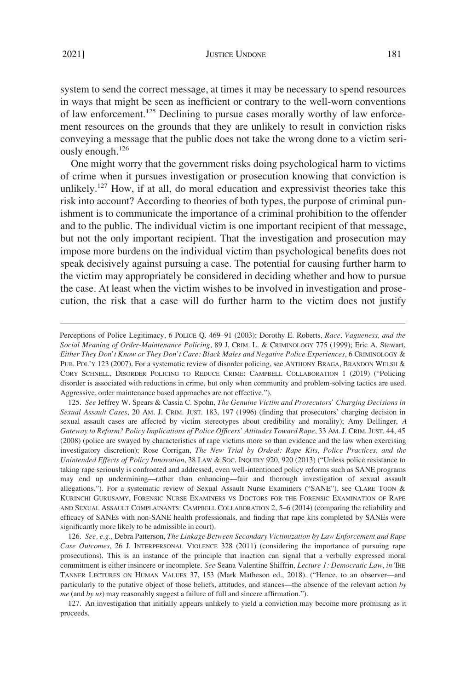system to send the correct message, at times it may be necessary to spend resources in ways that might be seen as inefficient or contrary to the well-worn conventions of law enforcement.125 Declining to pursue cases morally worthy of law enforcement resources on the grounds that they are unlikely to result in conviction risks conveying a message that the public does not take the wrong done to a victim seriously enough.<sup>126</sup>

One might worry that the government risks doing psychological harm to victims of crime when it pursues investigation or prosecution knowing that conviction is unlikely.<sup>127</sup> How, if at all, do moral education and expressivist theories take this risk into account? According to theories of both types, the purpose of criminal punishment is to communicate the importance of a criminal prohibition to the offender and to the public. The individual victim is one important recipient of that message, but not the only important recipient. That the investigation and prosecution may impose more burdens on the individual victim than psychological benefits does not speak decisively against pursuing a case. The potential for causing further harm to the victim may appropriately be considered in deciding whether and how to pursue the case. At least when the victim wishes to be involved in investigation and prosecution, the risk that a case will do further harm to the victim does not justify

126. *See, e.g*., Debra Patterson, *The Linkage Between Secondary Victimization by Law Enforcement and Rape Case Outcomes*, 26 J. INTERPERSONAL VIOLENCE 328 (2011) (considering the importance of pursuing rape prosecutions). This is an instance of the principle that inaction can signal that a verbally expressed moral commitment is either insincere or incomplete. *See* Seana Valentine Shiffrin, *Lecture 1: Democratic Law*, *in* THE TANNER LECTURES ON HUMAN VALUES 37, 153 (Mark Matheson ed., 2018). ("Hence, to an observer—and particularly to the putative object of those beliefs, attitudes, and stances—the absence of the relevant action *by me* (and *by us*) may reasonably suggest a failure of full and sincere affirmation.").

127. An investigation that initially appears unlikely to yield a conviction may become more promising as it proceeds.

Perceptions of Police Legitimacy, 6 POLICE Q. 469–91 (2003); Dorothy E. Roberts, *Race, Vagueness, and the Social Meaning of Order-Maintenance Policing*, 89 J. CRIM. L. & CRIMINOLOGY 775 (1999); Eric A. Stewart, *Either They Don't Know or They Don't Care: Black Males and Negative Police Experiences*, 6 CRIMINOLOGY & PUB. POL'Y 123 (2007). For a systematic review of disorder policing, see ANTHONY BRAGA, BRANDON WELSH & CORY SCHNELL, DISORDER POLICING TO REDUCE CRIME: CAMPBELL COLLABORATION 1 (2019) ("Policing disorder is associated with reductions in crime, but only when community and problem-solving tactics are used. Aggressive, order maintenance based approaches are not effective.").

<sup>125.</sup> *See* Jeffrey W. Spears & Cassia C. Spohn, *The Genuine Victim and Prosecutors' Charging Decisions in Sexual Assault Cases*, 20 AM. J. CRIM. JUST. 183, 197 (1996) (finding that prosecutors' charging decision in sexual assault cases are affected by victim stereotypes about credibility and morality); Amy Dellinger, *A Gateway to Reform? Policy Implications of Police Officers' Attitudes Toward Rape*, 33 AM. J. CRIM. JUST. 44, 45 (2008) (police are swayed by characteristics of rape victims more so than evidence and the law when exercising investigatory discretion); Rose Corrigan, *The New Trial by Ordeal: Rape Kits, Police Practices, and the Unintended Effects of Policy Innovation*, 38 LAW & SOC. INQUIRY 920, 920 (2013) ("Unless police resistance to taking rape seriously is confronted and addressed, even well-intentioned policy reforms such as SANE programs may end up undermining—rather than enhancing—fair and thorough investigation of sexual assault allegations."). For a systematic review of Sexual Assault Nurse Examiners ("SANE"), see CLARE TOON & KURINCHI GURUSAMY, FORENSIC NURSE EXAMINERS VS DOCTORS FOR THE FORENSIC EXAMINATION OF RAPE AND SEXUAL ASSAULT COMPLAINANTS: CAMPBELL COLLABORATION 2, 5–6 (2014) (comparing the reliability and efficacy of SANEs with non-SANE health professionals, and finding that rape kits completed by SANEs were significantly more likely to be admissible in court).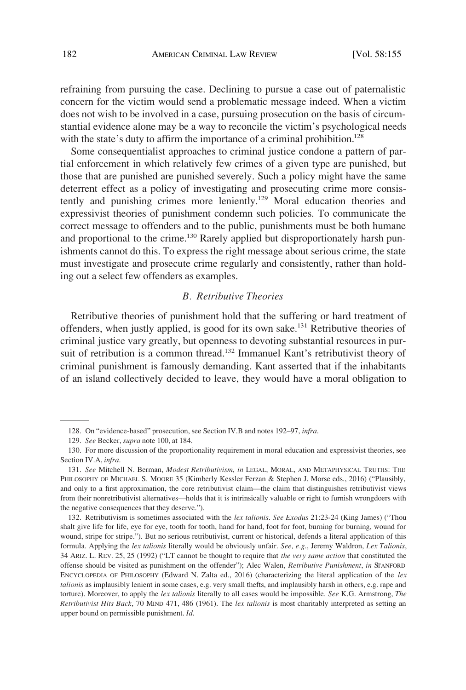<span id="page-27-0"></span>refraining from pursuing the case. Declining to pursue a case out of paternalistic concern for the victim would send a problematic message indeed. When a victim does not wish to be involved in a case, pursuing prosecution on the basis of circumstantial evidence alone may be a way to reconcile the victim's psychological needs with the state's duty to affirm the importance of a criminal prohibition.<sup>128</sup>

Some consequentialist approaches to criminal justice condone a pattern of partial enforcement in which relatively few crimes of a given type are punished, but those that are punished are punished severely. Such a policy might have the same deterrent effect as a policy of investigating and prosecuting crime more consistently and punishing crimes more leniently.<sup>129</sup> Moral education theories and expressivist theories of punishment condemn such policies. To communicate the correct message to offenders and to the public, punishments must be both humane and proportional to the crime.<sup>130</sup> Rarely applied but disproportionately harsh punishments cannot do this. To express the right message about serious crime, the state must investigate and prosecute crime regularly and consistently, rather than holding out a select few offenders as examples.

# *B. Retributive Theories*

Retributive theories of punishment hold that the suffering or hard treatment of offenders, when justly applied, is good for its own sake.131 Retributive theories of criminal justice vary greatly, but openness to devoting substantial resources in pursuit of retribution is a common thread.<sup>132</sup> Immanuel Kant's retributivist theory of criminal punishment is famously demanding. Kant asserted that if the inhabitants of an island collectively decided to leave, they would have a moral obligation to

<sup>128.</sup> On "evidence-based" prosecution, see Section IV.B and notes 192–97, *infra*.

<sup>129.</sup> *See* Becker, *supra* note 100, at 184.

<sup>130.</sup> For more discussion of the proportionality requirement in moral education and expressivist theories, see Section IV.A, *infra*.

<sup>131.</sup> *See* Mitchell N. Berman, *Modest Retributivism*, *in* LEGAL, MORAL, AND METAPHYSICAL TRUTHS: THE PHILOSOPHY OF MICHAEL S. MOORE 35 (Kimberly Kessler Ferzan & Stephen J. Morse eds., 2016) ("Plausibly, and only to a first approximation, the core retributivist claim—the claim that distinguishes retributivist views from their nonretributivist alternatives—holds that it is intrinsically valuable or right to furnish wrongdoers with the negative consequences that they deserve.").

<sup>132.</sup> Retributivism is sometimes associated with the *lex talionis*. *See Exodus* 21:23-24 (King James) ("Thou shalt give life for life, eye for eye, tooth for tooth, hand for hand, foot for foot, burning for burning, wound for wound, stripe for stripe."). But no serious retributivist, current or historical, defends a literal application of this formula. Applying the *lex talionis* literally would be obviously unfair. *See, e.g*., Jeremy Waldron, *Lex Talionis*, 34 ARIZ. L. REV. 25, 25 (1992) ("LT cannot be thought to require that *the very same action* that constituted the offense should be visited as punishment on the offender"); Alec Walen, *Retributive Punishment*, *in* STANFORD ENCYCLOPEDIA OF PHILOSOPHY (Edward N. Zalta ed., 2016) (characterizing the literal application of the *lex talionis* as implausibly lenient in some cases, e.g. very small thefts, and implausibly harsh in others, e.g. rape and torture). Moreover, to apply the *lex talionis* literally to all cases would be impossible. *See* K.G. Armstrong, *The Retributivist Hits Back*, 70 MIND 471, 486 (1961). The *lex talionis* is most charitably interpreted as setting an upper bound on permissible punishment. *Id*.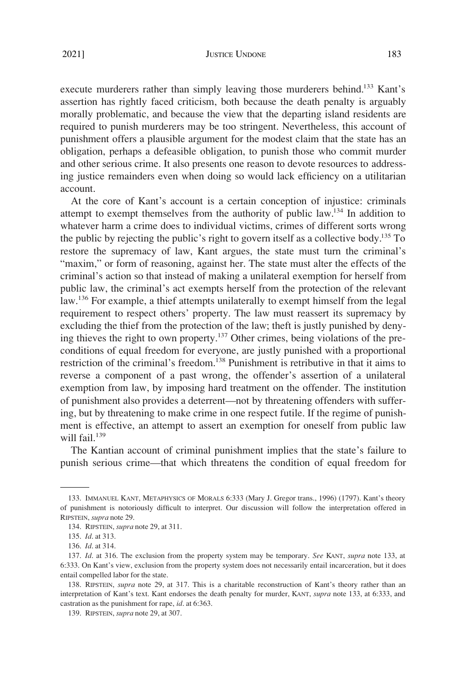#### JUSTICE UNDONE 183

execute murderers rather than simply leaving those murderers behind.<sup>133</sup> Kant's assertion has rightly faced criticism, both because the death penalty is arguably morally problematic, and because the view that the departing island residents are required to punish murderers may be too stringent. Nevertheless, this account of punishment offers a plausible argument for the modest claim that the state has an obligation, perhaps a defeasible obligation, to punish those who commit murder and other serious crime. It also presents one reason to devote resources to addressing justice remainders even when doing so would lack efficiency on a utilitarian account.

At the core of Kant's account is a certain conception of injustice: criminals attempt to exempt themselves from the authority of public law.<sup>134</sup> In addition to whatever harm a crime does to individual victims, crimes of different sorts wrong the public by rejecting the public's right to govern itself as a collective body.<sup>135</sup> To restore the supremacy of law, Kant argues, the state must turn the criminal's "maxim," or form of reasoning, against her. The state must alter the effects of the criminal's action so that instead of making a unilateral exemption for herself from public law, the criminal's act exempts herself from the protection of the relevant law.<sup>136</sup> For example, a thief attempts unilaterally to exempt himself from the legal requirement to respect others' property. The law must reassert its supremacy by excluding the thief from the protection of the law; theft is justly punished by denying thieves the right to own property.137 Other crimes, being violations of the preconditions of equal freedom for everyone, are justly punished with a proportional restriction of the criminal's freedom.138 Punishment is retributive in that it aims to reverse a component of a past wrong, the offender's assertion of a unilateral exemption from law, by imposing hard treatment on the offender. The institution of punishment also provides a deterrent—not by threatening offenders with suffering, but by threatening to make crime in one respect futile. If the regime of punishment is effective, an attempt to assert an exemption for oneself from public law will fail. $139$ 

The Kantian account of criminal punishment implies that the state's failure to punish serious crime—that which threatens the condition of equal freedom for

<sup>133.</sup> IMMANUEL KANT, METAPHYSICS OF MORALS 6:333 (Mary J. Gregor trans., 1996) (1797). Kant's theory of punishment is notoriously difficult to interpret. Our discussion will follow the interpretation offered in RIPSTEIN, *supra* note 29.

<sup>134.</sup> RIPSTEIN, *supra* note 29, at 311.

<sup>135.</sup> *Id*. at 313.

<sup>136.</sup> *Id*. at 314.

<sup>137.</sup> *Id*. at 316. The exclusion from the property system may be temporary. *See* KANT, *supra* note 133, at 6:333. On Kant's view, exclusion from the property system does not necessarily entail incarceration, but it does entail compelled labor for the state.

<sup>138.</sup> RIPSTEIN, *supra* note 29, at 317. This is a charitable reconstruction of Kant's theory rather than an interpretation of Kant's text. Kant endorses the death penalty for murder, KANT, *supra* note 133, at 6:333, and castration as the punishment for rape, *id*. at 6:363.

<sup>139.</sup> RIPSTEIN, *supra* note 29, at 307.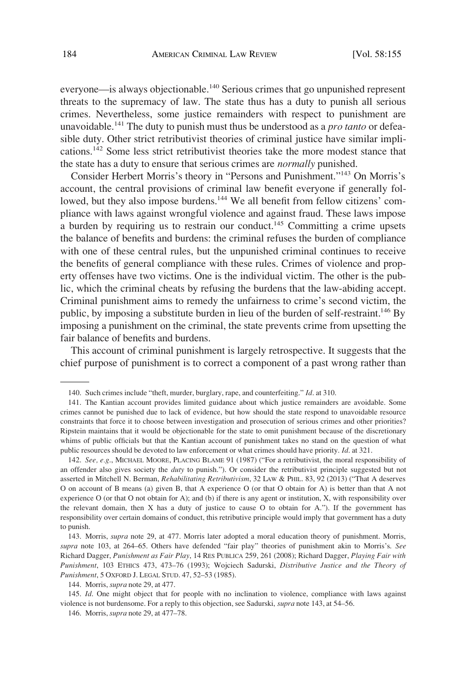everyone—is always objectionable.<sup>140</sup> Serious crimes that go unpunished represent threats to the supremacy of law. The state thus has a duty to punish all serious crimes. Nevertheless, some justice remainders with respect to punishment are unavoidable.141 The duty to punish must thus be understood as a *pro tanto* or defeasible duty. Other strict retributivist theories of criminal justice have similar implications.142 Some less strict retributivist theories take the more modest stance that the state has a duty to ensure that serious crimes are *normally* punished.

Consider Herbert Morris's theory in "Persons and Punishment."143 On Morris's account, the central provisions of criminal law benefit everyone if generally followed, but they also impose burdens.<sup>144</sup> We all benefit from fellow citizens' compliance with laws against wrongful violence and against fraud. These laws impose a burden by requiring us to restrain our conduct.145 Committing a crime upsets the balance of benefits and burdens: the criminal refuses the burden of compliance with one of these central rules, but the unpunished criminal continues to receive the benefits of general compliance with these rules. Crimes of violence and property offenses have two victims. One is the individual victim. The other is the public, which the criminal cheats by refusing the burdens that the law-abiding accept. Criminal punishment aims to remedy the unfairness to crime's second victim, the public, by imposing a substitute burden in lieu of the burden of self-restraint.<sup>146</sup> By imposing a punishment on the criminal, the state prevents crime from upsetting the fair balance of benefits and burdens.

This account of criminal punishment is largely retrospective. It suggests that the chief purpose of punishment is to correct a component of a past wrong rather than

142. *See, e.g*., MICHAEL MOORE, PLACING BLAME 91 (1987) ("For a retributivist, the moral responsibility of an offender also gives society the *duty* to punish."). Or consider the retributivist principle suggested but not asserted in Mitchell N. Berman, *Rehabilitating Retributivism*, 32 LAW & PHIL. 83, 92 (2013) ("That A deserves O on account of B means (a) given B, that A experience O (or that O obtain for A) is better than that A not experience O (or that O not obtain for A); and (b) if there is any agent or institution, X, with responsibility over the relevant domain, then X has a duty of justice to cause O to obtain for A."). If the government has responsibility over certain domains of conduct, this retributive principle would imply that government has a duty to punish.

<sup>140.</sup> Such crimes include "theft, murder, burglary, rape, and counterfeiting." *Id*. at 310.

<sup>141.</sup> The Kantian account provides limited guidance about which justice remainders are avoidable. Some crimes cannot be punished due to lack of evidence, but how should the state respond to unavoidable resource constraints that force it to choose between investigation and prosecution of serious crimes and other priorities? Ripstein maintains that it would be objectionable for the state to omit punishment because of the discretionary whims of public officials but that the Kantian account of punishment takes no stand on the question of what public resources should be devoted to law enforcement or what crimes should have priority. *Id*. at 321.

<sup>143.</sup> Morris, *supra* note 29, at 477. Morris later adopted a moral education theory of punishment. Morris, *supra* note 103, at 264–65. Others have defended "fair play" theories of punishment akin to Morris's. *See*  Richard Dagger, *Punishment as Fair Play*, 14 RES PUBLICA 259, 261 (2008); Richard Dagger, *Playing Fair with Punishment*, 103 ETHICS 473, 473–76 (1993); Wojciech Sadurski, *Distributive Justice and the Theory of Punishment*, 5 OXFORD J. LEGAL STUD. 47, 52–53 (1985).

<sup>144.</sup> Morris, *supra* note 29, at 477.

<sup>145.</sup> *Id*. One might object that for people with no inclination to violence, compliance with laws against violence is not burdensome. For a reply to this objection, see Sadurski, *supra* note 143, at 54–56.

<sup>146.</sup> Morris, *supra* note 29, at 477–78.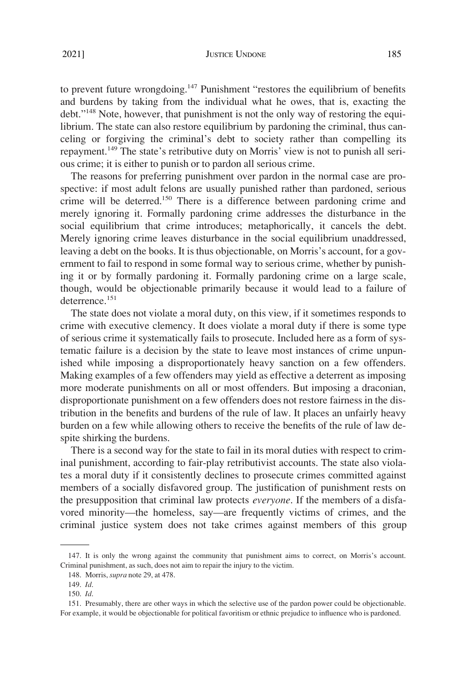#### 2021] JUSTICE UNDONE 185

to prevent future wrongdoing.<sup>147</sup> Punishment "restores the equilibrium of benefits and burdens by taking from the individual what he owes, that is, exacting the debt."148 Note, however, that punishment is not the only way of restoring the equilibrium. The state can also restore equilibrium by pardoning the criminal, thus canceling or forgiving the criminal's debt to society rather than compelling its repayment.149 The state's retributive duty on Morris' view is not to punish all serious crime; it is either to punish or to pardon all serious crime.

The reasons for preferring punishment over pardon in the normal case are prospective: if most adult felons are usually punished rather than pardoned, serious crime will be deterred.150 There is a difference between pardoning crime and merely ignoring it. Formally pardoning crime addresses the disturbance in the social equilibrium that crime introduces; metaphorically, it cancels the debt. Merely ignoring crime leaves disturbance in the social equilibrium unaddressed, leaving a debt on the books. It is thus objectionable, on Morris's account, for a government to fail to respond in some formal way to serious crime, whether by punishing it or by formally pardoning it. Formally pardoning crime on a large scale, though, would be objectionable primarily because it would lead to a failure of deterrence.<sup>151</sup>

The state does not violate a moral duty, on this view, if it sometimes responds to crime with executive clemency. It does violate a moral duty if there is some type of serious crime it systematically fails to prosecute. Included here as a form of systematic failure is a decision by the state to leave most instances of crime unpunished while imposing a disproportionately heavy sanction on a few offenders. Making examples of a few offenders may yield as effective a deterrent as imposing more moderate punishments on all or most offenders. But imposing a draconian, disproportionate punishment on a few offenders does not restore fairness in the distribution in the benefits and burdens of the rule of law. It places an unfairly heavy burden on a few while allowing others to receive the benefits of the rule of law despite shirking the burdens.

There is a second way for the state to fail in its moral duties with respect to criminal punishment, according to fair-play retributivist accounts. The state also violates a moral duty if it consistently declines to prosecute crimes committed against members of a socially disfavored group. The justification of punishment rests on the presupposition that criminal law protects *everyone*. If the members of a disfavored minority—the homeless, say—are frequently victims of crimes, and the criminal justice system does not take crimes against members of this group

<sup>147.</sup> It is only the wrong against the community that punishment aims to correct, on Morris's account. Criminal punishment, as such, does not aim to repair the injury to the victim.

<sup>148.</sup> Morris, *supra* note 29, at 478.

<sup>149.</sup> *Id*.

<sup>150.</sup> *Id*.

<sup>151.</sup> Presumably, there are other ways in which the selective use of the pardon power could be objectionable. For example, it would be objectionable for political favoritism or ethnic prejudice to influence who is pardoned.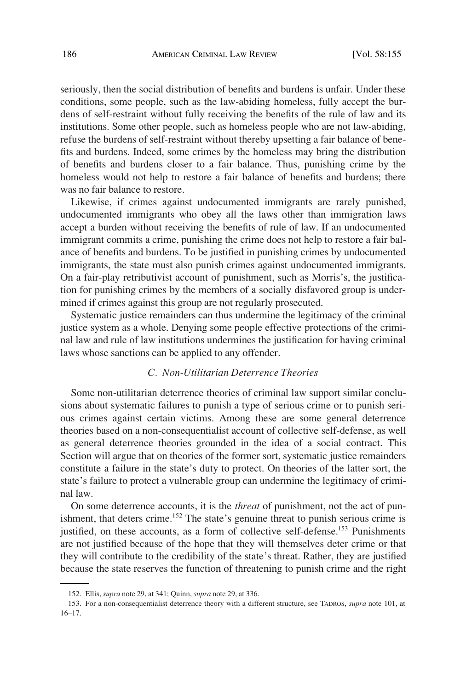<span id="page-31-0"></span>seriously, then the social distribution of benefits and burdens is unfair. Under these conditions, some people, such as the law-abiding homeless, fully accept the burdens of self-restraint without fully receiving the benefits of the rule of law and its institutions. Some other people, such as homeless people who are not law-abiding, refuse the burdens of self-restraint without thereby upsetting a fair balance of benefits and burdens. Indeed, some crimes by the homeless may bring the distribution of benefits and burdens closer to a fair balance. Thus, punishing crime by the homeless would not help to restore a fair balance of benefits and burdens; there was no fair balance to restore.

Likewise, if crimes against undocumented immigrants are rarely punished, undocumented immigrants who obey all the laws other than immigration laws accept a burden without receiving the benefits of rule of law. If an undocumented immigrant commits a crime, punishing the crime does not help to restore a fair balance of benefits and burdens. To be justified in punishing crimes by undocumented immigrants, the state must also punish crimes against undocumented immigrants. On a fair-play retributivist account of punishment, such as Morris's, the justification for punishing crimes by the members of a socially disfavored group is undermined if crimes against this group are not regularly prosecuted.

Systematic justice remainders can thus undermine the legitimacy of the criminal justice system as a whole. Denying some people effective protections of the criminal law and rule of law institutions undermines the justification for having criminal laws whose sanctions can be applied to any offender.

## *C. Non-Utilitarian Deterrence Theories*

Some non-utilitarian deterrence theories of criminal law support similar conclusions about systematic failures to punish a type of serious crime or to punish serious crimes against certain victims. Among these are some general deterrence theories based on a non-consequentialist account of collective self-defense, as well as general deterrence theories grounded in the idea of a social contract. This Section will argue that on theories of the former sort, systematic justice remainders constitute a failure in the state's duty to protect. On theories of the latter sort, the state's failure to protect a vulnerable group can undermine the legitimacy of criminal law.

On some deterrence accounts, it is the *threat* of punishment, not the act of punishment, that deters crime.<sup>152</sup> The state's genuine threat to punish serious crime is justified, on these accounts, as a form of collective self-defense.<sup>153</sup> Punishments are not justified because of the hope that they will themselves deter crime or that they will contribute to the credibility of the state's threat. Rather, they are justified because the state reserves the function of threatening to punish crime and the right

<sup>152.</sup> Ellis, *supra* note 29, at 341; Quinn, *supra* note 29, at 336.

<sup>153.</sup> For a non-consequentialist deterrence theory with a different structure, see TADROS, *supra* note 101, at 16–17.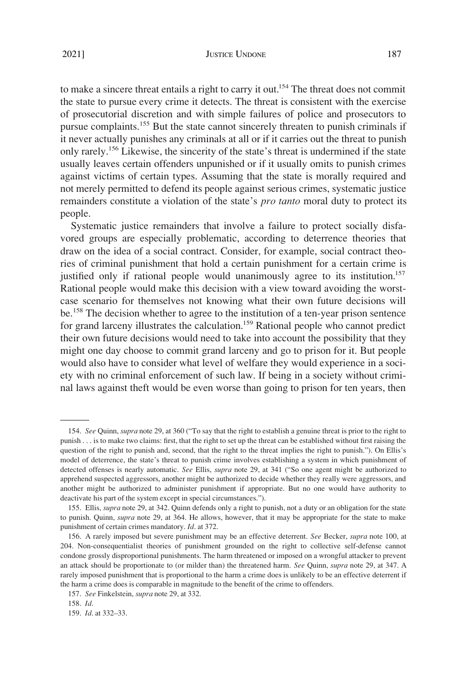to make a sincere threat entails a right to carry it out.<sup>154</sup> The threat does not commit the state to pursue every crime it detects. The threat is consistent with the exercise of prosecutorial discretion and with simple failures of police and prosecutors to pursue complaints.155 But the state cannot sincerely threaten to punish criminals if it never actually punishes any criminals at all or if it carries out the threat to punish only rarely.<sup>156</sup> Likewise, the sincerity of the state's threat is undermined if the state usually leaves certain offenders unpunished or if it usually omits to punish crimes against victims of certain types. Assuming that the state is morally required and not merely permitted to defend its people against serious crimes, systematic justice remainders constitute a violation of the state's *pro tanto* moral duty to protect its people.

Systematic justice remainders that involve a failure to protect socially disfavored groups are especially problematic, according to deterrence theories that draw on the idea of a social contract. Consider, for example, social contract theories of criminal punishment that hold a certain punishment for a certain crime is justified only if rational people would unanimously agree to its institution.<sup>157</sup> Rational people would make this decision with a view toward avoiding the worstcase scenario for themselves not knowing what their own future decisions will be.<sup>158</sup> The decision whether to agree to the institution of a ten-year prison sentence for grand larceny illustrates the calculation.<sup>159</sup> Rational people who cannot predict their own future decisions would need to take into account the possibility that they might one day choose to commit grand larceny and go to prison for it. But people would also have to consider what level of welfare they would experience in a society with no criminal enforcement of such law. If being in a society without criminal laws against theft would be even worse than going to prison for ten years, then

<sup>154.</sup> *See* Quinn, *supra* note 29, at 360 ("To say that the right to establish a genuine threat is prior to the right to punish . . . is to make two claims: first, that the right to set up the threat can be established without first raising the question of the right to punish and, second, that the right to the threat implies the right to punish."). On Ellis's model of deterrence, the state's threat to punish crime involves establishing a system in which punishment of detected offenses is nearly automatic. *See* Ellis, *supra* note 29, at 341 ("So one agent might be authorized to apprehend suspected aggressors, another might be authorized to decide whether they really were aggressors, and another might be authorized to administer punishment if appropriate. But no one would have authority to deactivate his part of the system except in special circumstances.").

<sup>155.</sup> Ellis, *supra* note 29, at 342. Quinn defends only a right to punish, not a duty or an obligation for the state to punish. Quinn, *supra* note 29, at 364. He allows, however, that it may be appropriate for the state to make punishment of certain crimes mandatory. *Id*. at 372.

<sup>156.</sup> A rarely imposed but severe punishment may be an effective deterrent. *See* Becker, *supra* note 100, at 204. Non-consequentialist theories of punishment grounded on the right to collective self-defense cannot condone grossly disproportional punishments. The harm threatened or imposed on a wrongful attacker to prevent an attack should be proportionate to (or milder than) the threatened harm. *See* Quinn, *supra* note 29, at 347. A rarely imposed punishment that is proportional to the harm a crime does is unlikely to be an effective deterrent if the harm a crime does is comparable in magnitude to the benefit of the crime to offenders.

<sup>157.</sup> *See* Finkelstein, *supra* note 29, at 332.

<sup>158.</sup> *Id*.

<sup>159.</sup> *Id*. at 332–33.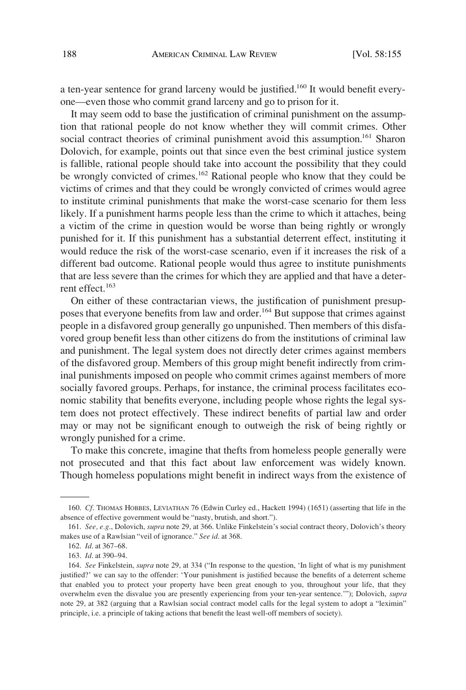a ten-year sentence for grand larceny would be justified.<sup>160</sup> It would benefit everyone—even those who commit grand larceny and go to prison for it.

It may seem odd to base the justification of criminal punishment on the assumption that rational people do not know whether they will commit crimes. Other social contract theories of criminal punishment avoid this assumption.<sup>161</sup> Sharon Dolovich, for example, points out that since even the best criminal justice system is fallible, rational people should take into account the possibility that they could be wrongly convicted of crimes.<sup>162</sup> Rational people who know that they could be victims of crimes and that they could be wrongly convicted of crimes would agree to institute criminal punishments that make the worst-case scenario for them less likely. If a punishment harms people less than the crime to which it attaches, being a victim of the crime in question would be worse than being rightly or wrongly punished for it. If this punishment has a substantial deterrent effect, instituting it would reduce the risk of the worst-case scenario, even if it increases the risk of a different bad outcome. Rational people would thus agree to institute punishments that are less severe than the crimes for which they are applied and that have a deterrent effect.<sup>163</sup>

On either of these contractarian views, the justification of punishment presupposes that everyone benefits from law and order.<sup>164</sup> But suppose that crimes against people in a disfavored group generally go unpunished. Then members of this disfavored group benefit less than other citizens do from the institutions of criminal law and punishment. The legal system does not directly deter crimes against members of the disfavored group. Members of this group might benefit indirectly from criminal punishments imposed on people who commit crimes against members of more socially favored groups. Perhaps, for instance, the criminal process facilitates economic stability that benefits everyone, including people whose rights the legal system does not protect effectively. These indirect benefits of partial law and order may or may not be significant enough to outweigh the risk of being rightly or wrongly punished for a crime.

To make this concrete, imagine that thefts from homeless people generally were not prosecuted and that this fact about law enforcement was widely known. Though homeless populations might benefit in indirect ways from the existence of

<sup>160.</sup> *Cf*. THOMAS HOBBES, LEVIATHAN 76 (Edwin Curley ed., Hackett 1994) (1651) (asserting that life in the absence of effective government would be "nasty, brutish, and short.").

<sup>161.</sup> *See, e.g*., Dolovich, *supra* note 29, at 366. Unlike Finkelstein's social contract theory, Dolovich's theory makes use of a Rawlsian "veil of ignorance." *See id*. at 368.

<sup>162.</sup> *Id*. at 367–68.

<sup>163.</sup> *Id*. at 390–94.

<sup>164.</sup> *See* Finkelstein, *supra* note 29, at 334 ("In response to the question, 'In light of what is my punishment justified?' we can say to the offender: 'Your punishment is justified because the benefits of a deterrent scheme that enabled you to protect your property have been great enough to you, throughout your life, that they overwhelm even the disvalue you are presently experiencing from your ten-year sentence.'"); Dolovich, *supra*  note 29, at 382 (arguing that a Rawlsian social contract model calls for the legal system to adopt a "leximin" principle, i.e. a principle of taking actions that benefit the least well-off members of society).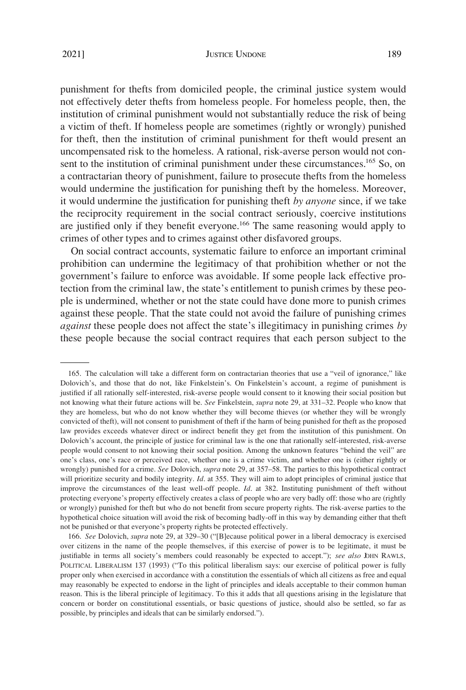#### JUSTICE UNDONE 189

punishment for thefts from domiciled people, the criminal justice system would not effectively deter thefts from homeless people. For homeless people, then, the institution of criminal punishment would not substantially reduce the risk of being a victim of theft. If homeless people are sometimes (rightly or wrongly) punished for theft, then the institution of criminal punishment for theft would present an uncompensated risk to the homeless. A rational, risk-averse person would not consent to the institution of criminal punishment under these circumstances.<sup>165</sup> So, on a contractarian theory of punishment, failure to prosecute thefts from the homeless would undermine the justification for punishing theft by the homeless. Moreover, it would undermine the justification for punishing theft *by anyone* since, if we take the reciprocity requirement in the social contract seriously, coercive institutions are justified only if they benefit everyone.<sup>166</sup> The same reasoning would apply to crimes of other types and to crimes against other disfavored groups.

On social contract accounts, systematic failure to enforce an important criminal prohibition can undermine the legitimacy of that prohibition whether or not the government's failure to enforce was avoidable. If some people lack effective protection from the criminal law, the state's entitlement to punish crimes by these people is undermined, whether or not the state could have done more to punish crimes against these people. That the state could not avoid the failure of punishing crimes *against* these people does not affect the state's illegitimacy in punishing crimes *by*  these people because the social contract requires that each person subject to the

<sup>165.</sup> The calculation will take a different form on contractarian theories that use a "veil of ignorance," like Dolovich's, and those that do not, like Finkelstein's. On Finkelstein's account, a regime of punishment is justified if all rationally self-interested, risk-averse people would consent to it knowing their social position but not knowing what their future actions will be. *See* Finkelstein, *supra* note 29, at 331–32. People who know that they are homeless, but who do not know whether they will become thieves (or whether they will be wrongly convicted of theft), will not consent to punishment of theft if the harm of being punished for theft as the proposed law provides exceeds whatever direct or indirect benefit they get from the institution of this punishment. On Dolovich's account, the principle of justice for criminal law is the one that rationally self-interested, risk-averse people would consent to not knowing their social position. Among the unknown features "behind the veil" are one's class, one's race or perceived race, whether one is a crime victim, and whether one is (either rightly or wrongly) punished for a crime. *See* Dolovich, *supra* note 29, at 357–58. The parties to this hypothetical contract will prioritize security and bodily integrity. *Id*. at 355. They will aim to adopt principles of criminal justice that improve the circumstances of the least well-off people. *Id*. at 382. Instituting punishment of theft without protecting everyone's property effectively creates a class of people who are very badly off: those who are (rightly or wrongly) punished for theft but who do not benefit from secure property rights. The risk-averse parties to the hypothetical choice situation will avoid the risk of becoming badly-off in this way by demanding either that theft not be punished or that everyone's property rights be protected effectively.

<sup>166.</sup> *See* Dolovich, *supra* note 29, at 329–30 ("[B]ecause political power in a liberal democracy is exercised over citizens in the name of the people themselves, if this exercise of power is to be legitimate, it must be justifiable in terms all society's members could reasonably be expected to accept."); *see also* JOHN RAWLS, POLITICAL LIBERALISM 137 (1993) ("To this political liberalism says: our exercise of political power is fully proper only when exercised in accordance with a constitution the essentials of which all citizens as free and equal may reasonably be expected to endorse in the light of principles and ideals acceptable to their common human reason. This is the liberal principle of legitimacy. To this it adds that all questions arising in the legislature that concern or border on constitutional essentials, or basic questions of justice, should also be settled, so far as possible, by principles and ideals that can be similarly endorsed.").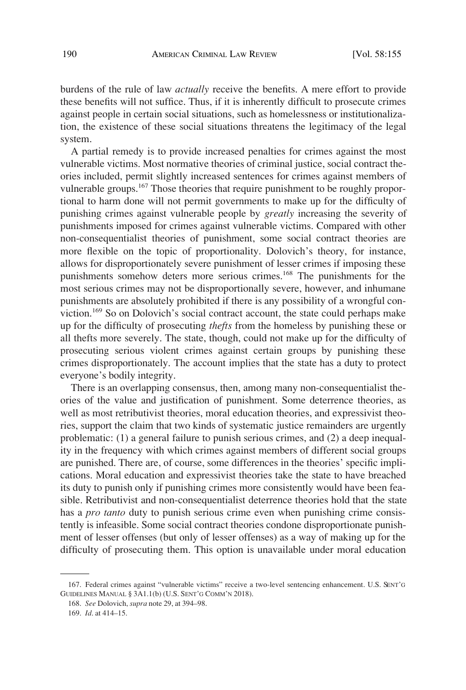burdens of the rule of law *actually* receive the benefits. A mere effort to provide these benefits will not suffice. Thus, if it is inherently difficult to prosecute crimes against people in certain social situations, such as homelessness or institutionalization, the existence of these social situations threatens the legitimacy of the legal system.

A partial remedy is to provide increased penalties for crimes against the most vulnerable victims. Most normative theories of criminal justice, social contract theories included, permit slightly increased sentences for crimes against members of vulnerable groups.<sup>167</sup> Those theories that require punishment to be roughly proportional to harm done will not permit governments to make up for the difficulty of punishing crimes against vulnerable people by *greatly* increasing the severity of punishments imposed for crimes against vulnerable victims. Compared with other non-consequentialist theories of punishment, some social contract theories are more flexible on the topic of proportionality. Dolovich's theory, for instance, allows for disproportionately severe punishment of lesser crimes if imposing these punishments somehow deters more serious crimes.<sup>168</sup> The punishments for the most serious crimes may not be disproportionally severe, however, and inhumane punishments are absolutely prohibited if there is any possibility of a wrongful conviction.169 So on Dolovich's social contract account, the state could perhaps make up for the difficulty of prosecuting *thefts* from the homeless by punishing these or all thefts more severely. The state, though, could not make up for the difficulty of prosecuting serious violent crimes against certain groups by punishing these crimes disproportionately. The account implies that the state has a duty to protect everyone's bodily integrity.

There is an overlapping consensus, then, among many non-consequentialist theories of the value and justification of punishment. Some deterrence theories, as well as most retributivist theories, moral education theories, and expressivist theories, support the claim that two kinds of systematic justice remainders are urgently problematic: (1) a general failure to punish serious crimes, and (2) a deep inequality in the frequency with which crimes against members of different social groups are punished. There are, of course, some differences in the theories' specific implications. Moral education and expressivist theories take the state to have breached its duty to punish only if punishing crimes more consistently would have been feasible. Retributivist and non-consequentialist deterrence theories hold that the state has a *pro tanto* duty to punish serious crime even when punishing crime consistently is infeasible. Some social contract theories condone disproportionate punishment of lesser offenses (but only of lesser offenses) as a way of making up for the difficulty of prosecuting them. This option is unavailable under moral education

<sup>167.</sup> Federal crimes against "vulnerable victims" receive a two-level sentencing enhancement. U.S. SENT'G GUIDELINES MANUAL § 3A1.1(b) (U.S. SENT'G COMM'N 2018).

<sup>168.</sup> *See* Dolovich, *supra* note 29, at 394–98.

<sup>169.</sup> *Id*. at 414–15.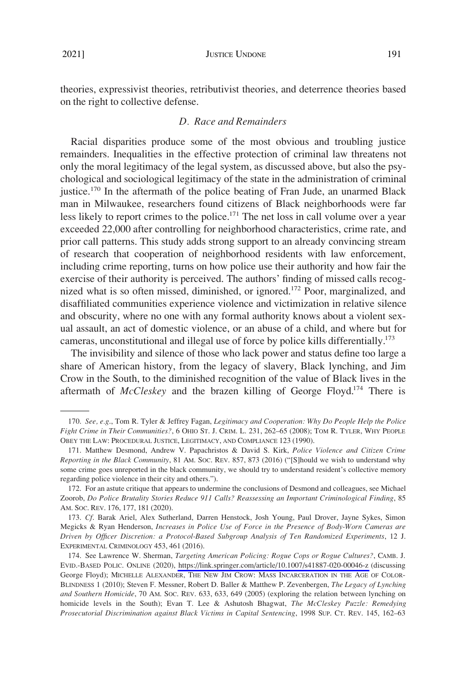# *D. Race and Remainders*

<span id="page-36-0"></span>Racial disparities produce some of the most obvious and troubling justice remainders. Inequalities in the effective protection of criminal law threatens not only the moral legitimacy of the legal system, as discussed above, but also the psychological and sociological legitimacy of the state in the administration of criminal justice.<sup>170</sup> In the aftermath of the police beating of Fran Jude, an unarmed Black man in Milwaukee, researchers found citizens of Black neighborhoods were far less likely to report crimes to the police.<sup>171</sup> The net loss in call volume over a year exceeded 22,000 after controlling for neighborhood characteristics, crime rate, and prior call patterns. This study adds strong support to an already convincing stream of research that cooperation of neighborhood residents with law enforcement, including crime reporting, turns on how police use their authority and how fair the exercise of their authority is perceived. The authors' finding of missed calls recognized what is so often missed, diminished, or ignored.<sup>172</sup> Poor, marginalized, and disaffiliated communities experience violence and victimization in relative silence and obscurity, where no one with any formal authority knows about a violent sexual assault, an act of domestic violence, or an abuse of a child, and where but for cameras, unconstitutional and illegal use of force by police kills differentially.<sup>173</sup>

The invisibility and silence of those who lack power and status define too large a share of American history, from the legacy of slavery, Black lynching, and Jim Crow in the South, to the diminished recognition of the value of Black lives in the aftermath of *McCleskey* and the brazen killing of George Floyd.174 There is

<sup>170.</sup> *See, e.g*., Tom R. Tyler & Jeffrey Fagan, *Legitimacy and Cooperation: Why Do People Help the Police Fight Crime in Their Communities?*, 6 OHIO ST. J. CRIM. L. 231, 262–65 (2008); TOM R. TYLER, WHY PEOPLE OBEY THE LAW: PROCEDURAL JUSTICE, LEGITIMACY, AND COMPLIANCE 123 (1990).

<sup>171.</sup> Matthew Desmond, Andrew V. Papachristos & David S. Kirk, *Police Violence and Citizen Crime Reporting in the Black Community*, 81 AM. SOC. REV. 857, 873 (2016) ("[S]hould we wish to understand why some crime goes unreported in the black community, we should try to understand resident's collective memory regarding police violence in their city and others.").

<sup>172.</sup> For an astute critique that appears to undermine the conclusions of Desmond and colleagues, see Michael Zoorob, *Do Police Brutality Stories Reduce 911 Calls? Reassessing an Important Criminological Finding*, 85 AM. SOC. REV. 176, 177, 181 (2020).

<sup>173.</sup> *Cf*. Barak Ariel, Alex Sutherland, Darren Henstock, Josh Young, Paul Drover, Jayne Sykes, Simon Megicks & Ryan Henderson, *Increases in Police Use of Force in the Presence of Body-Worn Cameras are Driven by Officer Discretion: a Protocol-Based Subgroup Analysis of Ten Randomized Experiments*, 12 J. EXPERIMENTAL CRIMINOLOGY 453, 461 (2016).

<sup>174.</sup> See Lawrence W. Sherman, *Targeting American Policing: Rogue Cops or Rogue Cultures?*, CAMB. J. EVID.-BASED POLIC. ONLINE (2020),<https://link.springer.com/article/10.1007/s41887-020-00046-z>(discussing George Floyd); MICHELLE ALEXANDER, THE NEW JIM CROW: MASS INCARCERATION IN THE AGE OF COLOR-BLINDNESS 1 (2010); Steven F. Messner, Robert D. Baller & Matthew P. Zevenbergen, *The Legacy of Lynching and Southern Homicide*, 70 AM. SOC. REV. 633, 633, 649 (2005) (exploring the relation between lynching on homicide levels in the South); Evan T. Lee & Ashutosh Bhagwat, *The McCleskey Puzzle: Remedying Prosecutorial Discrimination against Black Victims in Capital Sentencing*, 1998 SUP. CT. REV. 145, 162–63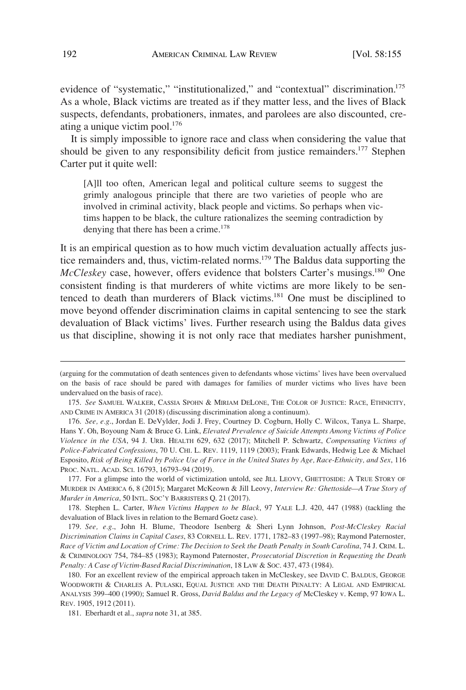evidence of "systematic," "institutionalized," and "contextual" discrimination.<sup>175</sup> As a whole, Black victims are treated as if they matter less, and the lives of Black suspects, defendants, probationers, inmates, and parolees are also discounted, creating a unique victim pool.<sup>176</sup>

It is simply impossible to ignore race and class when considering the value that should be given to any responsibility deficit from justice remainders.<sup>177</sup> Stephen Carter put it quite well:

[A]ll too often, American legal and political culture seems to suggest the grimly analogous principle that there are two varieties of people who are involved in criminal activity, black people and victims. So perhaps when victims happen to be black, the culture rationalizes the seeming contradiction by denying that there has been a crime.<sup>178</sup>

It is an empirical question as to how much victim devaluation actually affects justice remainders and, thus, victim-related norms.<sup>179</sup> The Baldus data supporting the *McCleskey* case, however, offers evidence that bolsters Carter's musings.<sup>180</sup> One consistent finding is that murderers of white victims are more likely to be sentenced to death than murderers of Black victims.181 One must be disciplined to move beyond offender discrimination claims in capital sentencing to see the stark devaluation of Black victims' lives. Further research using the Baldus data gives us that discipline, showing it is not only race that mediates harsher punishment,

<sup>(</sup>arguing for the commutation of death sentences given to defendants whose victims' lives have been overvalued on the basis of race should be pared with damages for families of murder victims who lives have been undervalued on the basis of race).

<sup>175.</sup> *See* SAMUEL WALKER, CASSIA SPOHN & MIRIAM DELONE, THE COLOR OF JUSTICE: RACE, ETHNICITY, AND CRIME IN AMERICA 31 (2018) (discussing discrimination along a continuum).

<sup>176.</sup> *See, e.g*., Jordan E. DeVylder, Jodi J. Frey, Courtney D. Cogburn, Holly C. Wilcox, Tanya L. Sharpe, Hans Y. Oh, Boyoung Nam & Bruce G. Link, *Elevated Prevalence of Suicide Attempts Among Victims of Police Violence in the USA*, 94 J. URB. HEALTH 629, 632 (2017); Mitchell P. Schwartz, *Compensating Victims of Police-Fabricated Confessions*, 70 U. CHI. L. REV. 1119, 1119 (2003); Frank Edwards, Hedwig Lee & Michael Esposito, *Risk of Being Killed by Police Use of Force in the United States by Age, Race-Ethnicity, and Sex*, 116 PROC. NATL. ACAD. SCI. 16793, 16793–94 (2019).

<sup>177.</sup> For a glimpse into the world of victimization untold, see JILL LEOVY, GHETTOSIDE: A TRUE STORY OF MURDER IN AMERICA 6, 8 (2015); Margaret McKeown & Jill Leovy, *Interview Re: Ghettoside—A True Story of Murder in America*, 50 INTL. SOC'Y BARRISTERS Q. 21 (2017).

<sup>178.</sup> Stephen L. Carter, *When Victims Happen to be Black*, 97 YALE L.J. 420, 447 (1988) (tackling the devaluation of Black lives in relation to the Bernard Goetz case).

<sup>179.</sup> *See, e.g*., John H. Blume, Theodore Isenberg & Sheri Lynn Johnson, *Post-McCleskey Racial Discrimination Claims in Capital Cases*, 83 CORNELL L. REV. 1771, 1782–83 (1997–98); Raymond Paternoster, *Race of Victim and Location of Crime: The Decision to Seek the Death Penalty in South Carolina*, 74 J. CRIM. L. & CRIMINOLOGY 754, 784–85 (1983); Raymond Paternoster, *Prosecutorial Discretion in Requesting the Death Penalty: A Case of Victim-Based Racial Discrimination*, 18 LAW & SOC. 437, 473 (1984).

<sup>180.</sup> For an excellent review of the empirical approach taken in McCleskey, see DAVID C. BALDUS, GEORGE WOODWORTH & CHARLES A. PULASKI, EQUAL JUSTICE AND THE DEATH PENALTY: A LEGAL AND EMPIRICAL ANALYSIS 399–400 (1990); Samuel R. Gross, *David Baldus and the Legacy of* McCleskey v. Kemp, 97 IOWA L. REV. 1905, 1912 (2011).

<sup>181.</sup> Eberhardt et al., *supra* note 31, at 385.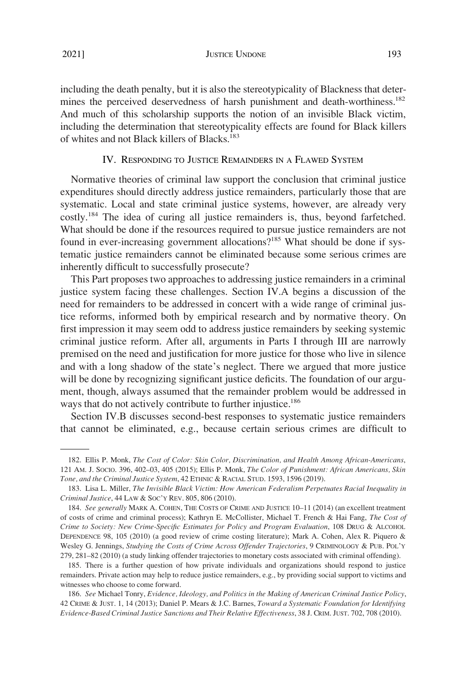JUSTICE UNDONE 193

<span id="page-38-0"></span>including the death penalty, but it is also the stereotypicality of Blackness that determines the perceived deservedness of harsh punishment and death-worthiness.<sup>182</sup> And much of this scholarship supports the notion of an invisible Black victim, including the determination that stereotypicality effects are found for Black killers of whites and not Black killers of Blacks.183

# IV. RESPONDING TO JUSTICE REMAINDERS IN A FLAWED SYSTEM

Normative theories of criminal law support the conclusion that criminal justice expenditures should directly address justice remainders, particularly those that are systematic. Local and state criminal justice systems, however, are already very costly.184 The idea of curing all justice remainders is, thus, beyond farfetched. What should be done if the resources required to pursue justice remainders are not found in ever-increasing government allocations?<sup>185</sup> What should be done if systematic justice remainders cannot be eliminated because some serious crimes are inherently difficult to successfully prosecute?

This Part proposes two approaches to addressing justice remainders in a criminal justice system facing these challenges. Section IV.A begins a discussion of the need for remainders to be addressed in concert with a wide range of criminal justice reforms, informed both by empirical research and by normative theory. On first impression it may seem odd to address justice remainders by seeking systemic criminal justice reform. After all, arguments in Parts I through III are narrowly premised on the need and justification for more justice for those who live in silence and with a long shadow of the state's neglect. There we argued that more justice will be done by recognizing significant justice deficits. The foundation of our argument, though, always assumed that the remainder problem would be addressed in ways that do not actively contribute to further injustice.<sup>186</sup>

Section IV.B discusses second-best responses to systematic justice remainders that cannot be eliminated, e.g., because certain serious crimes are difficult to

<sup>182.</sup> Ellis P. Monk, *The Cost of Color: Skin Color, Discrimination, and Health Among African-Americans*, 121 AM. J. SOCIO. 396, 402–03, 405 (2015); Ellis P. Monk, *The Color of Punishment: African Americans, Skin Tone, and the Criminal Justice System*, 42 ETHNIC & RACIAL STUD. 1593, 1596 (2019).

<sup>183.</sup> Lisa L. Miller, *The Invisible Black Victim: How American Federalism Perpetuates Racial Inequality in Criminal Justice*, 44 LAW & SOC'Y REV. 805, 806 (2010).

<sup>184.</sup> *See generally* MARK A. COHEN, THE COSTS OF CRIME AND JUSTICE 10–11 (2014) (an excellent treatment of costs of crime and criminal process); Kathryn E. McCollister, Michael T. French & Hai Fang, *The Cost of Crime to Society: New Crime-Specific Estimates for Policy and Program Evaluation*, 108 DRUG & ALCOHOL DEPENDENCE 98, 105 (2010) (a good review of crime costing literature); Mark A. Cohen, Alex R. Piquero & Wesley G. Jennings, *Studying the Costs of Crime Across Offender Trajectories*, 9 CRIMINOLOGY & PUB. POL'Y 279, 281–82 (2010) (a study linking offender trajectories to monetary costs associated with criminal offending).

<sup>185.</sup> There is a further question of how private individuals and organizations should respond to justice remainders. Private action may help to reduce justice remainders, e.g., by providing social support to victims and witnesses who choose to come forward.

<sup>186.</sup> *See* Michael Tonry, *Evidence, Ideology, and Politics in the Making of American Criminal Justice Policy*, 42 CRIME & JUST. 1, 14 (2013); Daniel P. Mears & J.C. Barnes, *Toward a Systematic Foundation for Identifying Evidence-Based Criminal Justice Sanctions and Their Relative Effectiveness*, 38 J. CRIM. JUST. 702, 708 (2010).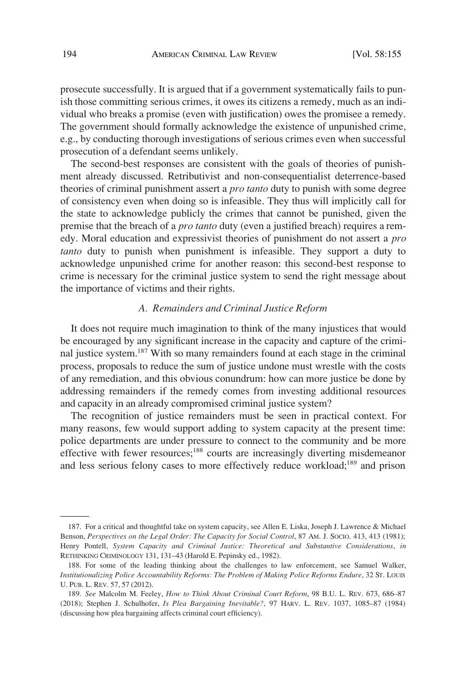<span id="page-39-0"></span>prosecute successfully. It is argued that if a government systematically fails to punish those committing serious crimes, it owes its citizens a remedy, much as an individual who breaks a promise (even with justification) owes the promisee a remedy. The government should formally acknowledge the existence of unpunished crime, e.g., by conducting thorough investigations of serious crimes even when successful prosecution of a defendant seems unlikely.

The second-best responses are consistent with the goals of theories of punishment already discussed. Retributivist and non-consequentialist deterrence-based theories of criminal punishment assert a *pro tanto* duty to punish with some degree of consistency even when doing so is infeasible. They thus will implicitly call for the state to acknowledge publicly the crimes that cannot be punished, given the premise that the breach of a *pro tanto* duty (even a justified breach) requires a remedy. Moral education and expressivist theories of punishment do not assert a *pro tanto* duty to punish when punishment is infeasible. They support a duty to acknowledge unpunished crime for another reason: this second-best response to crime is necessary for the criminal justice system to send the right message about the importance of victims and their rights.

### *A. Remainders and Criminal Justice Reform*

It does not require much imagination to think of the many injustices that would be encouraged by any significant increase in the capacity and capture of the criminal justice system.187 With so many remainders found at each stage in the criminal process, proposals to reduce the sum of justice undone must wrestle with the costs of any remediation, and this obvious conundrum: how can more justice be done by addressing remainders if the remedy comes from investing additional resources and capacity in an already compromised criminal justice system?

The recognition of justice remainders must be seen in practical context. For many reasons, few would support adding to system capacity at the present time: police departments are under pressure to connect to the community and be more effective with fewer resources;<sup>188</sup> courts are increasingly diverting misdemeanor and less serious felony cases to more effectively reduce workload;<sup>189</sup> and prison

<sup>187.</sup> For a critical and thoughtful take on system capacity, see Allen E. Liska, Joseph J. Lawrence & Michael Benson, *Perspectives on the Legal Order: The Capacity for Social Control*, 87 AM. J. Socio. 413, 413 (1981); Henry Pontell, *System Capacity and Criminal Justice: Theoretical and Substantive Considerations*, *in*  RETHINKING CRIMINOLOGY 131, 131–43 (Harold E. Pepinsky ed., 1982).

<sup>188.</sup> For some of the leading thinking about the challenges to law enforcement, see Samuel Walker, *Institutionalizing Police Accountability Reforms: The Problem of Making Police Reforms Endure*, 32 ST. LOUIS U. PUB. L. REV. 57, 57 (2012).

<sup>189.</sup> *See* Malcolm M. Feeley, *How to Think About Criminal Court Reform*, 98 B.U. L. REV. 673, 686–87 (2018); Stephen J. Schulhofer, *Is Plea Bargaining Inevitable?*, 97 HARV. L. REV. 1037, 1085–87 (1984) (discussing how plea bargaining affects criminal court efficiency).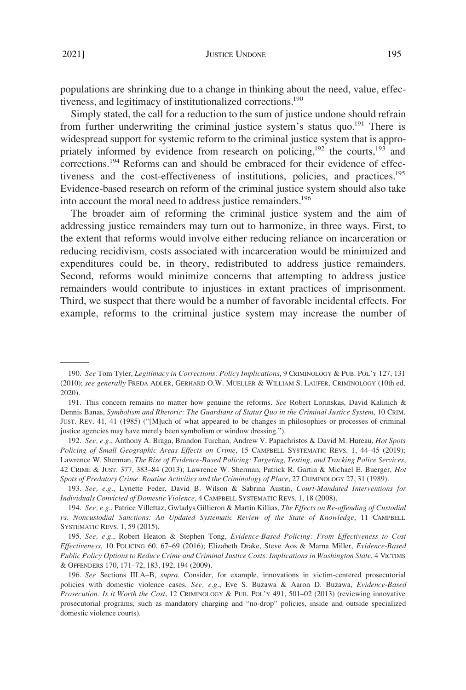populations are shrinking due to a change in thinking about the need, value, effectiveness, and legitimacy of institutionalized corrections.190

Simply stated, the call for a reduction to the sum of justice undone should refrain from further underwriting the criminal justice system's status quo.<sup>191</sup> There is widespread support for systemic reform to the criminal justice system that is appropriately informed by evidence from research on policing,<sup>192</sup> the courts,<sup>193</sup> and corrections.<sup>194</sup> Reforms can and should be embraced for their evidence of effectiveness and the cost-effectiveness of institutions, policies, and practices.<sup>195</sup> Evidence-based research on reform of the criminal justice system should also take into account the moral need to address justice remainders.<sup>196</sup>

The broader aim of reforming the criminal justice system and the aim of addressing justice remainders may turn out to harmonize, in three ways. First, to the extent that reforms would involve either reducing reliance on incarceration or reducing recidivism, costs associated with incarceration would be minimized and expenditures could be, in theory, redistributed to address justice remainders. Second, reforms would minimize concerns that attempting to address justice remainders would contribute to injustices in extant practices of imprisonment. Third, we suspect that there would be a number of favorable incidental effects. For example, reforms to the criminal justice system may increase the number of

<sup>190.</sup> *See* Tom Tyler, *Legitimacy in Corrections: Policy Implications*, 9 CRIMINOLOGY & PUB. POL'Y 127, 131 (2010); *see generally* FREDA ADLER, GERHARD O.W. MUELLER & WILLIAM S. LAUFER, CRIMINOLOGY (10th ed. 2020).

<sup>191.</sup> This concern remains no matter how genuine the reforms. *See* Robert Lorinskas, David Kalinich & Dennis Banas, *Symbolism and Rhetoric: The Guardians of Status Quo in the Criminal Justice System*, 10 CRIM. JUST. REV. 41, 41 (1985) ("[M]uch of what appeared to be changes in philosophies or processes of criminal justice agencies may have merely been symbolism or window dressing.").

<sup>192.</sup> *See, e.g*., Anthony A. Braga, Brandon Turchan, Andrew V. Papachristos & David M. Hureau, *Hot Spots Policing of Small Geographic Areas Effects on Crime*, 15 CAMPBELL SYSTEMATIC REVS. 1, 44–45 (2019); Lawrence W. Sherman, *The Rise of Evidence-Based Policing: Targeting, Testing, and Tracking Police Services*, 42 CRIME & JUST. 377, 383–84 (2013); Lawrence W. Sherman, Patrick R. Gartin & Michael E. Buerger, *Hot Spots of Predatory Crime: Routine Activities and the Criminology of Place*, 27 CRIMINOLOGY 27, 31 (1989).

<sup>193.</sup> *See, e.g*., Lynette Feder, David B. Wilson & Sabrina Austin, *Court-Mandated Interventions for Individuals Convicted of Domestic Violence*, 4 CAMPBELL SYSTEMATIC REVS. 1, 18 (2008).

<sup>194.</sup> *See, e.g*., Patrice Villettaz, Gwladys Gillieron & Martin Killias*, The Effects on Re-offending of Custodial vs. Noncustodial Sanctions: An Updated Systematic Review of the State of Knowledge*, 11 CAMPBELL SYSTEMATIC REVS. 1, 59 (2015).

<sup>195.</sup> *See, e.g*., Robert Heaton & Stephen Tong, *Evidence-Based Policing: From Effectiveness to Cost Effectiveness*, 10 POLICING 60, 67–69 (2016); Elizabeth Drake, Steve Aos & Marna Miller, *Evidence-Based Public Policy Options to Reduce Crime and Criminal Justice Costs: Implications in Washington State*, 4 VICTIMS & OFFENDERS 170, 171–72, 183, 192, 194 (2009).

<sup>196.</sup> *See* Sections III.A–B, *supra*. Consider, for example, innovations in victim-centered prosecutorial policies with domestic violence cases. *See, e.g*., Eve S. Buzawa & Aaron D. Buzawa, *Evidence-Based Prosecution: Is it Worth the Cost*, 12 CRIMINOLOGY & PUB. POL'Y 491, 501–02 (2013) (reviewing innovative prosecutorial programs, such as mandatory charging and "no-drop" policies, inside and outside specialized domestic violence courts).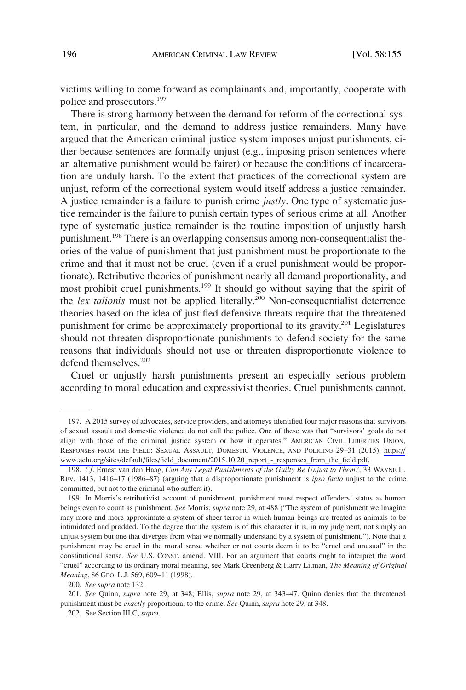victims willing to come forward as complainants and, importantly, cooperate with police and prosecutors.<sup>197</sup>

There is strong harmony between the demand for reform of the correctional system, in particular, and the demand to address justice remainders. Many have argued that the American criminal justice system imposes unjust punishments, either because sentences are formally unjust (e.g., imposing prison sentences where an alternative punishment would be fairer) or because the conditions of incarceration are unduly harsh. To the extent that practices of the correctional system are unjust, reform of the correctional system would itself address a justice remainder. A justice remainder is a failure to punish crime *justly*. One type of systematic justice remainder is the failure to punish certain types of serious crime at all. Another type of systematic justice remainder is the routine imposition of unjustly harsh punishment.<sup>198</sup> There is an overlapping consensus among non-consequentialist theories of the value of punishment that just punishment must be proportionate to the crime and that it must not be cruel (even if a cruel punishment would be proportionate). Retributive theories of punishment nearly all demand proportionality, and most prohibit cruel punishments.199 It should go without saying that the spirit of the *lex talionis* must not be applied literally.<sup>200</sup> Non-consequentialist deterrence theories based on the idea of justified defensive threats require that the threatened punishment for crime be approximately proportional to its gravity.<sup>201</sup> Legislatures should not threaten disproportionate punishments to defend society for the same reasons that individuals should not use or threaten disproportionate violence to defend themselves.202

Cruel or unjustly harsh punishments present an especially serious problem according to moral education and expressivist theories. Cruel punishments cannot,

<sup>197.</sup> A 2015 survey of advocates, service providers, and attorneys identified four major reasons that survivors of sexual assault and domestic violence do not call the police. One of these was that "survivors' goals do not align with those of the criminal justice system or how it operates." AMERICAN CIVIL LIBERTIES UNION, RESPONSES FROM THE FIELD: SEXUAL ASSAULT, DOMESTIC VIOLENCE, AND POLICING 29–31 (2015), [https://](https://www.aclu.org/sites/default/files/field_document/2015.10.20_report_-_responses_from_the_field.pdf) [www.aclu.org/sites/default/files/field\\_document/2015.10.20\\_report\\_-\\_responses\\_from\\_the\\_field.pdf.](https://www.aclu.org/sites/default/files/field_document/2015.10.20_report_-_responses_from_the_field.pdf)

<sup>198.</sup> *Cf*. Ernest van den Haag, *Can Any Legal Punishments of the Guilty Be Unjust to Them?*, 33 WAYNE L. REV. 1413, 1416–17 (1986–87) (arguing that a disproportionate punishment is *ipso facto* unjust to the crime committed, but not to the criminal who suffers it).

<sup>199.</sup> In Morris's retributivist account of punishment, punishment must respect offenders' status as human beings even to count as punishment. *See* Morris, *supra* note 29, at 488 ("The system of punishment we imagine may more and more approximate a system of sheer terror in which human beings are treated as animals to be intimidated and prodded. To the degree that the system is of this character it is, in my judgment, not simply an unjust system but one that diverges from what we normally understand by a system of punishment."). Note that a punishment may be cruel in the moral sense whether or not courts deem it to be "cruel and unusual" in the constitutional sense. *See* U.S. CONST. amend. VIII. For an argument that courts ought to interpret the word "cruel" according to its ordinary moral meaning, see Mark Greenberg & Harry Litman, *The Meaning of Original Meaning*, 86 GEO. L.J. 569, 609–11 (1998).

<sup>200.</sup> *See supra* note 132.

<sup>201.</sup> *See* Quinn, *supra* note 29, at 348; Ellis, *supra* note 29, at 343–47. Quinn denies that the threatened punishment must be *exactly* proportional to the crime. *See* Quinn, *supra* note 29, at 348.

<sup>202.</sup> See Section III.C, *supra*.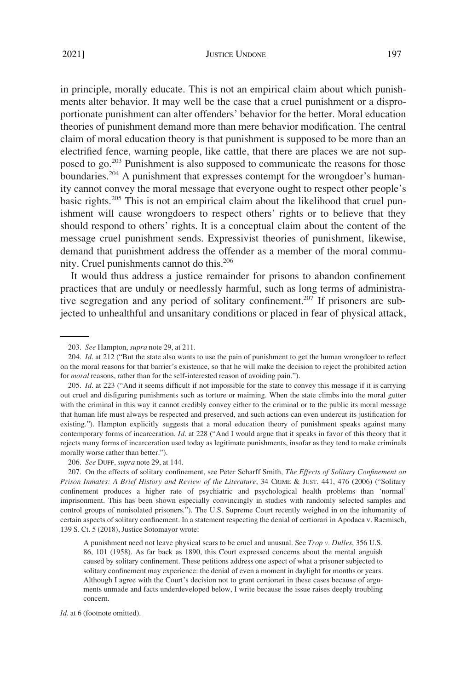in principle, morally educate. This is not an empirical claim about which punishments alter behavior. It may well be the case that a cruel punishment or a disproportionate punishment can alter offenders' behavior for the better. Moral education theories of punishment demand more than mere behavior modification. The central claim of moral education theory is that punishment is supposed to be more than an electrified fence, warning people, like cattle, that there are places we are not supposed to go.<sup>203</sup> Punishment is also supposed to communicate the reasons for those boundaries.<sup>204</sup> A punishment that expresses contempt for the wrongdoer's humanity cannot convey the moral message that everyone ought to respect other people's basic rights.205 This is not an empirical claim about the likelihood that cruel punishment will cause wrongdoers to respect others' rights or to believe that they should respond to others' rights. It is a conceptual claim about the content of the message cruel punishment sends. Expressivist theories of punishment, likewise, demand that punishment address the offender as a member of the moral community. Cruel punishments cannot do this.<sup>206</sup>

It would thus address a justice remainder for prisons to abandon confinement practices that are unduly or needlessly harmful, such as long terms of administrative segregation and any period of solitary confinement.<sup>207</sup> If prisoners are subjected to unhealthful and unsanitary conditions or placed in fear of physical attack,

*Id*. at 6 (footnote omitted).

<sup>203.</sup> *See* Hampton, *supra* note 29, at 211.

<sup>204.</sup> *Id*. at 212 ("But the state also wants to use the pain of punishment to get the human wrongdoer to reflect on the moral reasons for that barrier's existence, so that he will make the decision to reject the prohibited action for *moral* reasons, rather than for the self-interested reason of avoiding pain.").

<sup>205.</sup> *Id*. at 223 ("And it seems difficult if not impossible for the state to convey this message if it is carrying out cruel and disfiguring punishments such as torture or maiming. When the state climbs into the moral gutter with the criminal in this way it cannot credibly convey either to the criminal or to the public its moral message that human life must always be respected and preserved, and such actions can even undercut its justification for existing."). Hampton explicitly suggests that a moral education theory of punishment speaks against many contemporary forms of incarceration. *Id*. at 228 ("And I would argue that it speaks in favor of this theory that it rejects many forms of incarceration used today as legitimate punishments, insofar as they tend to make criminals morally worse rather than better.").

<sup>206.</sup> *See* DUFF, *supra* note 29, at 144.

<sup>207.</sup> On the effects of solitary confinement, see Peter Scharff Smith, *The Effects of Solitary Confinement on Prison Inmates: A Brief History and Review of the Literature*, 34 CRIME & JUST. 441, 476 (2006) ("Solitary confinement produces a higher rate of psychiatric and psychological health problems than 'normal' imprisonment. This has been shown especially convincingly in studies with randomly selected samples and control groups of nonisolated prisoners."). The U.S. Supreme Court recently weighed in on the inhumanity of certain aspects of solitary confinement. In a statement respecting the denial of certiorari in Apodaca v. Raemisch, 139 S. Ct. 5 (2018), Justice Sotomayor wrote:

A punishment need not leave physical scars to be cruel and unusual. See *Trop v. Dulles*, 356 U.S. 86, 101 (1958). As far back as 1890, this Court expressed concerns about the mental anguish caused by solitary confinement. These petitions address one aspect of what a prisoner subjected to solitary confinement may experience: the denial of even a moment in daylight for months or years. Although I agree with the Court's decision not to grant certiorari in these cases because of arguments unmade and facts underdeveloped below, I write because the issue raises deeply troubling concern.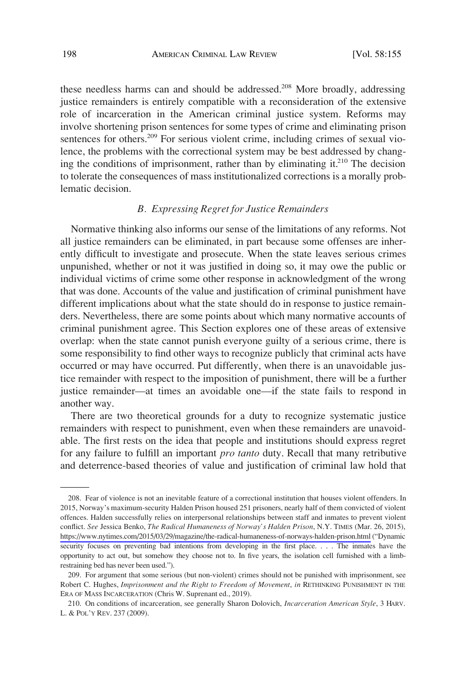<span id="page-43-0"></span>these needless harms can and should be addressed.<sup>208</sup> More broadly, addressing justice remainders is entirely compatible with a reconsideration of the extensive role of incarceration in the American criminal justice system. Reforms may involve shortening prison sentences for some types of crime and eliminating prison sentences for others.<sup>209</sup> For serious violent crime, including crimes of sexual violence, the problems with the correctional system may be best addressed by changing the conditions of imprisonment, rather than by eliminating it.<sup>210</sup> The decision to tolerate the consequences of mass institutionalized corrections is a morally problematic decision.

# *B. Expressing Regret for Justice Remainders*

Normative thinking also informs our sense of the limitations of any reforms. Not all justice remainders can be eliminated, in part because some offenses are inherently difficult to investigate and prosecute. When the state leaves serious crimes unpunished, whether or not it was justified in doing so, it may owe the public or individual victims of crime some other response in acknowledgment of the wrong that was done. Accounts of the value and justification of criminal punishment have different implications about what the state should do in response to justice remainders. Nevertheless, there are some points about which many normative accounts of criminal punishment agree. This Section explores one of these areas of extensive overlap: when the state cannot punish everyone guilty of a serious crime, there is some responsibility to find other ways to recognize publicly that criminal acts have occurred or may have occurred. Put differently, when there is an unavoidable justice remainder with respect to the imposition of punishment, there will be a further justice remainder—at times an avoidable one—if the state fails to respond in another way.

There are two theoretical grounds for a duty to recognize systematic justice remainders with respect to punishment, even when these remainders are unavoidable. The first rests on the idea that people and institutions should express regret for any failure to fulfill an important *pro tanto* duty. Recall that many retributive and deterrence-based theories of value and justification of criminal law hold that

Fear of violence is not an inevitable feature of a correctional institution that houses violent offenders. In 208. 2015, Norway's maximum-security Halden Prison housed 251 prisoners, nearly half of them convicted of violent offences. Halden successfully relies on interpersonal relationships between staff and inmates to prevent violent conflict. *See* Jessica Benko, *The Radical Humaneness of Norway's Halden Prison*, N.Y. TIMES (Mar. 26, 2015), <https://www.nytimes.com/2015/03/29/magazine/the-radical-humaneness-of-norways-halden-prison.html>("Dynamic security focuses on preventing bad intentions from developing in the first place. . . . The inmates have the opportunity to act out, but somehow they choose not to. In five years, the isolation cell furnished with a limbrestraining bed has never been used.").

<sup>209.</sup> For argument that some serious (but non-violent) crimes should not be punished with imprisonment, see Robert C. Hughes, *Imprisonment and the Right to Freedom of Movement*, *in* RETHINKING PUNISHMENT IN THE ERA OF MASS INCARCERATION (Chris W. Suprenant ed., 2019).

<sup>210.</sup> On conditions of incarceration, see generally Sharon Dolovich, *Incarceration American Style*, 3 HARV. L. & POL'Y REV. 237 (2009).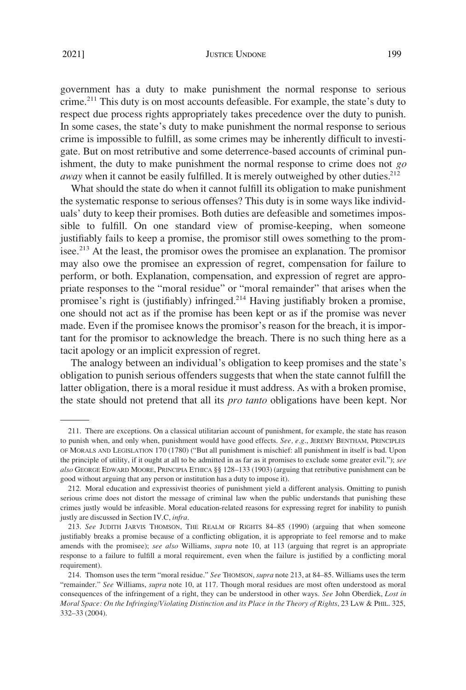### JUSTICE UNDONE 199

government has a duty to make punishment the normal response to serious crime.211 This duty is on most accounts defeasible. For example, the state's duty to respect due process rights appropriately takes precedence over the duty to punish. In some cases, the state's duty to make punishment the normal response to serious crime is impossible to fulfill, as some crimes may be inherently difficult to investigate. But on most retributive and some deterrence-based accounts of criminal punishment, the duty to make punishment the normal response to crime does not *go away* when it cannot be easily fulfilled. It is merely outweighed by other duties.<sup>212</sup>

What should the state do when it cannot fulfill its obligation to make punishment the systematic response to serious offenses? This duty is in some ways like individuals' duty to keep their promises. Both duties are defeasible and sometimes impossible to fulfill. On one standard view of promise-keeping, when someone justifiably fails to keep a promise, the promisor still owes something to the promisee.<sup>213</sup> At the least, the promisor owes the promisee an explanation. The promisor may also owe the promisee an expression of regret, compensation for failure to perform, or both. Explanation, compensation, and expression of regret are appropriate responses to the "moral residue" or "moral remainder" that arises when the promisee's right is (justifiably) infringed.<sup>214</sup> Having justifiably broken a promise, one should not act as if the promise has been kept or as if the promise was never made. Even if the promisee knows the promisor's reason for the breach, it is important for the promisor to acknowledge the breach. There is no such thing here as a tacit apology or an implicit expression of regret.

The analogy between an individual's obligation to keep promises and the state's obligation to punish serious offenders suggests that when the state cannot fulfill the latter obligation, there is a moral residue it must address. As with a broken promise, the state should not pretend that all its *pro tanto* obligations have been kept. Nor

<sup>211.</sup> There are exceptions. On a classical utilitarian account of punishment, for example, the state has reason to punish when, and only when, punishment would have good effects. *See, e.g*., JEREMY BENTHAM, PRINCIPLES OF MORALS AND LEGISLATION 170 (1780) ("But all punishment is mischief: all punishment in itself is bad. Upon the principle of utility, if it ought at all to be admitted in as far as it promises to exclude some greater evil."); *see also* GEORGE EDWARD MOORE, PRINCIPIA ETHICA §§ 128–133 (1903) (arguing that retributive punishment can be good without arguing that any person or institution has a duty to impose it).

<sup>212.</sup> Moral education and expressivist theories of punishment yield a different analysis. Omitting to punish serious crime does not distort the message of criminal law when the public understands that punishing these crimes justly would be infeasible. Moral education-related reasons for expressing regret for inability to punish justly are discussed in Section IV.C, *infra*.

<sup>213.</sup> *See* JUDITH JARVIS THOMSON, THE REALM OF RIGHTS 84–85 (1990) (arguing that when someone justifiably breaks a promise because of a conflicting obligation, it is appropriate to feel remorse and to make amends with the promisee); *see also* Williams, *supra* note 10, at 113 (arguing that regret is an appropriate response to a failure to fulfill a moral requirement, even when the failure is justified by a conflicting moral requirement).

<sup>214.</sup> Thomson uses the term "moral residue." *See* THOMSON, *supra* note 213, at 84–85. Williams uses the term "remainder." *See* Williams, *supra* note 10, at 117. Though moral residues are most often understood as moral consequences of the infringement of a right, they can be understood in other ways. *See* John Oberdiek, *Lost in Moral Space: On the Infringing/Violating Distinction and its Place in the Theory of Rights*, 23 LAW & PHIL. 325, 332–33 (2004).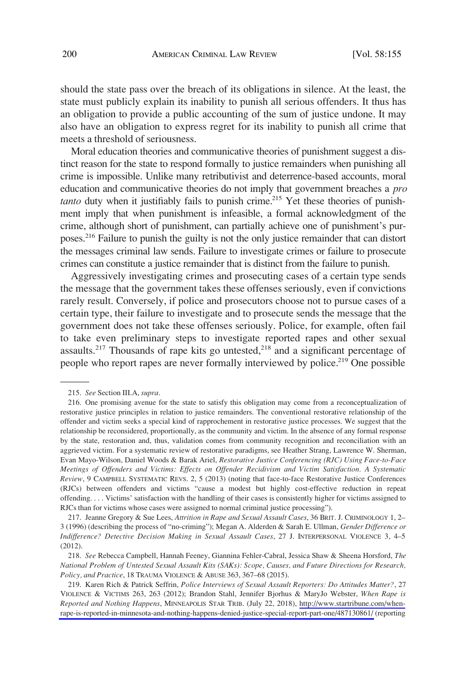should the state pass over the breach of its obligations in silence. At the least, the state must publicly explain its inability to punish all serious offenders. It thus has an obligation to provide a public accounting of the sum of justice undone. It may also have an obligation to express regret for its inability to punish all crime that meets a threshold of seriousness.

Moral education theories and communicative theories of punishment suggest a distinct reason for the state to respond formally to justice remainders when punishing all crime is impossible. Unlike many retributivist and deterrence-based accounts, moral education and communicative theories do not imply that government breaches a *pro tanto* duty when it justifiably fails to punish crime.<sup>215</sup> Yet these theories of punishment imply that when punishment is infeasible, a formal acknowledgment of the crime, although short of punishment, can partially achieve one of punishment's purposes.216 Failure to punish the guilty is not the only justice remainder that can distort the messages criminal law sends. Failure to investigate crimes or failure to prosecute crimes can constitute a justice remainder that is distinct from the failure to punish.

Aggressively investigating crimes and prosecuting cases of a certain type sends the message that the government takes these offenses seriously, even if convictions rarely result. Conversely, if police and prosecutors choose not to pursue cases of a certain type, their failure to investigate and to prosecute sends the message that the government does not take these offenses seriously. Police, for example, often fail to take even preliminary steps to investigate reported rapes and other sexual assaults.<sup>217</sup> Thousands of rape kits go untested,<sup>218</sup> and a significant percentage of people who report rapes are never formally interviewed by police.<sup>219</sup> One possible

<sup>215.</sup> *See* Section III.A, *supra*.

<sup>216.</sup> One promising avenue for the state to satisfy this obligation may come from a reconceptualization of restorative justice principles in relation to justice remainders. The conventional restorative relationship of the offender and victim seeks a special kind of rapprochement in restorative justice processes. We suggest that the relationship be reconsidered, proportionally, as the community and victim. In the absence of any formal response by the state, restoration and, thus, validation comes from community recognition and reconciliation with an aggrieved victim. For a systematic review of restorative paradigms, see Heather Strang, Lawrence W. Sherman, Evan Mayo-Wilson, Daniel Woods & Barak Ariel, *Restorative Justice Conferencing (RJC) Using Face-to-Face Meetings of Offenders and Victims: Effects on Offender Recidivism and Victim Satisfaction. A Systematic Review*, 9 CAMPBELL SYSTEMATIC REVS. 2, 5 (2013) (noting that face-to-face Restorative Justice Conferences (RJCs) between offenders and victims "cause a modest but highly cost-effective reduction in repeat offending. . . . Victims' satisfaction with the handling of their cases is consistently higher for victims assigned to RJCs than for victims whose cases were assigned to normal criminal justice processing").

<sup>217.</sup> Jeanne Gregory & Sue Lees, *Attrition in Rape and Sexual Assault Cases*, 36 BRIT. J. CRIMINOLOGY 1, 2– 3 (1996) (describing the process of "no-criming"); Megan A. Alderden & Sarah E. Ullman, *Gender Difference or Indifference? Detective Decision Making in Sexual Assault Cases*, 27 J. INTERPERSONAL VIOLENCE 3, 4–5 (2012).

<sup>218.</sup> *See* Rebecca Campbell, Hannah Feeney, Giannina Fehler-Cabral, Jessica Shaw & Sheena Horsford, *The National Problem of Untested Sexual Assault Kits (SAKs): Scope, Causes, and Future Directions for Research, Policy, and Practice*, 18 TRAUMA VIOLENCE & ABUSE 363, 367–68 (2015).

<sup>219.</sup> Karen Rich & Patrick Seffrin, *Police Interviews of Sexual Assault Reporters: Do Attitudes Matter?*, 27 VIOLENCE & VICTIMS 263, 263 (2012); Brandon Stahl, Jennifer Bjorhus & MaryJo Webster, *When Rape is Reported and Nothing Happens*, MINNEAPOLIS STAR TRIB. (July 22, 2018), [http://www.startribune.com/when](http://www.startribune.com/when-rape-is-reported-in-minnesota-and-nothing-happens-denied-justice-special-report-part-one/487130861/)[rape-is-reported-in-minnesota-and-nothing-happens-denied-justice-special-report-part-one/487130861/](http://www.startribune.com/when-rape-is-reported-in-minnesota-and-nothing-happens-denied-justice-special-report-part-one/487130861/) (reporting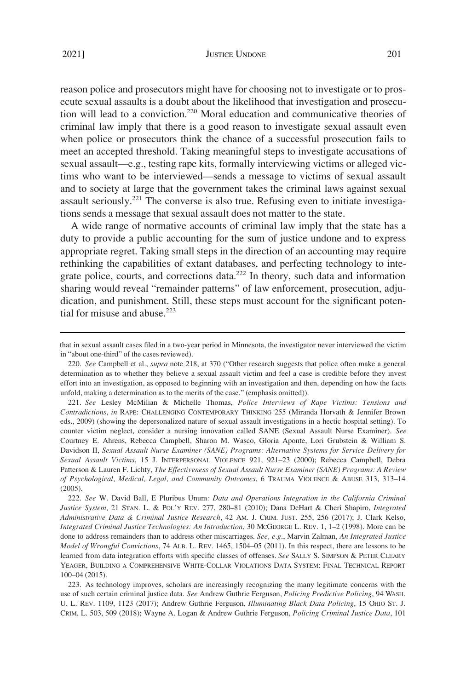reason police and prosecutors might have for choosing not to investigate or to prosecute sexual assaults is a doubt about the likelihood that investigation and prosecution will lead to a conviction.220 Moral education and communicative theories of criminal law imply that there is a good reason to investigate sexual assault even when police or prosecutors think the chance of a successful prosecution fails to meet an accepted threshold. Taking meaningful steps to investigate accusations of sexual assault—e.g., testing rape kits, formally interviewing victims or alleged victims who want to be interviewed—sends a message to victims of sexual assault and to society at large that the government takes the criminal laws against sexual assault seriously.<sup>221</sup> The converse is also true. Refusing even to initiate investiga-

tions sends a message that sexual assault does not matter to the state.

A wide range of normative accounts of criminal law imply that the state has a duty to provide a public accounting for the sum of justice undone and to express appropriate regret. Taking small steps in the direction of an accounting may require rethinking the capabilities of extant databases, and perfecting technology to integrate police, courts, and corrections data.222 In theory, such data and information sharing would reveal "remainder patterns" of law enforcement, prosecution, adjudication, and punishment. Still, these steps must account for the significant potential for misuse and abuse.<sup>223</sup>

221. *See* Lesley McMilian & Michelle Thomas, *Police Interviews of Rape Victims: Tensions and Contradictions*, *in* RAPE: CHALLENGING CONTEMPORARY THINKING 255 (Miranda Horvath & Jennifer Brown eds., 2009) (showing the depersonalized nature of sexual assault investigations in a hectic hospital setting). To counter victim neglect, consider a nursing innovation called SANE (Sexual Assault Nurse Examiner). *See*  Courtney E. Ahrens, Rebecca Campbell, Sharon M. Wasco, Gloria Aponte, Lori Grubstein & William S. Davidson II, *Sexual Assault Nurse Examiner (SANE) Programs: Alternative Systems for Service Delivery for Sexual Assault Victims*, 15 J. INTERPERSONAL VIOLENCE 921, 921–23 (2000); Rebecca Campbell, Debra Patterson & Lauren F. Lichty, *The Effectiveness of Sexual Assault Nurse Examiner (SANE) Programs: A Review of Psychological, Medical, Legal, and Community Outcomes*, 6 TRAUMA VIOLENCE & ABUSE 313, 313–14 (2005).

222. *See* W. David Ball, E Pluribus Unum*: Data and Operations Integration in the California Criminal Justice System*, 21 STAN. L. & POL'Y REV. 277, 280–81 (2010); Dana DeHart & Cheri Shapiro, *Integrated Administrative Data & Criminal Justice Research*, 42 AM. J. CRIM. JUST. 255, 256 (2017); J. Clark Kelso, *Integrated Criminal Justice Technologies: An Introduction*, 30 MCGEORGE L. REV. 1, 1–2 (1998). More can be done to address remainders than to address other miscarriages. *See, e.g*., Marvin Zalman, *An Integrated Justice Model of Wrongful Convictions*, 74 ALB. L. REV. 1465, 1504–05 (2011). In this respect, there are lessons to be learned from data integration efforts with specific classes of offenses. *See* SALLY S. SIMPSON & PETER CLEARY YEAGER, BUILDING A COMPREHENSIVE WHITE-COLLAR VIOLATIONS DATA SYSTEM: FINAL TECHNICAL REPORT 100–04 (2015).

223. As technology improves, scholars are increasingly recognizing the many legitimate concerns with the use of such certain criminal justice data. *See* Andrew Guthrie Ferguson, *Policing Predictive Policing*, 94 WASH. U. L. REV. 1109, 1123 (2017); Andrew Guthrie Ferguson, *Illuminating Black Data Policing*, 15 OHIO ST. J. CRIM. L. 503, 509 (2018); Wayne A. Logan & Andrew Guthrie Ferguson, *Policing Criminal Justice Data*, 101

that in sexual assault cases filed in a two-year period in Minnesota, the investigator never interviewed the victim in "about one-third" of the cases reviewed).

<sup>220.</sup> *See* Campbell et al., *supra* note 218, at 370 ("Other research suggests that police often make a general determination as to whether they believe a sexual assault victim and feel a case is credible before they invest effort into an investigation, as opposed to beginning with an investigation and then, depending on how the facts unfold, making a determination as to the merits of the case." (emphasis omitted)).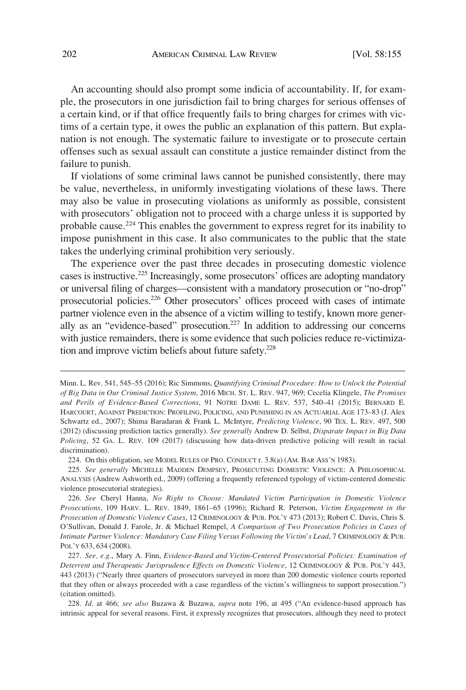An accounting should also prompt some indicia of accountability. If, for example, the prosecutors in one jurisdiction fail to bring charges for serious offenses of a certain kind, or if that office frequently fails to bring charges for crimes with victims of a certain type, it owes the public an explanation of this pattern. But explanation is not enough. The systematic failure to investigate or to prosecute certain offenses such as sexual assault can constitute a justice remainder distinct from the failure to punish.

If violations of some criminal laws cannot be punished consistently, there may be value, nevertheless, in uniformly investigating violations of these laws. There may also be value in prosecuting violations as uniformly as possible, consistent with prosecutors' obligation not to proceed with a charge unless it is supported by probable cause.224 This enables the government to express regret for its inability to impose punishment in this case. It also communicates to the public that the state takes the underlying criminal prohibition very seriously.

The experience over the past three decades in prosecuting domestic violence cases is instructive.225 Increasingly, some prosecutors' offices are adopting mandatory or universal filing of charges—consistent with a mandatory prosecution or "no-drop" prosecutorial policies.226 Other prosecutors' offices proceed with cases of intimate partner violence even in the absence of a victim willing to testify, known more generally as an "evidence-based" prosecution.227 In addition to addressing our concerns with justice remainders, there is some evidence that such policies reduce re-victimization and improve victim beliefs about future safety.<sup>228</sup>

224. On this obligation, see MODEL RULES OF PRO. CONDUCT r. 3.8(a) (AM. BAR ASS'N 1983).

Minn. L. Rev. 541, 545–55 (2016); Ric Simmons, *Quantifying Criminal Procedure: How to Unlock the Potential of Big Data in Our Criminal Justice System*, 2016 MICH. ST. L. REV. 947, 969; Cecelia Klingele, *The Promises and Perils of Evidence-Based Corrections*, 91 NOTRE DAME L. REV. 537, 540–41 (2015); BERNARD E. HARCOURT, AGAINST PREDICTION: PROFILING, POLICING, AND PUNISHING IN AN ACTUARIAL AGE 173–83 (J. Alex Schwartz ed., 2007); Shima Baradaran & Frank L. McIntyre, *Predicting Violence*, 90 TEX. L. REV. 497, 500 (2012) (discussing prediction tactics generally). *See generally* Andrew D. Selbst, *Disparate Impact in Big Data Policing*, 52 GA. L. REV. 109 (2017) (discussing how data-driven predictive policing will result in racial discrimination).

<sup>225.</sup> *See generally* MICHELLE MADDEN DEMPSEY, PROSECUTING DOMESTIC VIOLENCE: A PHILOSOPHICAL ANALYSIS (Andrew Ashworth ed., 2009) (offering a frequently referenced typology of victim-centered domestic violence prosecutorial strategies).

<sup>226.</sup> *See* Cheryl Hanna, *No Right to Choose: Mandated Victim Participation in Domestic Violence Prosecutions*, 109 HARV. L. REV. 1849, 1861–65 (1996); Richard R. Peterson, *Victim Engagement in the Prosecution of Domestic Violence Cases*, 12 CRIMINOLOGY & PUB. POL'Y 473 (2013); Robert C. Davis, Chris S. O'Sullivan, Donald J. Farole, Jr. & Michael Rempel, *A Comparison of Two Prosecution Policies in Cases of Intimate Partner Violence: Mandatory Case Filing Versus Following the Victim's Lead*, 7 CRIMINOLOGY & PUB. POL'Y 633, 634 (2008).

<sup>227.</sup> *See, e.g*., Mary A. Finn, *Evidence-Based and Victim-Centered Prosecutorial Policies: Examination of Deterrent and Therapeutic Jurisprudence Effects on Domestic Violence*, 12 CRIMINOLOGY & PUB. POL'Y 443, 443 (2013) ("Nearly three quarters of prosecutors surveyed in more than 200 domestic violence courts reported that they often or always proceeded with a case regardless of the victim's willingness to support prosecution.") (citation omitted).

<sup>228.</sup> *Id*. at 466; *see also* Buzawa & Buzawa, *supra* note 196, at 495 ("An evidence-based approach has intrinsic appeal for several reasons. First, it expressly recognizes that prosecutors, although they need to protect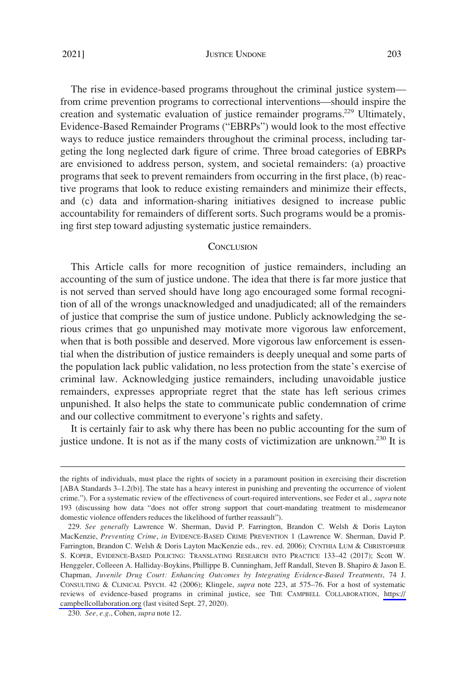# <span id="page-48-0"></span>2021] JUSTICE UNDONE 203

The rise in evidence-based programs throughout the criminal justice system from crime prevention programs to correctional interventions—should inspire the creation and systematic evaluation of justice remainder programs.<sup>229</sup> Ultimately, Evidence-Based Remainder Programs ("EBRPs") would look to the most effective ways to reduce justice remainders throughout the criminal process, including targeting the long neglected dark figure of crime. Three broad categories of EBRPs are envisioned to address person, system, and societal remainders: (a) proactive programs that seek to prevent remainders from occurring in the first place, (b) reactive programs that look to reduce existing remainders and minimize their effects, and (c) data and information-sharing initiatives designed to increase public

#### **CONCLUSION**

accountability for remainders of different sorts. Such programs would be a promis-

ing first step toward adjusting systematic justice remainders.

This Article calls for more recognition of justice remainders, including an accounting of the sum of justice undone. The idea that there is far more justice that is not served than served should have long ago encouraged some formal recognition of all of the wrongs unacknowledged and unadjudicated; all of the remainders of justice that comprise the sum of justice undone. Publicly acknowledging the serious crimes that go unpunished may motivate more vigorous law enforcement, when that is both possible and deserved. More vigorous law enforcement is essential when the distribution of justice remainders is deeply unequal and some parts of the population lack public validation, no less protection from the state's exercise of criminal law. Acknowledging justice remainders, including unavoidable justice remainders, expresses appropriate regret that the state has left serious crimes unpunished. It also helps the state to communicate public condemnation of crime and our collective commitment to everyone's rights and safety.

It is certainly fair to ask why there has been no public accounting for the sum of justice undone. It is not as if the many costs of victimization are unknown.<sup>230</sup> It is

the rights of individuals, must place the rights of society in a paramount position in exercising their discretion [ABA Standards 3–1.2(b)]. The state has a heavy interest in punishing and preventing the occurrence of violent crime."). For a systematic review of the effectiveness of court-required interventions, see Feder et al., *supra* note 193 (discussing how data "does not offer strong support that court-mandating treatment to misdemeanor domestic violence offenders reduces the likelihood of further reassault").

*See generally* Lawrence W. Sherman, David P. Farrington, Brandon C. Welsh & Doris Layton 229. MacKenzie, *Preventing Crime*, *in* EVIDENCE-BASED CRIME PREVENTION 1 (Lawrence W. Sherman, David P. Farrington, Brandon C. Welsh & Doris Layton MacKenzie eds., rev. ed. 2006); CYNTHIA LUM & CHRISTOPHER S. KOPER, EVIDENCE-BASED POLICING: TRANSLATING RESEARCH INTO PRACTICE 133–42 (2017); Scott W. Henggeler, Colleeen A. Halliday-Boykins, Phillippe B. Cunningham, Jeff Randall, Steven B. Shapiro & Jason E. Chapman, *Juvenile Drug Court: Enhancing Outcomes by Integrating Evidence-Based Treatments*, 74 J. CONSULTING & CLINICAL PSYCH. 42 (2006); Klingele, *supra* note 223, at 575–76. For a host of systematic reviews of evidence-based programs in criminal justice, see THE CAMPBELL COLLABORATION, [https://](https://campbellcollaboration.org)  [campbellcollaboration.org](https://campbellcollaboration.org) (last visited Sept. 27, 2020).

<sup>230.</sup> *See, e.g*., Cohen, *supra* note 12.